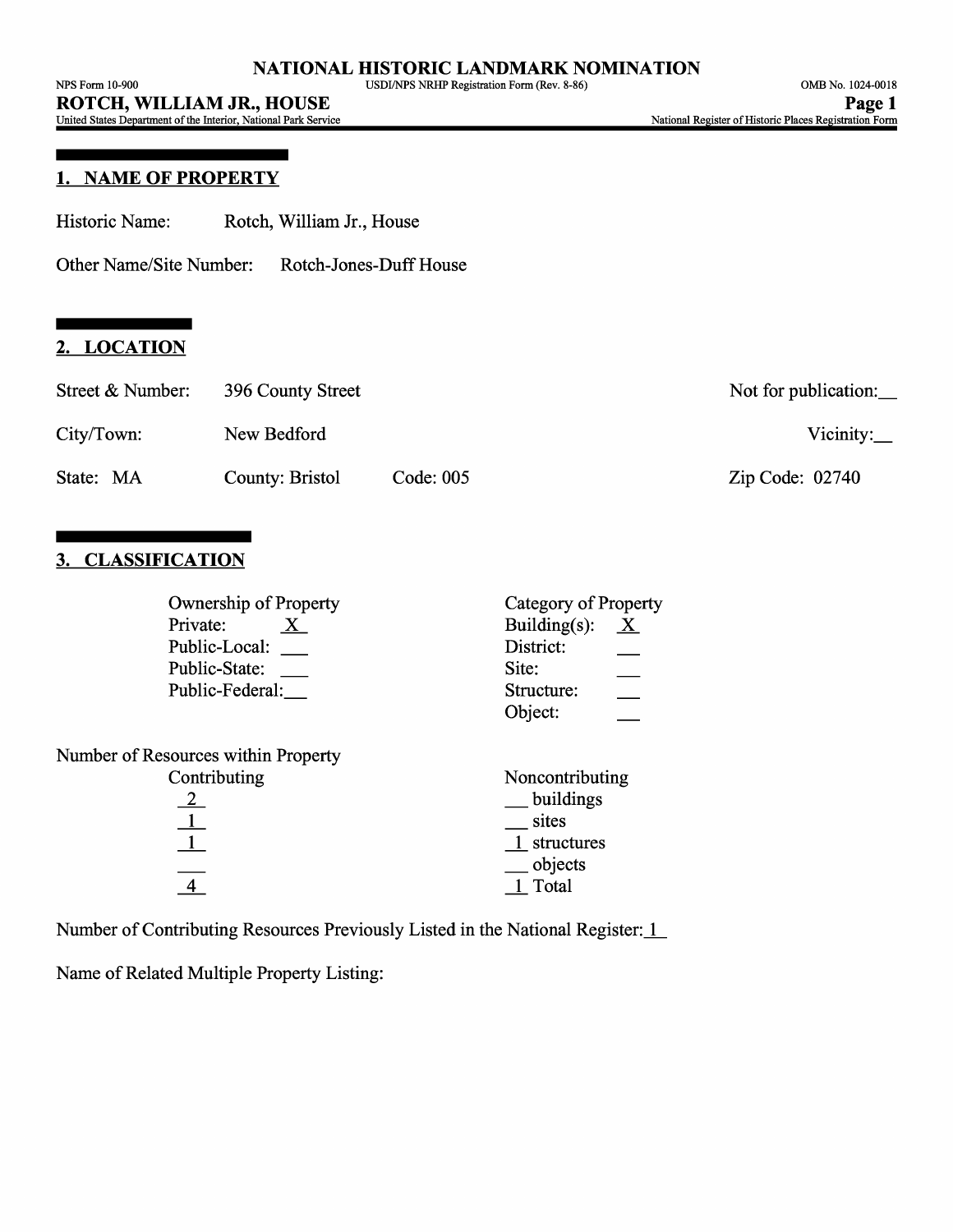United States Department of the Interior, National Park Service National Register of Historic Places Registration Form

#### **1. NAME OF PROPERTY**

| Historic Name: | Rotch, William Jr., House |  |
|----------------|---------------------------|--|
|                |                           |  |

Other Name/Site Number: Rotch-Jones-Duff House

# **2. LOCATION**

| Street & Number: | 396 County Street |           | Not for publication:      |
|------------------|-------------------|-----------|---------------------------|
| City/Town:       | New Bedford       |           | Vicinity: $\qquad \qquad$ |
| State: MA        | County: Bristol   | Code: 005 | Zip Code: 02740           |

### **3. CLASSIFICATION**

| Ownership of Property               | Category of Property                |
|-------------------------------------|-------------------------------------|
| Private:<br>$\mathbf{X}$            | Building $(s)$ :<br>$\underline{X}$ |
| Public-Local:                       | District:                           |
| Public-State:                       | Site:                               |
| Public-Federal:                     | Structure:                          |
|                                     | Object:                             |
| Number of Resources within Property |                                     |
| Contributing                        | Noncontributing                     |
| $\frac{2}{2}$                       | buildings                           |
| $\perp$                             | sites                               |
| $\overline{1}$                      | 1 structures                        |
|                                     | objects                             |
|                                     | Total                               |
|                                     |                                     |

Number of Contributing Resources Previously Listed in the National Register: 1

Name of Related Multiple Property Listing: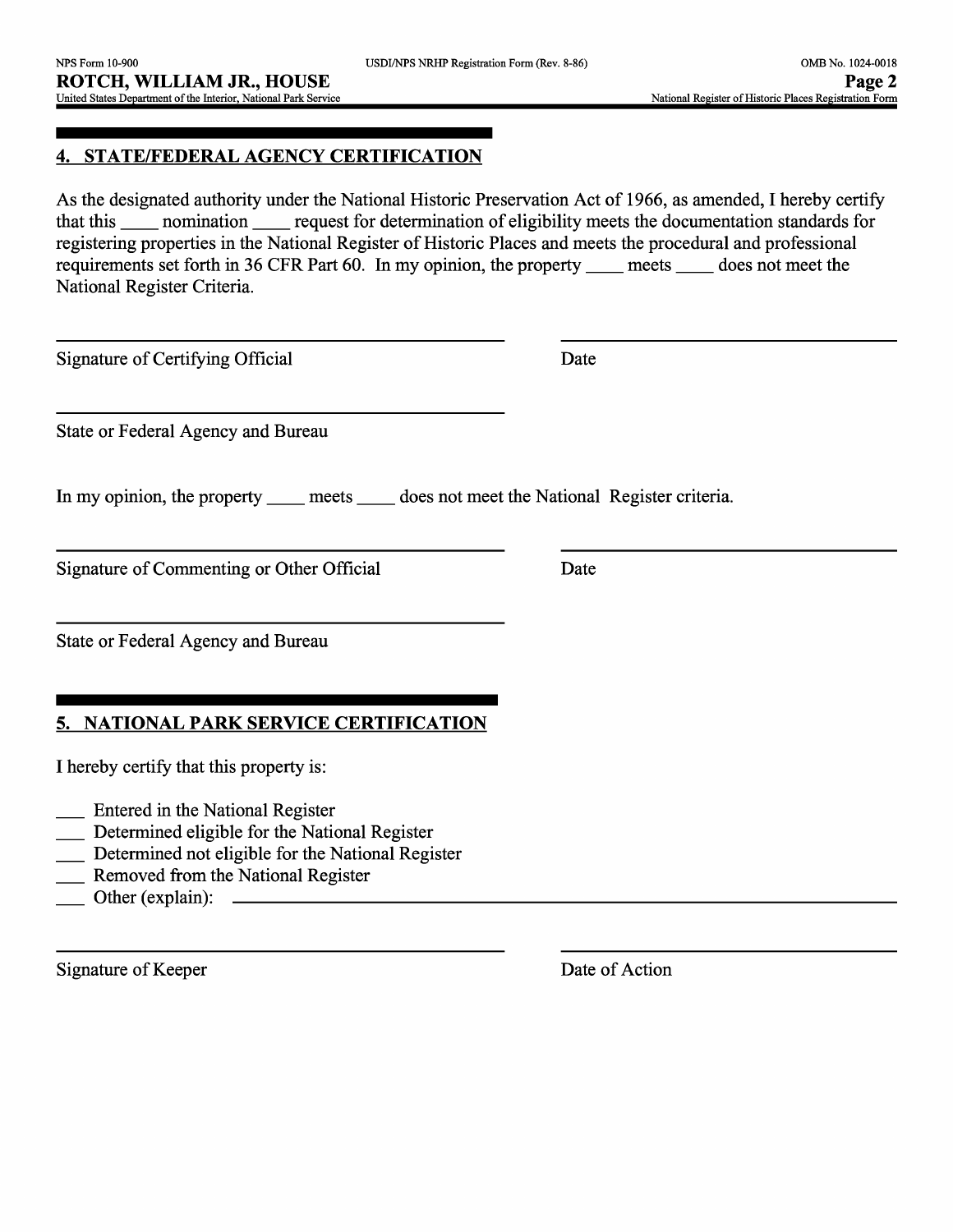### **4. STATE/FEDERAL AGENCY CERTIFICATION**

As the designated authority under the National Historic Preservation Act of 1966, as amended, I hereby certify that this \_\_ nomination \_\_ request for determination of eligibility meets the documentation standards for registering properties in the National Register of Historic Places and meets the procedural and professional requirements set forth in 36 CFR Part 60. In my opinion, the property \_\_ meets \_\_ does not meet the National Register Criteria.

Signature of Certifying Official Date

State or Federal Agency and Bureau

In my opinion, the property \_\_\_\_\_ meets \_\_\_\_\_ does not meet the National Register criteria.

Signature of Commenting or Other Official Date

State or Federal Agency and Bureau

# **5. NATIONAL PARK SERVICE CERTIFICATION**

I hereby certify that this property is:

- \_\_ Entered in the National Register
- \_\_ Determined eligible for the National Register
- \_\_ Determined not eligible for the National Register
- \_\_ Removed from the National Register
- $\Box$  Other (explain):  $\Box$

Signature of Keeper Date of Action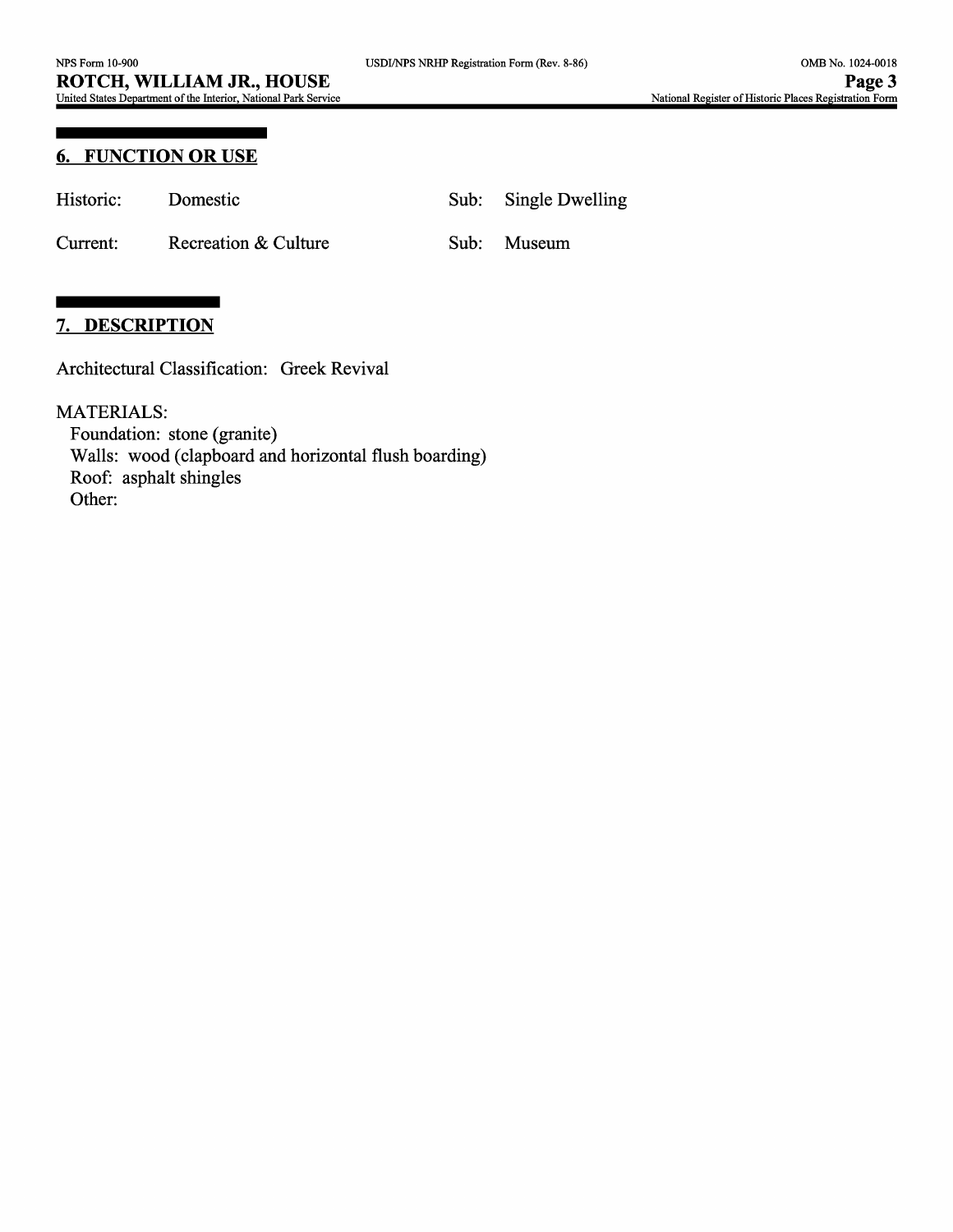### **6. FUNCTION OR USE**

| Historic: | Domestic             | Sub: Single Dwelling |
|-----------|----------------------|----------------------|
| Current:  | Recreation & Culture | Sub: Museum          |

#### **7. DESCRIPTION**

Architectural Classification: Greek Revival

MATERIALS:

Foundation: stone (granite) Walls: wood (clapboard and horizontal flush boarding) Roof: asphalt shingles Other: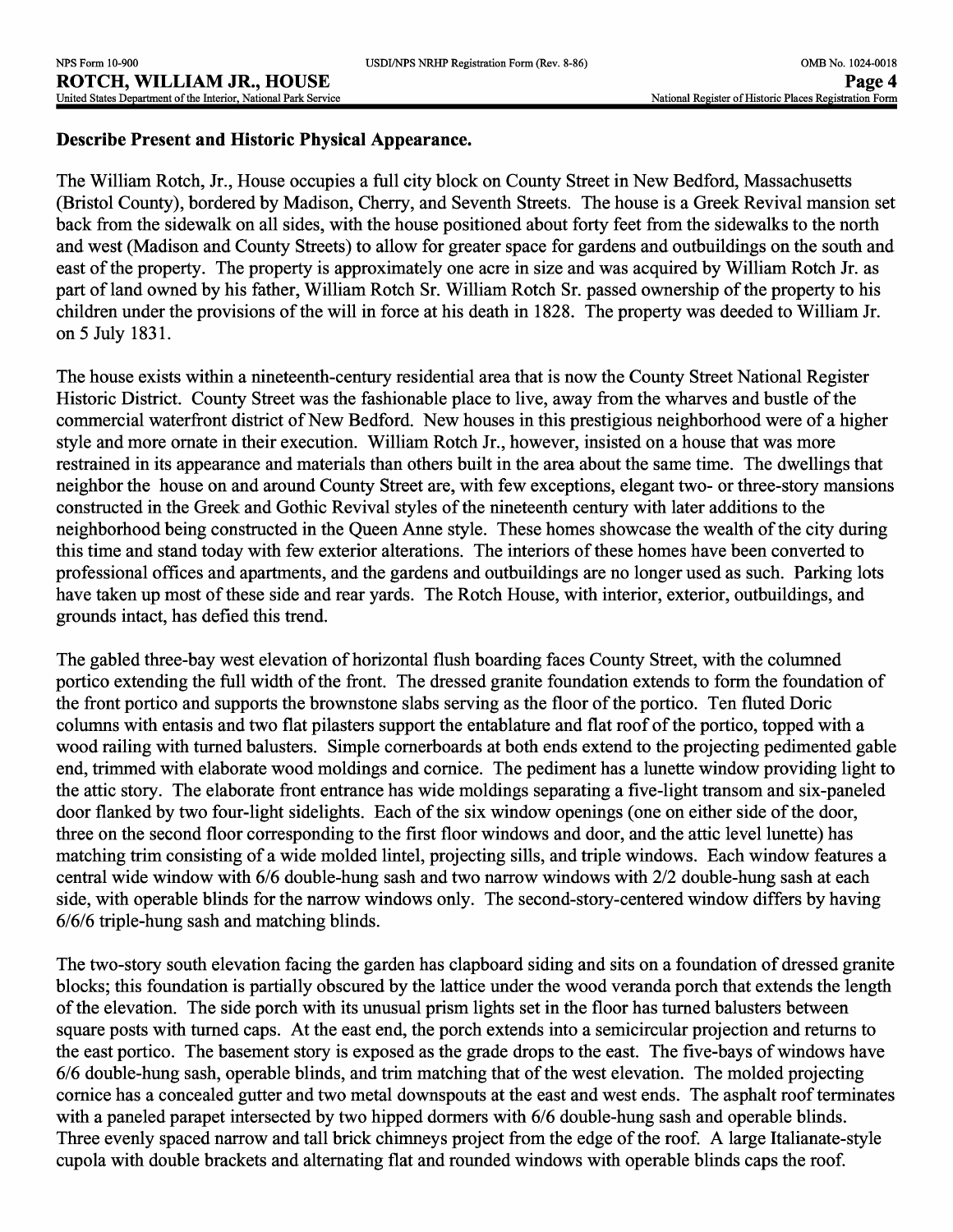#### **Describe Present and Historic Physical Appearance.**

The William Rotch, Jr., House occupies a full city block on County Street in New Bedford, Massachusetts (Bristol County), bordered by Madison, Cherry, and Seventh Streets. The house is a Greek Revival mansion set back from the sidewalk on all sides, with the house positioned about forty feet from the sidewalks to the north and west (Madison and County Streets) to allow for greater space for gardens and outbuildings on the south and east of the property. The property is approximately one acre in size and was acquired by William Rotch Jr. as part of land owned by his father, William Rotch Sr. William Rotch Sr. passed ownership of the property to his children under the provisions of the will in force at his death in 1828. The property was deeded to William Jr. on 5 July 1831.

The house exists within a nineteenth-century residential area that is now the County Street National Register Historic District. County Street was the fashionable place to live, away from the wharves and bustle of the commercial waterfront district of New Bedford. New houses in this prestigious neighborhood were of a higher style and more ornate in their execution. William Rotch Jr., however, insisted on a house that was more restrained in its appearance and materials than others built in the area about the same time. The dwellings that neighbor the house on and around County Street are, with few exceptions, elegant two- or three-story mansions constructed in the Greek and Gothic Revival styles of the nineteenth century with later additions to the neighborhood being constructed in the Queen Anne style. These homes showcase the wealth of the city during this time and stand today with few exterior alterations. The interiors of these homes have been converted to professional offices and apartments, and the gardens and outbuildings are no longer used as such. Parking lots have taken up most of these side and rear yards. The Rotch House, with interior, exterior, outbuildings, and grounds intact, has defied this trend.

The gabled three-bay west elevation of horizontal flush boarding faces County Street, with the columned portico extending the full width of the front. The dressed granite foundation extends to form the foundation of the front portico and supports the brownstone slabs serving as the floor of the portico. Ten fluted Doric columns with entasis and two flat pilasters support the entablature and flat roof of the portico, topped with a wood railing with turned balusters. Simple cornerboards at both ends extend to the projecting pedimented gable end, trimmed with elaborate wood moldings and cornice. The pediment has a lunette window providing light to the attic story. The elaborate front entrance has wide moldings separating a five-light transom and six-paneled door flanked by two four-light sidelights. Each of the six window openings (one on either side of the door, three on the second floor corresponding to the first floor windows and door, and the attic level lunette) has matching trim consisting of a wide molded lintel, projecting sills, and triple windows. Each window features a central wide window with 6/6 double-hung sash and two narrow windows with 2/2 double-hung sash at each side, with operable blinds for the narrow windows only. The second-story-centered window differs by having 6/6/6 triple-hung sash and matching blinds.

The two-story south elevation facing the garden has clapboard siding and sits on a foundation of dressed granite blocks; this foundation is partially obscured by the lattice under the wood veranda porch that extends the length of the elevation. The side porch with its unusual prism lights set in the floor has turned balusters between square posts with turned caps. At the east end, the porch extends into a semicircular projection and returns to the east portico. The basement story is exposed as the grade drops to the east. The five-bays of windows have 6/6 double-hung sash, operable blinds, and trim matching that of the west elevation. The molded projecting cornice has a concealed gutter and two metal downspouts at the east and west ends. The asphalt roof terminates with a paneled parapet intersected by two hipped dormers with 6/6 double-hung sash and operable blinds. Three evenly spaced narrow and tall brick chimneys project from the edge of the roof. A large Italianate-style cupola with double brackets and alternating flat and rounded windows with operable blinds caps the roof.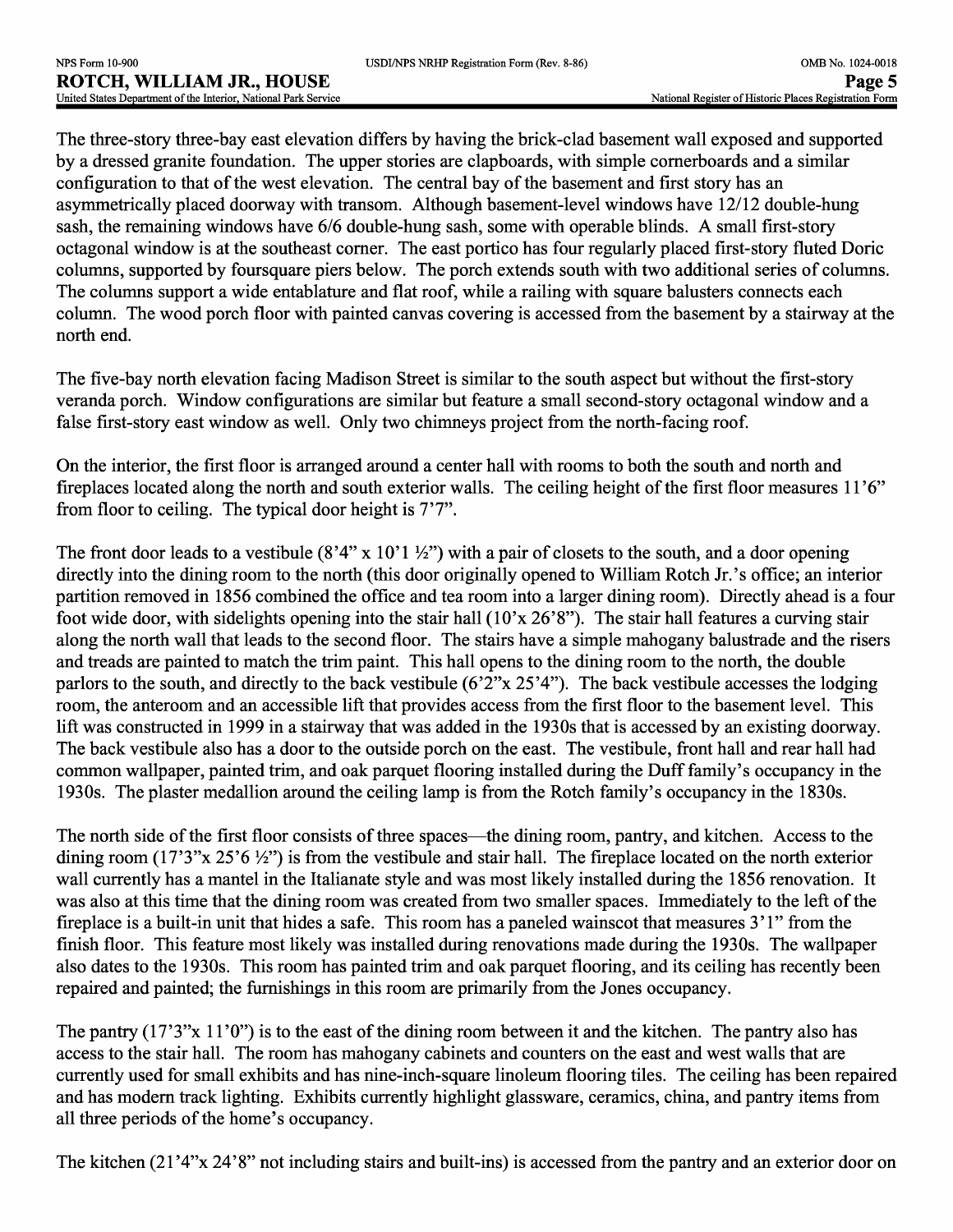The three-story three-bay east elevation differs by having the brick-clad basement wall exposed and supported by a dressed granite foundation. The upper stories are clapboards, with simple cornerboards and a similar configuration to that of the west elevation. The central bay of the basement and first story has an asymmetrically placed doorway with transom. Although basement-level windows have 12/12 double-hung sash, the remaining windows have 6/6 double-hung sash, some with operable blinds. A small first-story octagonal window is at the southeast corner. The east portico has four regularly placed first-story fluted Doric columns, supported by foursquare piers below. The porch extends south with two additional series of columns. The columns support a wide entablature and flat roof, while a railing with square balusters connects each column. The wood porch floor with painted canvas covering is accessed from the basement by a stairway at the north end.

The five-bay north elevation facing Madison Street is similar to the south aspect but without the first-story veranda porch. Window configurations are similar but feature a small second-story octagonal window and a false first-story east window as well. Only two chimneys project from the north-facing roof.

On the interior, the first floor is arranged around a center hall with rooms to both the south and north and fireplaces located along the north and south exterior walls. The ceiling height of the first floor measures 11 '6" from floor to ceiling. The typical door height is 7'7".

The front door leads to a vestibule  $(8'4'' \times 10'1 \frac{1}{2})$  with a pair of closets to the south, and a door opening directly into the dining room to the north (this door originally opened to William Rotch Jr.'s office; an interior partition removed in 1856 combined the office and tea room into a larger dining room). Directly ahead is a four foot wide door, with sidelights opening into the stair hall (10'x 26'8"). The stair hall features a curving stair along the north wall that leads to the second floor. The stairs have a simple mahogany balustrade and the risers and treads are painted to match the trim paint. This hall opens to the dining room to the north, the double parlors to the south, and directly to the back vestibule (6'2"x 25'4"). The back vestibule accesses the lodging room, the anteroom and an accessible lift that provides access from the first floor to the basement level. This lift was constructed in 1999 in a stairway that was added in the 1930s that is accessed by an existing doorway. The back vestibule also has a door to the outside porch on the east. The vestibule, front hall and rear hall had common wallpaper, painted trim, and oak parquet flooring installed during the Duff family's occupancy in the 1930s. The plaster medallion around the ceiling lamp is from the Rotch family's occupancy in the 1830s.

The north side of the first floor consists of three spaces—the dining room, pantry, and kitchen. Access to the dining room (17'3"x 25'6  $\frac{1}{2}$ ") is from the vestibule and stair hall. The fireplace located on the north exterior wall currently has a mantel in the Italianate style and was most likely installed during the 1856 renovation. It was also at this time that the dining room was created from two smaller spaces. Immediately to the left of the fireplace is a built-in unit that hides a safe. This room has a paneled wainscot that measures 3' 1" from the finish floor. This feature most likely was installed during renovations made during the 1930s. The wallpaper also dates to the 1930s. This room has painted trim and oak parquet flooring, and its ceiling has recently been repaired and painted; the furnishings in this room are primarily from the Jones occupancy.

The pantry  $(17'3''x 11'0'')$  is to the east of the dining room between it and the kitchen. The pantry also has access to the stair hall. The room has mahogany cabinets and counters on the east and west walls that are currently used for small exhibits and has nine-inch-square linoleum flooring tiles. The ceiling has been repaired and has modern track lighting. Exhibits currently highlight glassware, ceramics, china, and pantry items from all three periods of the home's occupancy.

The kitchen (21'4"x 24'8" not including stairs and built-ins) is accessed from the pantry and an exterior door on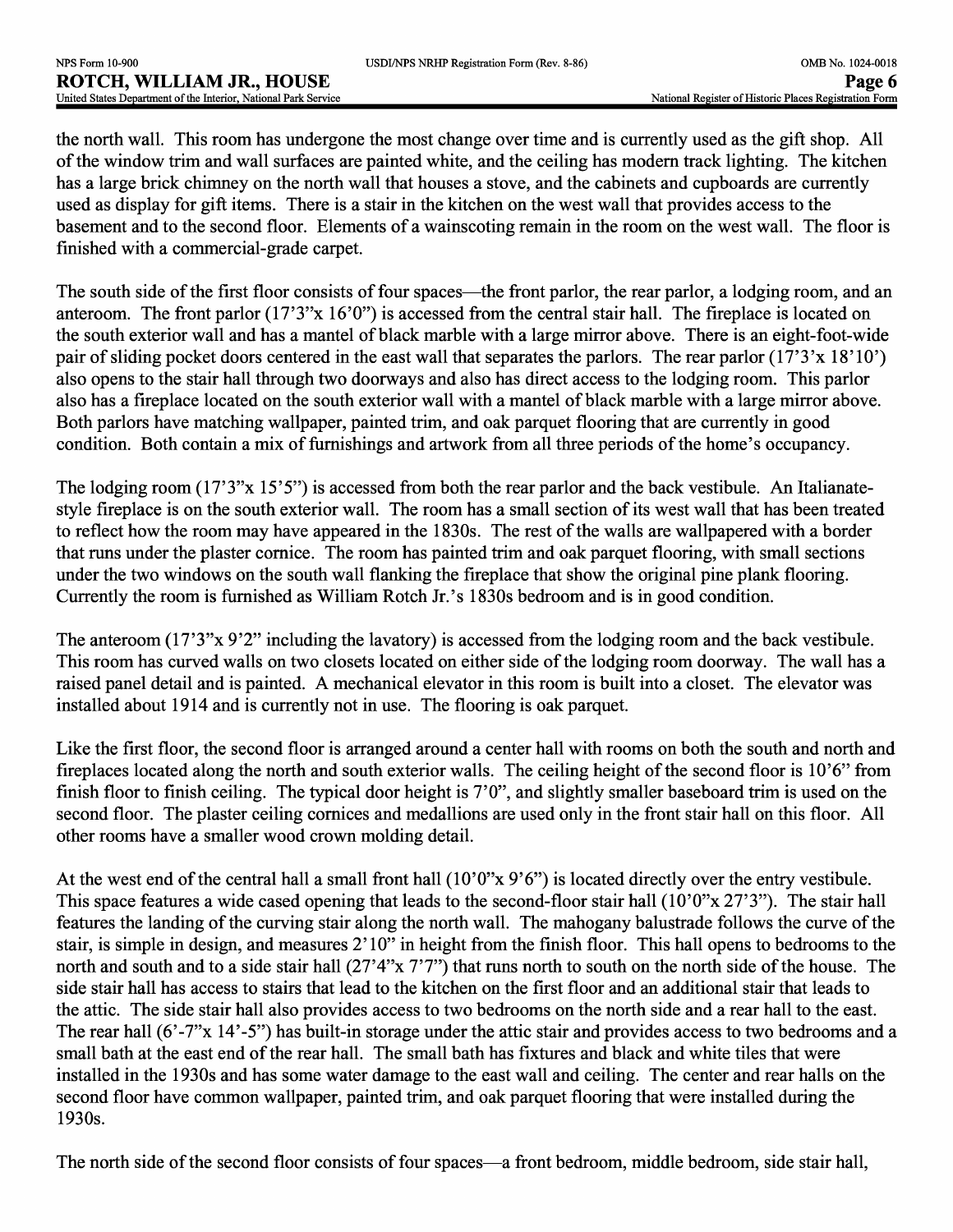the north wall. This room has undergone the most change over time and is currently used as the gift shop. All of the window trim and wall surfaces are painted white, and the ceiling has modern track lighting. The kitchen has a large brick chimney on the north wall that houses a stove, and the cabinets and cupboards are currently used as display for gift items. There is a stair in the kitchen on the west wall that provides access to the basement and to the second floor. Elements of a wainscoting remain in the room on the west wall. The floor is finished with a commercial-grade carpet.

The south side of the first floor consists of four spaces—the front parlor, the rear parlor, a lodging room, and an anteroom. The front parlor (17'3"x 16'0") is accessed from the central stair hall. The fireplace is located on the south exterior wall and has a mantel of black marble with a large mirror above. There is an eight-foot-wide pair of sliding pocket doors centered in the east wall that separates the parlors. The rear parlor (17'3'x 18'10') also opens to the stair hall through two doorways and also has direct access to the lodging room. This parlor also has a fireplace located on the south exterior wall with a mantel of black marble with a large mirror above. Both parlors have matching wallpaper, painted trim, and oak parquet flooring that are currently in good condition. Both contain a mix of furnishings and artwork from all three periods of the home's occupancy.

The lodging room (17'3"x 15'5") is accessed from both the rear parlor and the back vestibule. An Italianatestyle fireplace is on the south exterior wall. The room has a small section of its west wall that has been treated to reflect how the room may have appeared in the 1830s. The rest of the walls are wallpapered with a border that runs under the plaster cornice. The room has painted trim and oak parquet flooring, with small sections under the two windows on the south wall flanking the fireplace that show the original pine plank flooring. Currently the room is furnished as William Rotch Jr.'s 1830s bedroom and is in good condition.

The anteroom (17'3"x 9'2" including the lavatory) is accessed from the lodging room and the back vestibule. This room has curved walls on two closets located on either side of the lodging room doorway. The wall has a raised panel detail and is painted. A mechanical elevator in this room is built into a closet. The elevator was installed about 1914 and is currently not in use. The flooring is oak parquet.

Like the first floor, the second floor is arranged around a center hall with rooms on both the south and north and fireplaces located along the north and south exterior walls. The ceiling height of the second floor is 10'6" from finish floor to finish ceiling. The typical door height is 7'0", and slightly smaller baseboard trim is used on the second floor. The plaster ceiling cornices and medallions are used only in the front stair hall on this floor. All other rooms have a smaller wood crown molding detail.

At the west end of the central hall a small front hall  $(10'0''x 9'6'')$  is located directly over the entry vestibule. This space features a wide cased opening that leads to the second-floor stair hall (10'0"x 27'3"). The stair hall features the landing of the curving stair along the north wall. The mahogany balustrade follows the curve of the stair, is simple in design, and measures 2' 10" in height from the finish floor. This hall opens to bedrooms to the north and south and to a side stair hall (27'4"x 7'7") that runs north to south on the north side of the house. The side stair hall has access to stairs that lead to the kitchen on the first floor and an additional stair that leads to the attic. The side stair hall also provides access to two bedrooms on the north side and a rear hall to the east. The rear hall (6'-7"x 14'-5") has built-in storage under the attic stair and provides access to two bedrooms and a small bath at the east end of the rear hall. The small bath has fixtures and black and white tiles that were installed in the 1930s and has some water damage to the east wall and ceiling. The center and rear halls on the second floor have common wallpaper, painted trim, and oak parquet flooring that were installed during the 1930s.

The north side of the second floor consists of four spaces—a front bedroom, middle bedroom, side stair hall,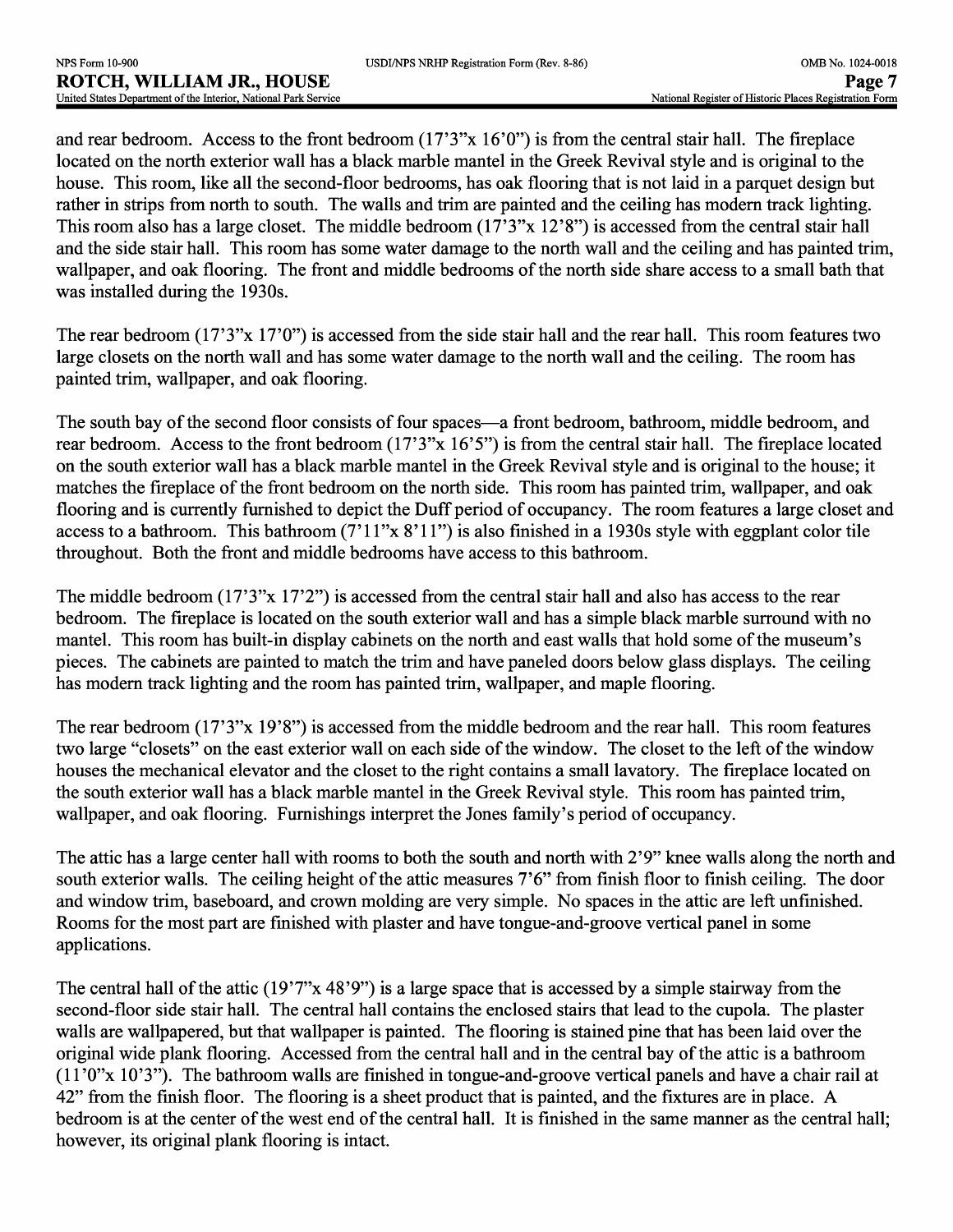| USDI/NPS NRHP Registration Form (Rev. 8-86) |  |  |  |  |
|---------------------------------------------|--|--|--|--|
|---------------------------------------------|--|--|--|--|

and rear bedroom. Access to the front bedroom (17'3"x 16'0") is from the central stair hall. The fireplace located on the north exterior wall has a black marble mantel in the Greek Revival style and is original to the house. This room, like all the second-floor bedrooms, has oak flooring that is not laid in a parquet design but rather in strips from north to south. The walls and trim are painted and the ceiling has modern track lighting. This room also has a large closet. The middle bedroom  $(17'3''x 12'8'')$  is accessed from the central stair hall and the side stair hall. This room has some water damage to the north wall and the ceiling and has painted trim, wallpaper, and oak flooring. The front and middle bedrooms of the north side share access to a small bath that was installed during the 1930s.

The rear bedroom (17'3"x 17'0") is accessed from the side stair hall and the rear hall. This room features two large closets on the north wall and has some water damage to the north wall and the ceiling. The room has painted trim, wallpaper, and oak flooring.

The south bay of the second floor consists of four spaces—a front bedroom, bathroom, middle bedroom, and rear bedroom. Access to the front bedroom (17'3"x 16'5") is from the central stair hall. The fireplace located on the south exterior wall has a black marble mantel in the Greek Revival style and is original to the house; it matches the fireplace of the front bedroom on the north side. This room has painted trim, wallpaper, and oak flooring and is currently furnished to depict the Duff period of occupancy. The room features a large closet and access to a bathroom. This bathroom  $(7'11''x 8'11'')$  is also finished in a 1930s style with eggplant color tile throughout. Both the front and middle bedrooms have access to this bathroom.

The middle bedroom (17'3"x 17'2") is accessed from the central stair hall and also has access to the rear bedroom. The fireplace is located on the south exterior wall and has a simple black marble surround with no mantel. This room has built-in display cabinets on the north and east walls that hold some of the museum's pieces. The cabinets are painted to match the trim and have paneled doors below glass displays. The ceiling has modern track lighting and the room has painted trim, wallpaper, and maple flooring.

The rear bedroom (17'3"x 19'8") is accessed from the middle bedroom and the rear hall. This room features two large "closets" on the east exterior wall on each side of the window. The closet to the left of the window houses the mechanical elevator and the closet to the right contains a small lavatory. The fireplace located on the south exterior wall has a black marble mantel in the Greek Revival style. This room has painted trim, wallpaper, and oak flooring. Furnishings interpret the Jones family's period of occupancy.

The attic has a large center hall with rooms to both the south and north with 2'9" knee walls along the north and south exterior walls. The ceiling height of the attic measures 7'6" from finish floor to finish ceiling. The door and window trim, baseboard, and crown molding are very simple. No spaces in the attic are left unfinished. Rooms for the most part are finished with plaster and have tongue-and-groove vertical panel in some applications.

The central hall of the attic (19'7"x 48'9") is a large space that is accessed by a simple stairway from the second-floor side stair hall. The central hall contains the enclosed stairs that lead to the cupola. The plaster walls are wallpapered, but that wallpaper is painted. The flooring is stained pine that has been laid over the original wide plank flooring. Accessed from the central hall and in the central bay of the attic is a bathroom (11 '0"x 10'3"). The bathroom walls are finished in tongue-and-groove vertical panels and have a chair rail at 42" from the finish floor. The flooring is a sheet product that is painted, and the fixtures are in place. A bedroom is at the center of the west end of the central hall. It is finished in the same manner as the central hall; however, its original plank flooring is intact.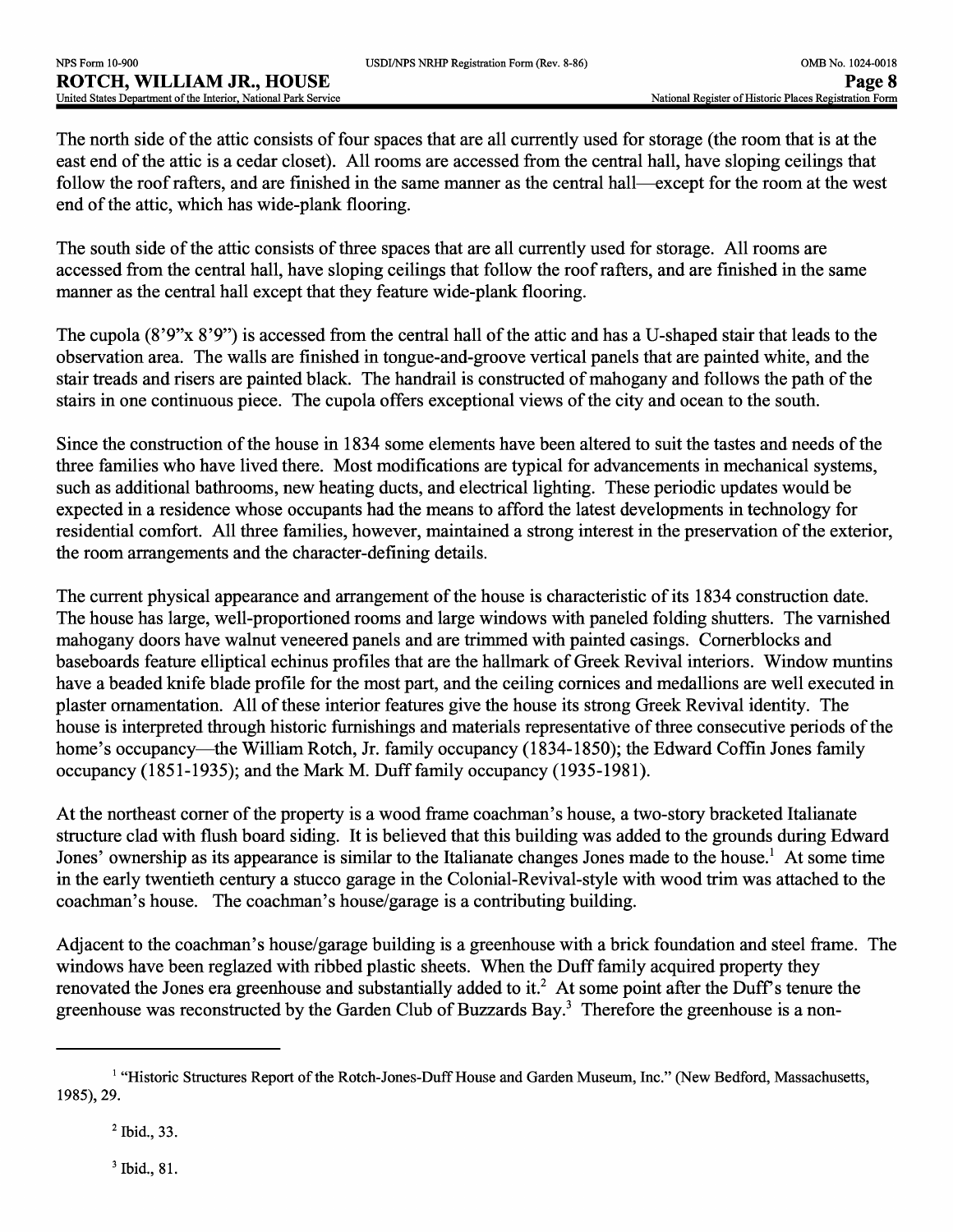The north side of the attic consists of four spaces that are all currently used for storage (the room that is at the east end of the attic is a cedar closet). All rooms are accessed from the central hall, have sloping ceilings that follow the roof rafters, and are finished in the same manner as the central hall—except for the room at the west end of the attic, which has wide-plank flooring.

The south side of the attic consists of three spaces that are all currently used for storage. All rooms are accessed from the central hall, have sloping ceilings that follow the roof rafters, and are finished in the same manner as the central hall except that they feature wide-plank flooring.

The cupola (8'9"x 8'9") is accessed from the central hall of the attic and has a U-shaped stair that leads to the observation area. The walls are finished in tongue-and-groove vertical panels that are painted white, and the stair treads and risers are painted black. The handrail is constructed of mahogany and follows the path of the stairs in one continuous piece. The cupola offers exceptional views of the city and ocean to the south.

Since the construction of the house in 1834 some elements have been altered to suit the tastes and needs of the three families who have lived there. Most modifications are typical for advancements in mechanical systems, such as additional bathrooms, new heating ducts, and electrical lighting. These periodic updates would be expected in a residence whose occupants had the means to afford the latest developments in technology for residential comfort. All three families, however, maintained a strong interest in the preservation of the exterior, the room arrangements and the character-defining details.

The current physical appearance and arrangement of the house is characteristic of its 1834 construction date. The house has large, well-proportioned rooms and large windows with paneled folding shutters. The varnished mahogany doors have walnut veneered panels and are trimmed with painted casings. Cornerblocks and baseboards feature elliptical echinus profiles that are the hallmark of Greek Revival interiors. Window muntins have a beaded knife blade profile for the most part, and the ceiling cornices and medallions are well executed in plaster ornamentation. All of these interior features give the house its strong Greek Revival identity. The house is interpreted through historic furnishings and materials representative of three consecutive periods of the home's occupancy—the William Rotch, Jr. family occupancy (1834-1850); the Edward Coffin Jones family occupancy (1851-1935); and the Mark M. Duff family occupancy (1935-1981).

At the northeast corner of the property is a wood frame coachman's house, a two-story bracketed Italianate structure clad with flush board siding. It is believed that this building was added to the grounds during Edward Jones' ownership as its appearance is similar to the Italianate changes Jones made to the house.<sup>1</sup> At some time in the early twentieth century a stucco garage in the Colonial-Revival-style with wood trim was attached to the coachman's house. The coachman's house/garage is a contributing building.

Adjacent to the coachman's house/garage building is a greenhouse with a brick foundation and steel frame. The windows have been reglazed with ribbed plastic sheets. When the Duff family acquired property they renovated the Jones era greenhouse and substantially added to it.<sup>2</sup> At some point after the Duff's tenure the greenhouse was reconstructed by the Garden Club of Buzzards Bay.<sup>3</sup> Therefore the greenhouse is a non-

<sup>&</sup>lt;sup>1</sup> "Historic Structures Report of the Rotch-Jones-Duff House and Garden Museum, Inc." (New Bedford, Massachusetts, 1985), 29.

<sup>2</sup> Ibid., 33.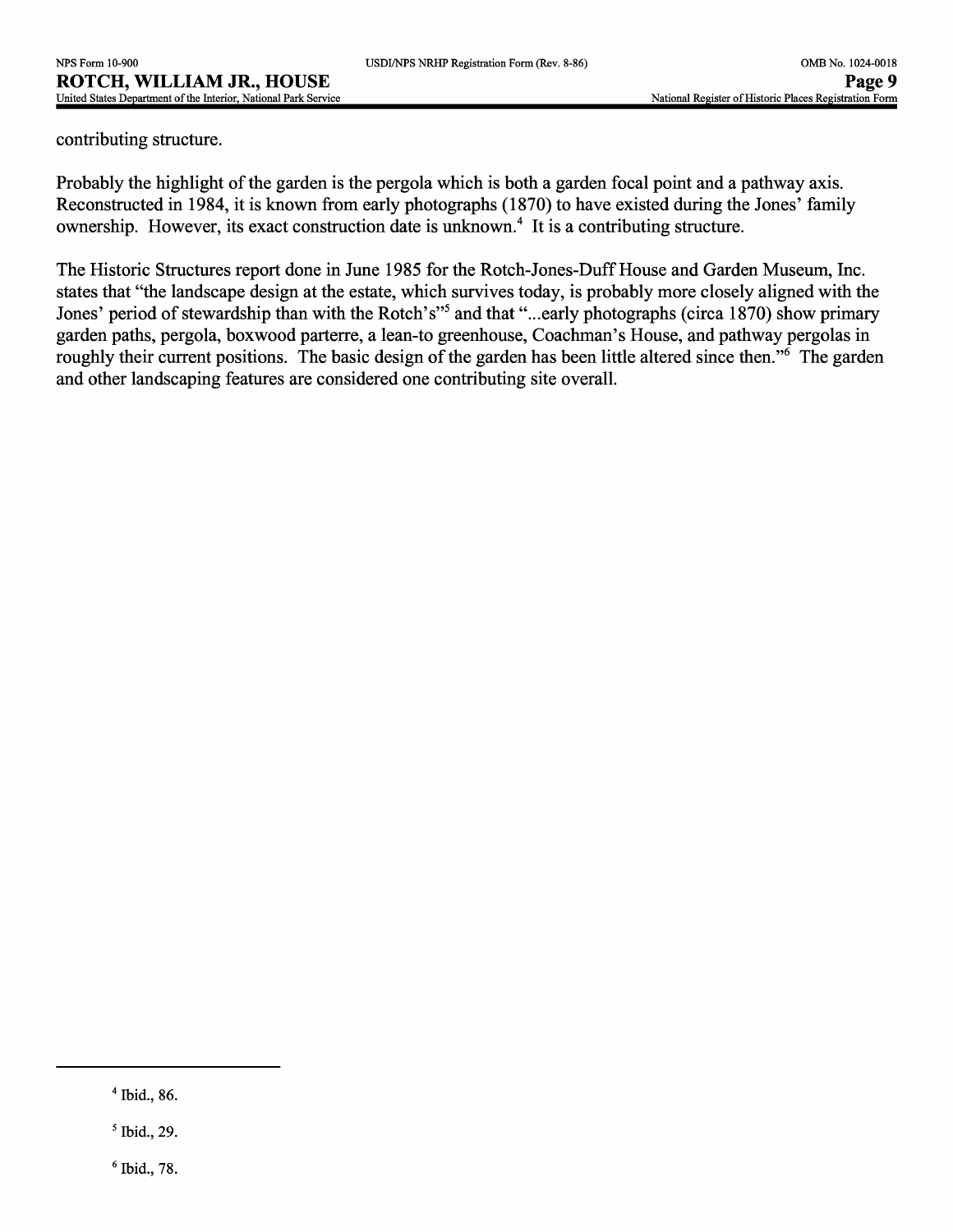| USDI/NPS NRHP Registration Form (Rev. 8-86) |  |
|---------------------------------------------|--|
|---------------------------------------------|--|

contributing structure.

Probably the highlight of the garden is the pergola which is both a garden focal point and a pathway axis. Reconstructed in 1984, it is known from early photographs (1870) to have existed during the Jones' family ownership. However, its exact construction date is unknown.<sup>4</sup> It is a contributing structure.

The Historic Structures report done in June 1985 for the Rotch-Jones-Duff House and Garden Museum, Inc. states that "the landscape design at the estate, which survives today, is probably more closely aligned with the Jones' period of stewardship than with the Rotch's"<sup>5</sup> and that "...early photographs (circa 1870) show primary garden paths, pergola, boxwood parterre, a lean-to greenhouse, Coachman's House, and pathway pergolas in roughly their current positions. The basic design of the garden has been little altered since then."6 The garden and other landscaping features are considered one contributing site overall.

<sup>4</sup> Ibid., 86.

<sup>5</sup> Ibid., 29.

<sup>6</sup> Ibid., 78.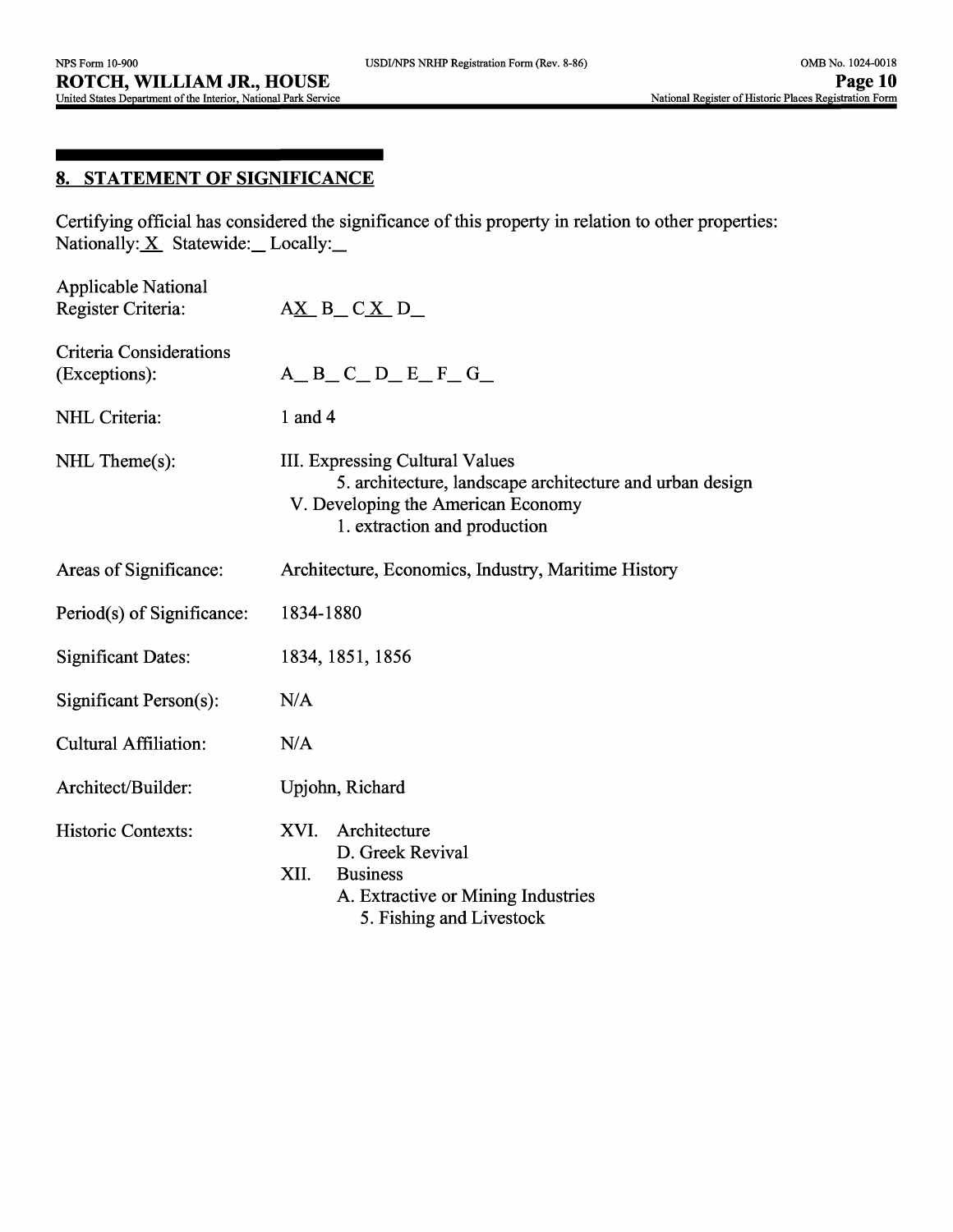## **8. STATEMENT OF SIGNIFICANCE**

Certifying official has considered the significance of this property in relation to other properties: Nationally: <u>X\_</u> Statewide: Locally:

| <b>Applicable National</b><br>Register Criteria: | $AX$ B $C X$ D                                                                                                                                                    |
|--------------------------------------------------|-------------------------------------------------------------------------------------------------------------------------------------------------------------------|
| Criteria Considerations<br>(Exceptions):         | $A$ <sub>-</sub> $B$ <sub>-</sub> $C$ <sub>-</sub> $D$ <sub>-<math>E</math></sub> $F$ <sub>-</sub> $G$ <sub>-</sub>                                               |
| NHL Criteria:                                    | 1 and 4                                                                                                                                                           |
| $NHL$ Theme $(s)$ :                              | III. Expressing Cultural Values<br>5. architecture, landscape architecture and urban design<br>V. Developing the American Economy<br>1. extraction and production |
| Areas of Significance:                           | Architecture, Economics, Industry, Maritime History                                                                                                               |
| Period(s) of Significance:                       | 1834-1880                                                                                                                                                         |
| <b>Significant Dates:</b>                        | 1834, 1851, 1856                                                                                                                                                  |
| Significant Person(s):                           | N/A                                                                                                                                                               |
| <b>Cultural Affiliation:</b>                     | N/A                                                                                                                                                               |
| Architect/Builder:                               | Upjohn, Richard                                                                                                                                                   |
| <b>Historic Contexts:</b>                        | Architecture<br>XVI.<br>D. Greek Revival<br>XII.<br><b>Business</b><br>A. Extractive or Mining Industries<br>5. Fishing and Livestock                             |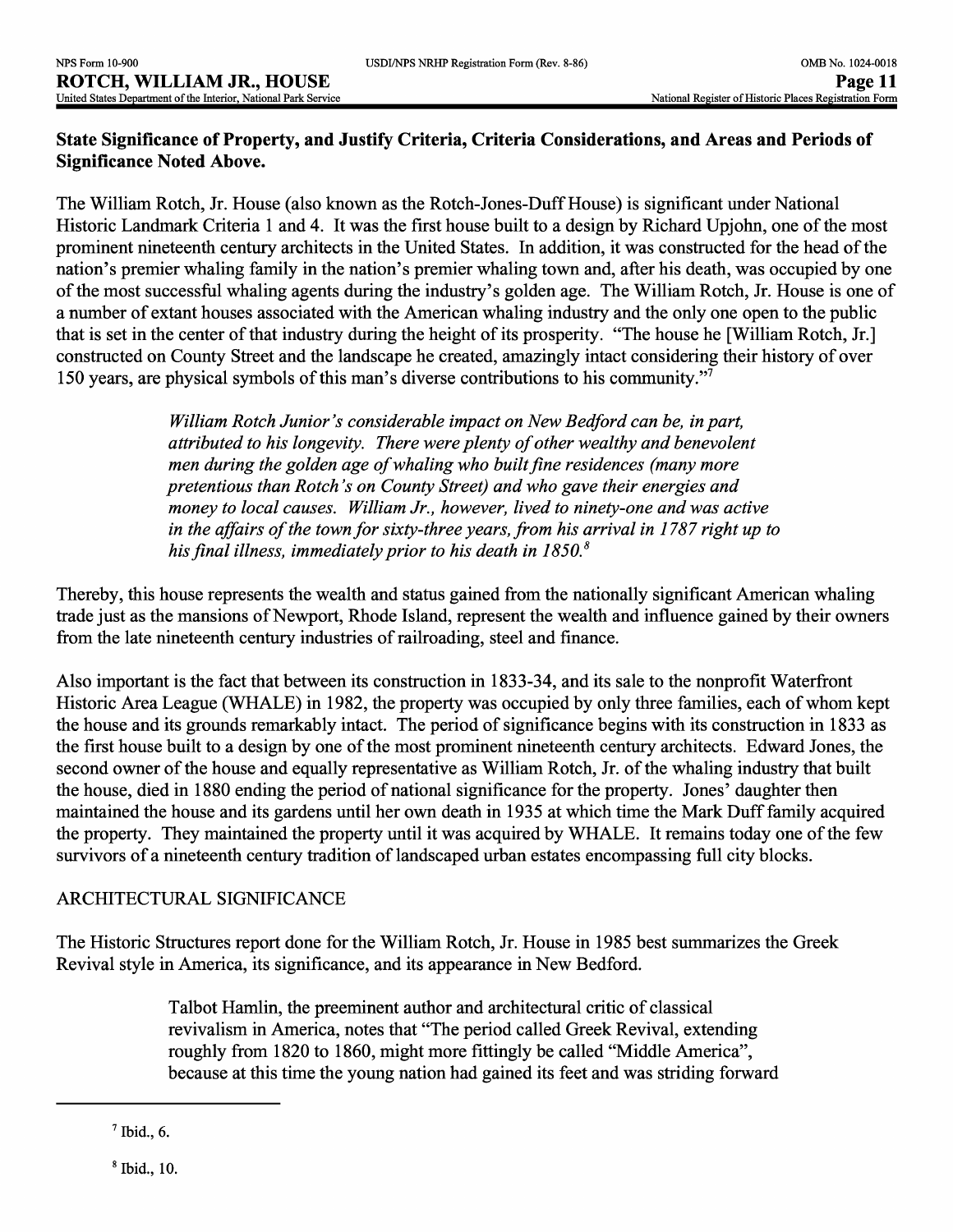## **State Significance of Property, and Justify Criteria, Criteria Considerations, and Areas and Periods of Significance Noted Above.**

The William Rotch, Jr. House (also known as the Rotch-Jones-Duff House) is significant under National Historic Landmark Criteria 1 and 4. It was the first house built to a design by Richard Upjohn, one of the most prominent nineteenth century architects in the United States. In addition, it was constructed for the head of the nation's premier whaling family in the nation's premier whaling town and, after his death, was occupied by one of the most successful whaling agents during the industry's golden age. The William Rotch, Jr. House is one of a number of extant houses associated with the American whaling industry and the only one open to the public that is set in the center of that industry during the height of its prosperity. "The house he [William Rotch, Jr.] constructed on County Street and the landscape he created, amazingly intact considering their history of over 150 years, are physical symbols of this man's diverse contributions to his community."7

> *William Rotch Junior's considerable impact on New Bedford can be, in part, attributed to his longevity. There were plenty of other wealthy and benevolent men during the golden age of whaling who built fine residences (many more pretentious than Rotch's on County Street) and who gave their energies and money to local causes. William Jr., however, lived to ninety-one and was active*  in the affairs of the town for sixty-three years, from his arrival in 1787 right up to *his final illness, immediately prior to his death in 1850. <sup>8</sup>*

Thereby, this house represents the wealth and status gained from the nationally significant American whaling trade just as the mansions of Newport, Rhode Island, represent the wealth and influence gained by their owners from the late nineteenth century industries of railroading, steel and finance.

Also important is the fact that between its construction in 1833-34, and its sale to the nonprofit Waterfront Historic Area League (WHALE) in 1982, the property was occupied by only three families, each of whom kept the house and its grounds remarkably intact. The period of significance begins with its construction in 1833 as the first house built to a design by one of the most prominent nineteenth century architects. Edward Jones, the second owner of the house and equally representative as William Rotch, Jr. of the whaling industry that built the house, died in 1880 ending the period of national significance for the property. Jones' daughter then maintained the house and its gardens until her own death in 1935 at which time the Mark Duff family acquired the property. They maintained the property until it was acquired by WHALE. It remains today one of the few survivors of a nineteenth century tradition of landscaped urban estates encompassing full city blocks.

# ARCHITECTURAL SIGNIFICANCE

The Historic Structures report done for the William Rotch, Jr. House in 1985 best summarizes the Greek Revival style in America, its significance, and its appearance in New Bedford.

> Talbot Hamlin, the preeminent author and architectural critic of classical revivalism in America, notes that "The period called Greek Revival, extending roughly from 1820 to 1860, might more fittingly be called "Middle America", because at this time the young nation had gained its feet and was striding forward

 $<sup>7</sup>$  Ibid., 6.</sup>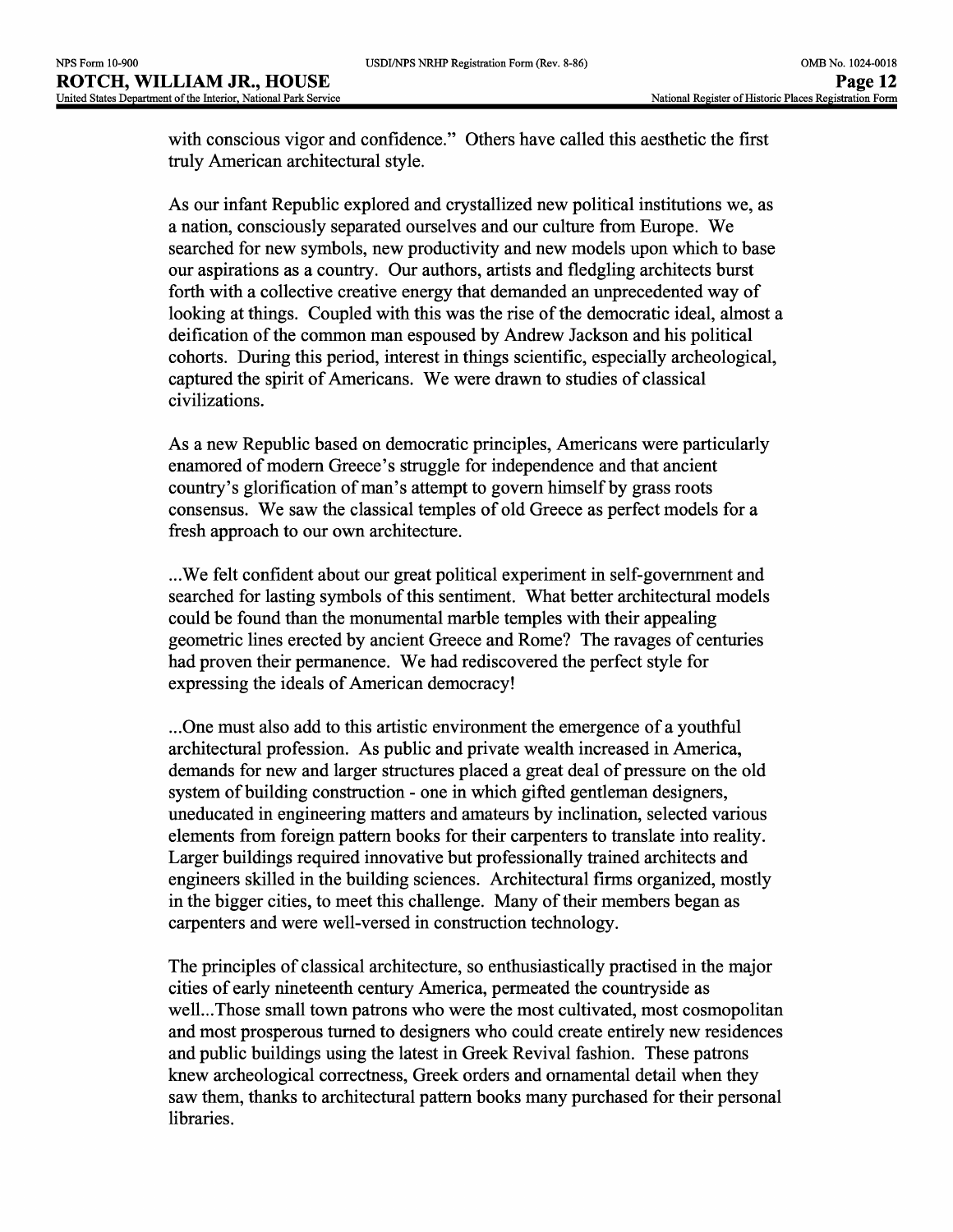with conscious vigor and confidence." Others have called this aesthetic the first truly American architectural style.

As our infant Republic explored and crystallized new political institutions we, as a nation, consciously separated ourselves and our culture from Europe. We searched for new symbols, new productivity and new models upon which to base our aspirations as a country. Our authors, artists and fledgling architects burst forth with a collective creative energy that demanded an unprecedented way of looking at things. Coupled with this was the rise of the democratic ideal, almost a deification of the common man espoused by Andrew Jackson and his political cohorts. During this period, interest in things scientific, especially archeological, captured the spirit of Americans. We were drawn to studies of classical civilizations.

As a new Republic based on democratic principles, Americans were particularly enamored of modern Greece's struggle for independence and that ancient country's glorification of man's attempt to govern himself by grass roots consensus. We saw the classical temples of old Greece as perfect models for a fresh approach to our own architecture.

...We felt confident about our great political experiment in self-government and searched for lasting symbols of this sentiment. What better architectural models could be found than the monumental marble temples with their appealing geometric lines erected by ancient Greece and Rome? The ravages of centuries had proven their permanence. We had rediscovered the perfect style for expressing the ideals of American democracy!

...One must also add to this artistic environment the emergence of a youthful architectural profession. As public and private wealth increased in America, demands for new and larger structures placed a great deal of pressure on the old system of building construction - one in which gifted gentleman designers, uneducated in engineering matters and amateurs by inclination, selected various elements from foreign pattern books for their carpenters to translate into reality. Larger buildings required innovative but professionally trained architects and engineers skilled in the building sciences. Architectural firms organized, mostly in the bigger cities, to meet this challenge. Many of their members began as carpenters and were well-versed in construction technology.

The principles of classical architecture, so enthusiastically practised in the major cities of early nineteenth century America, permeated the countryside as well...Those small town patrons who were the most cultivated, most cosmopolitan and most prosperous turned to designers who could create entirely new residences and public buildings using the latest in Greek Revival fashion. These patrons knew archeological correctness, Greek orders and ornamental detail when they saw them, thanks to architectural pattern books many purchased for their personal libraries.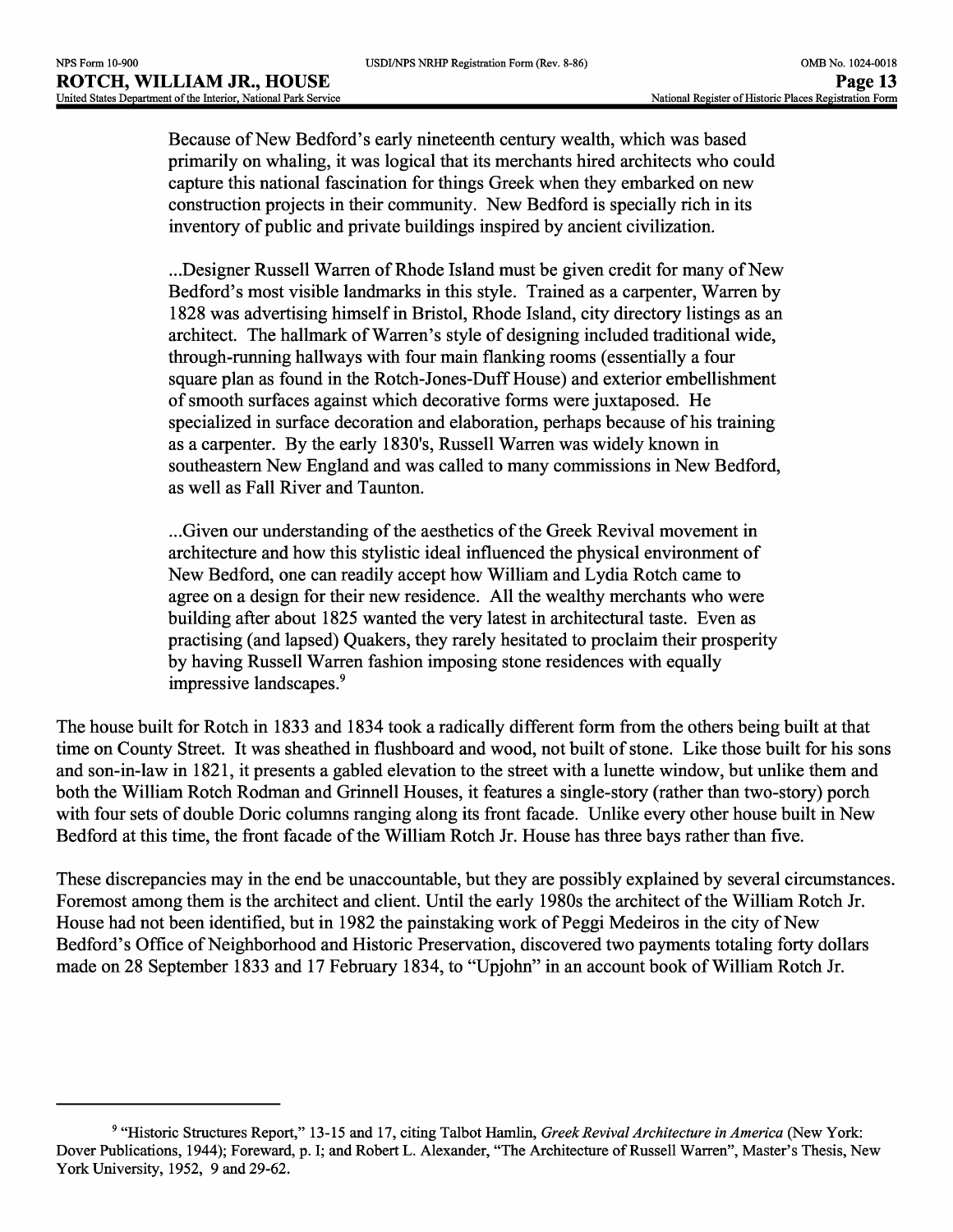Because of New Bedford's early nineteenth century wealth, which was based primarily on whaling, it was logical that its merchants hired architects who could capture this national fascination for things Greek when they embarked on new construction projects in their community. New Bedford is specially rich in its inventory of public and private buildings inspired by ancient civilization.

...Designer Russell Warren of Rhode Island must be given credit for many of New Bedford's most visible landmarks in this style. Trained as a carpenter, Warren by 1828 was advertising himself in Bristol, Rhode Island, city directory listings as an architect. The hallmark of Warren's style of designing included traditional wide, through-running hallways with four main flanking rooms (essentially a four square plan as found in the Rotch-Jones-Duff House) and exterior embellishment of smooth surfaces against which decorative forms were juxtaposed. He specialized in surface decoration and elaboration, perhaps because of his training as a carpenter. By the early 1830's, Russell Warren was widely known in southeastern New England and was called to many commissions in New Bedford, as well as Fall River and Taunton.

...Given our understanding of the aesthetics of the Greek Revival movement in architecture and how this stylistic ideal influenced the physical environment of New Bedford, one can readily accept how William and Lydia Rotch came to agree on a design for their new residence. All the wealthy merchants who were building after about 1825 wanted the very latest in architectural taste. Even as practising (and lapsed) Quakers, they rarely hesitated to proclaim their prosperity by having Russell Warren fashion imposing stone residences with equally impressive landscapes.<sup>9</sup>

The house built for Rotch in 1833 and 1834 took a radically different form from the others being built at that time on County Street. It was sheathed in flushboard and wood, not built of stone. Like those built for his sons and son-in-law in 1821, it presents a gabled elevation to the street with a lunette window, but unlike them and both the William Rotch Rodman and Grinnell Houses, it features a single-story (rather than two-story) porch with four sets of double Doric columns ranging along its front facade. Unlike every other house built in New Bedford at this time, the front facade of the William Rotch Jr. House has three bays rather than five.

These discrepancies may in the end be unaccountable, but they are possibly explained by several circumstances. Foremost among them is the architect and client. Until the early 1980s the architect of the William Rotch Jr. House had not been identified, but in 1982 the painstaking work of Peggi Medeiros in the city of New Bedford's Office of Neighborhood and Historic Preservation, discovered two payments totaling forty dollars made on 28 September 1833 and 17 February 1834, to "Upjohn" in an account book of William Rotch Jr.

<sup>9 &</sup>quot;Historic Structures Report," 13-15 and 17, citing Talbot Hamlin, *Greek Revival Architecture in America* (New York: Dover Publications, 1944); Foreward, p. I; and Robert L. Alexander, "The Architecture of Russell Warren", Master's Thesis, New York University, 1952, 9 and 29-62.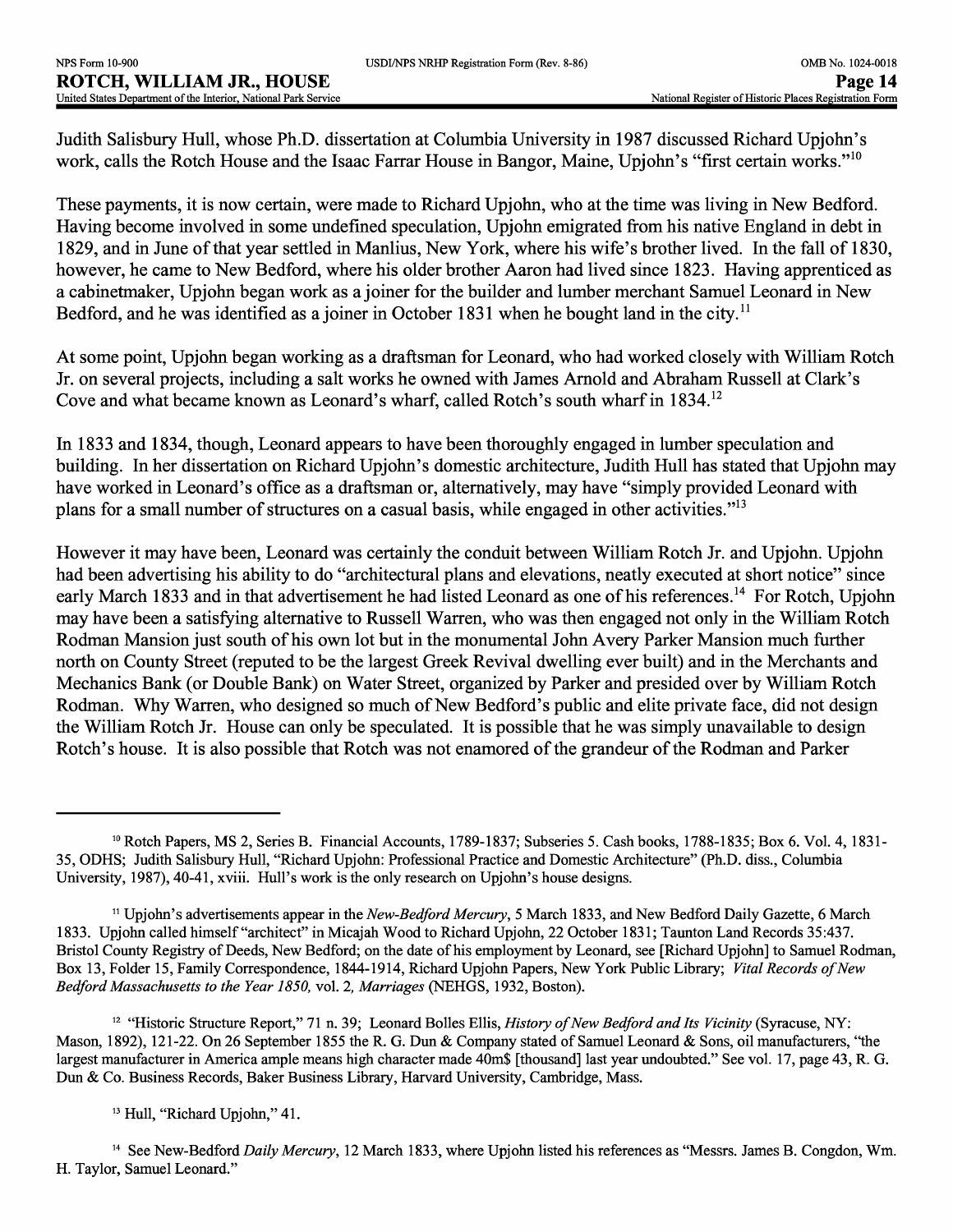Judith Salisbury Hull, whose Ph.D. dissertation at Columbia University in 1987 discussed Richard Upjohn's work, calls the Rotch House and the Isaac Farrar House in Bangor, Maine, Upjohn's "first certain works."<sup>10</sup>

These payments, it is now certain, were made to Richard Upjohn, who at the time was living in New Bedford. Having become involved in some undefined speculation, Upjohn emigrated from his native England in debt in 1829, and in June of that year settled in Manlius, New York, where his wife's brother lived. In the fall of 1830, however, he came to New Bedford, where his older brother Aaron had lived since 1823. Having apprenticed as a cabinetmaker, Upjohn began work as a joiner for the builder and lumber merchant Samuel Leonard in New Bedford, and he was identified as a joiner in October 1831 when he bought land in the city.<sup>11</sup>

At some point, Upjohn began working as a draftsman for Leonard, who had worked closely with William Rotch Jr. on several projects, including a salt works he owned with James Arnold and Abraham Russell at Clark's Cove and what became known as Leonard's wharf, called Rotch's south wharf in 1834. <sup>12</sup>

In 1833 and 1834, though, Leonard appears to have been thoroughly engaged in lumber speculation and building. In her dissertation on Richard Upjohn's domestic architecture, Judith Hull has stated that Upjohn may have worked in Leonard's office as a draftsman or, alternatively, may have "simply provided Leonard with plans for a small number of structures on a casual basis, while engaged in other activities."13

However it may have been, Leonard was certainly the conduit between William Rotch Jr. and Upjohn. Upjohn had been advertising his ability to do "architectural plans and elevations, neatly executed at short notice" since early March 1833 and in that advertisement he had listed Leonard as one of his references.<sup>14</sup> For Rotch, Upjohn may have been a satisfying alternative to Russell Warren, who was then engaged not only in the William Rotch Rodman Mansion just south of his own lot but in the monumental John Avery Parker Mansion much further north on County Street (reputed to be the largest Greek Revival dwelling ever built) and in the Merchants and Mechanics Bank (or Double Bank) on Water Street, organized by Parker and presided over by William Rotch Rodman. Why Warren, who designed so much of New Bedford's public and elite private face, did not design the William Rotch Jr. House can only be speculated. It is possible that he was simply unavailable to design Rotch's house. It is also possible that Rotch was not enamored of the grandeur of the Rodman and Parker

12 "Historic Structure Report," 71 n. 39; Leonard Bolles Ellis, *History of New Bedford and Its Vicinity* (Syracuse, NY: Mason, 1892), 121-22. On 26 September 1855 the R. G. Dun & Company stated of Samuel Leonard & Sons, oil manufacturers, "the largest manufacturer in America ample means high character made 40m\$ [thousand] last year undoubted." See vol. 17, page 43, R. G. Dun & Co. Business Records, Baker Business Library, Harvard University, Cambridge, Mass.

<sup>13</sup> Hull, "Richard Upjohn," 41.

<sup>14</sup> See New-Bedford *Daily Mercury*, 12 March 1833, where Upjohn listed his references as "Messrs. James B. Congdon, Wm. H. Taylor, Samuel Leonard."

<sup>10</sup> Rotch Papers, MS 2, Series B. Financial Accounts, 1789-1837; Subseries 5. Cash books, 1788-1835; Box 6. Vol. 4, 1831- 35, ODHS; Judith Salisbury Hull, "Richard Upjohn: Professional Practice and Domestic Architecture" (Ph.D. diss., Columbia University, 1987), 40-41, xviii. Hull's work is the only research on Upjohn's house designs.

<sup>11</sup> Upjohn's advertisements appear in the *New-Bedford Mercury,* 5 March 1833, and New Bedford Daily Gazette, 6 March 1833. Upjohn called himself "architect" in Micajah Wood to Richard Upjohn, 22 October 1831; Taunton Land Records 35:437. Bristol County Registry of Deeds, New Bedford; on the date of his employment by Leonard, see [Richard Upjohn] to Samuel Rodman, Box 13, Folder 15, Family Correspondence, 1844-1914, Richard Upjohn Papers, New York Public Library; *Vital Records of New Bedford Massachusetts to the Year 1850,* vol. 2, *Marriages* (NEHGS, 1932, Boston).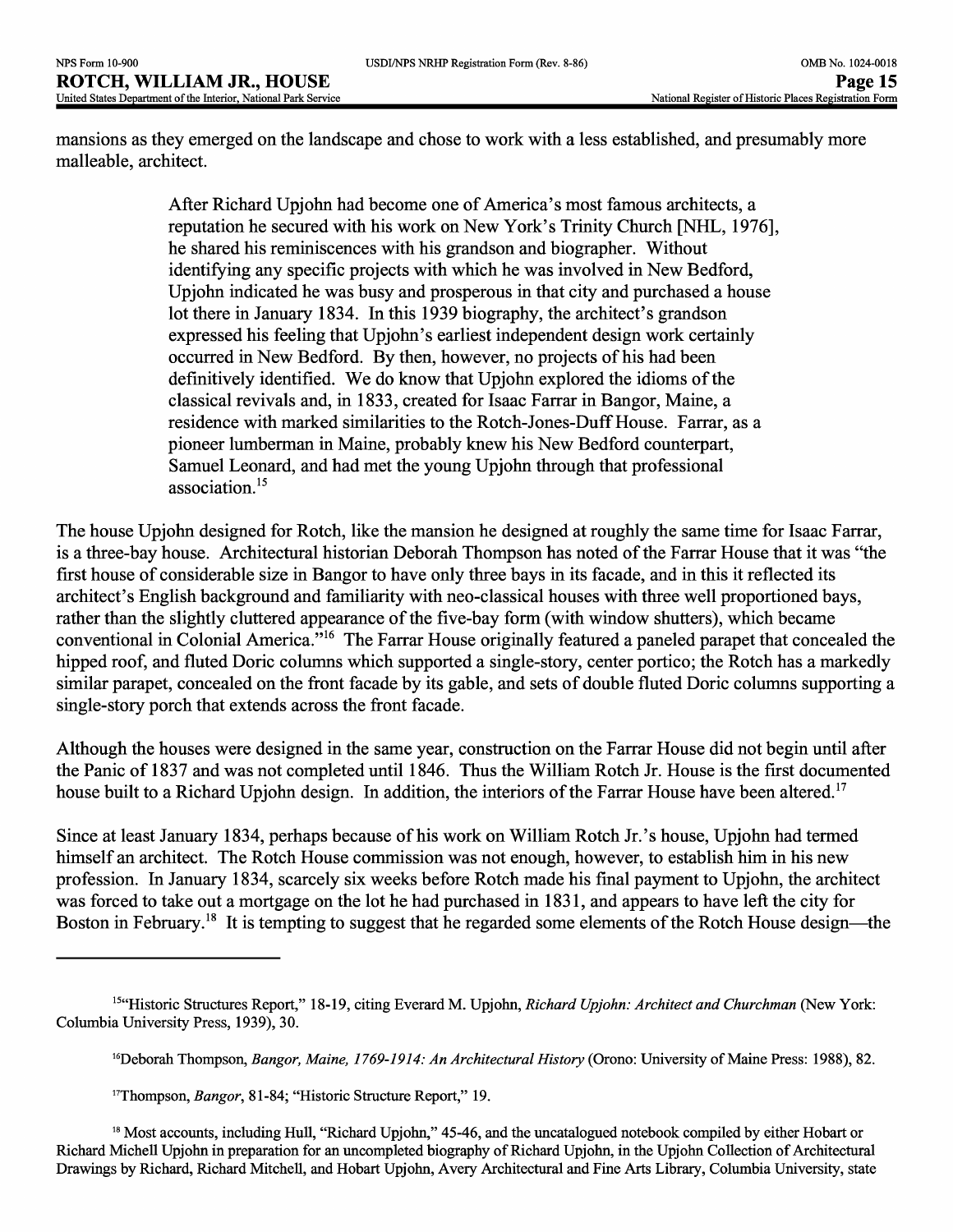mansions as they emerged on the landscape and chose to work with a less established, and presumably more malleable, architect.

> After Richard Upjohn had become one of America's most famous architects, a reputation he secured with his work on New York's Trinity Church [NHL, 1976], he shared his reminiscences with his grandson and biographer. Without identifying any specific projects with which he was involved in New Bedford, Upjohn indicated he was busy and prosperous in that city and purchased a house lot there in January 1834. In this 1939 biography, the architect's grandson expressed his feeling that Upjohn's earliest independent design work certainly occurred in New Bedford. By then, however, no projects of his had been definitively identified. We do know that Upjohn explored the idioms of the classical revivals and, in 1833, created for Isaac Farrar in Bangor, Maine, a residence with marked similarities to the Rotch-Jones-Duff House. Farrar, as a pioneer lumberman in Maine, probably knew his New Bedford counterpart, Samuel Leonard, and had met the young Upjohn through that professional association.<sup>15</sup>

The house Upjohn designed for Rotch, like the mansion he designed at roughly the same time for Isaac Farrar, is a three-bay house. Architectural historian Deborah Thompson has noted of the Farrar House that it was "the first house of considerable size in Bangor to have only three bays in its facade, and in this it reflected its architect's English background and familiarity with neo-classical houses with three well proportioned bays, rather than the slightly cluttered appearance of the five-bay form (with window shutters), which became conventional in Colonial America."<sup>16</sup> The Farrar House originally featured a paneled parapet that concealed the hipped roof, and fluted Doric columns which supported a single-story, center portico; the Rotch has a markedly similar parapet, concealed on the front facade by its gable, and sets of double fluted Doric columns supporting a single-story porch that extends across the front facade.

Although the houses were designed in the same year, construction on the Farrar House did not begin until after the Panic of 1837 and was not completed until 1846. Thus the William Rotch Jr. House is the first documented house built to a Richard Upjohn design. In addition, the interiors of the Farrar House have been altered.<sup>17</sup>

Since at least January 1834, perhaps because of his work on William Rotch Jr.'s house, Upjohn had termed himself an architect. The Rotch House commission was not enough, however, to establish him in his new profession. In January 1834, scarcely six weeks before Rotch made his final payment to Upjohn, the architect was forced to take out a mortgage on the lot he had purchased in 1831, and appears to have left the city for Boston in February.<sup>18</sup> It is tempting to suggest that he regarded some elements of the Rotch House design—the

<sup>18</sup> Most accounts, including Hull, "Richard Upjohn," 45-46, and the uncatalogued notebook compiled by either Hobart or Richard Michell Upjohn in preparation for an uncompleted biography of Richard Upjohn, in the Upjohn Collection of Architectural Drawings by Richard, Richard Mitchell, and Hobart Upjohn, Avery Architectural and Fine Arts Library, Columbia University, state

<sup>15&</sup>quot;Historic Structures Report," 18-19, citing Everard M. Upjohn, *Richard Upjohn: Architect and Churchman* (New York: Columbia University Press, 1939), 30.

<sup>&</sup>lt;sup>16</sup>Deborah Thompson, *Bangor, Maine, 1769-1914: An Architectural History* (Orono: University of Maine Press: 1988), 82.

<sup>&</sup>lt;sup>17</sup>Thompson, *Bangor*, 81-84; "Historic Structure Report," 19.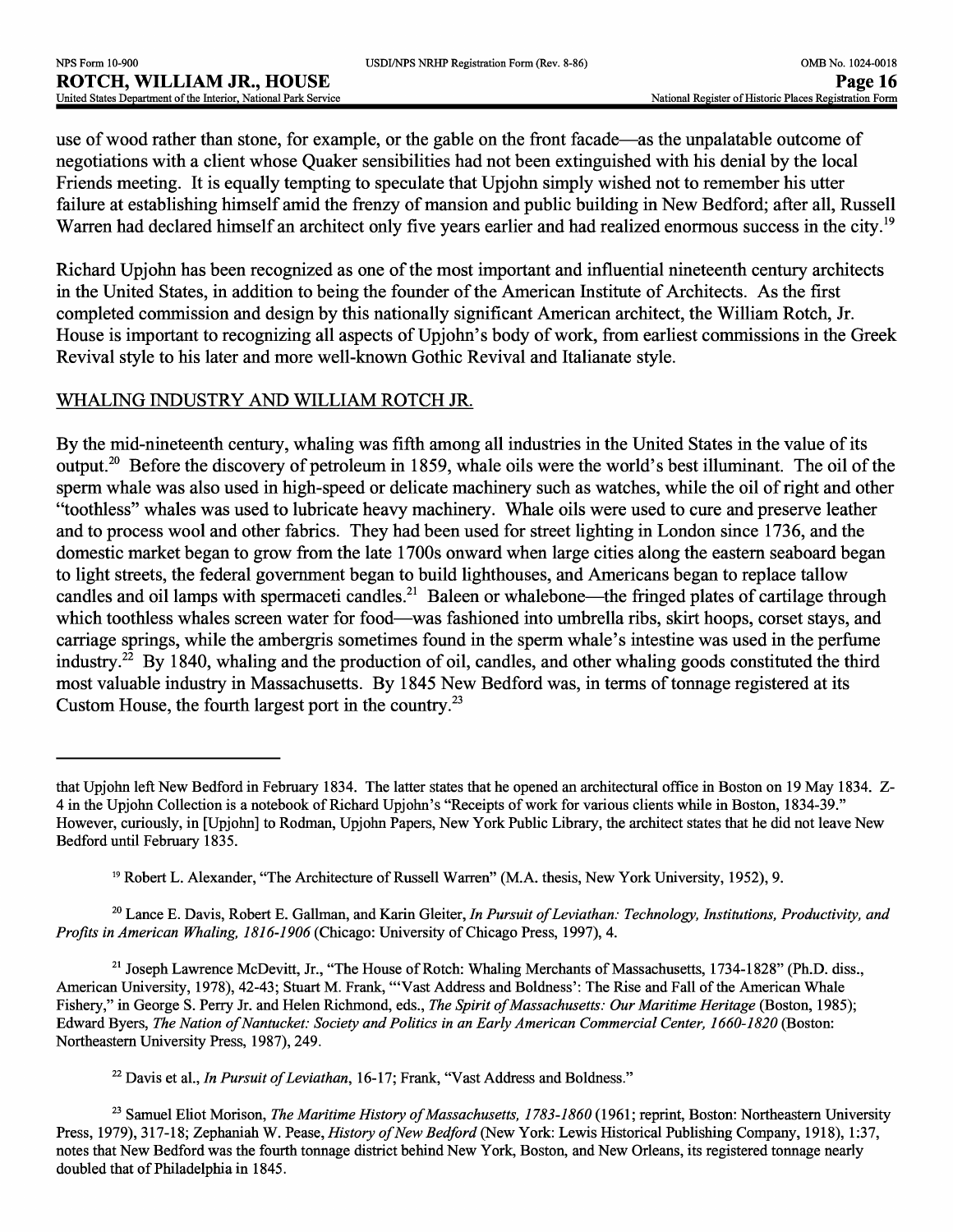use of wood rather than stone, for example, or the gable on the front facade—as the unpalatable outcome of negotiations with a client whose Quaker sensibilities had not been extinguished with his denial by the local Friends meeting. It is equally tempting to speculate that Upjohn simply wished not to remember his utter failure at establishing himself amid the frenzy of mansion and public building in New Bedford; after all, Russell Warren had declared himself an architect only five years earlier and had realized enormous success in the city.<sup>19</sup>

Richard Upjohn has been recognized as one of the most important and influential nineteenth century architects in the United States, in addition to being the founder of the American Institute of Architects. As the first completed commission and design by this nationally significant American architect, the William Rotch, Jr. House is important to recognizing all aspects of Upjohn's body of work, from earliest commissions in the Greek Revival style to his later and more well-known Gothic Revival and Italianate style.

#### WHALING INDUSTRY AND WILLIAM ROTCH JR.

By the mid-nineteenth century, whaling was fifth among all industries in the United States in the value of its output.<sup>20</sup> Before the discovery of petroleum in 1859, whale oils were the world's best illuminant. The oil of the sperm whale was also used in high-speed or delicate machinery such as watches, while the oil of right and other "toothless" whales was used to lubricate heavy machinery. Whale oils were used to cure and preserve leather and to process wool and other fabrics. They had been used for street lighting in London since 1736, and the domestic market began to grow from the late 1700s onward when large cities along the eastern seaboard began to light streets, the federal government began to build lighthouses, and Americans began to replace tallow candles and oil lamps with spermaceti candles.<sup>21</sup> Baleen or whalebone—the fringed plates of cartilage through which toothless whales screen water for food—was fashioned into umbrella ribs, skirt hoops, corset stays, and carriage springs, while the ambergris sometimes found in the sperm whale's intestine was used in the perfume industry.22 By 1840, whaling and the production of oil, candles, and other whaling goods constituted the third most valuable industry in Massachusetts. By 1845 New Bedford was, in terms of tonnage registered at its Custom House, the fourth largest port in the country.23

20 Lance E. Davis, Robert E. Gallman, and Karin Gleiter, *In Pursuit of Leviathan: Technology, Institutions, Productivity, and Profits in American Whaling, 1816-1906 (Chicago:* University of Chicago Press, 1997), 4.

<sup>21</sup> Joseph Lawrence McDevitt, Jr., "The House of Rotch: Whaling Merchants of Massachusetts, 1734-1828" (Ph.D. diss., American University, 1978), 42-43; Stuart M. Frank, '"Vast Address and Boldness': The Rise and Fall of the American Whale Fishery," in George S. Perry Jr. and Helen Richmond, eds., *The Spirit of Massachusetts: Our Maritime Heritage* (Boston, 1985); Edward Byers, *The Nation of Nantucket: Society and Politics in an Early American Commercial Center, 1660-1820 (Boston:* Northeastern University Press, 1987), 249.

<sup>22</sup> Davis et al., *In Pursuit of Leviathan*, 16-17; Frank, "Vast Address and Boldness."

<sup>23</sup> Samuel Eliot Morison, *The Maritime History of Massachusetts, 1783-1860* (1961; reprint, Boston: Northeastern University Press, 1979), 317-18; Zephaniah W. Pease, *History of New Bedford* (New York: Lewis Historical Publishing Company, 1918), 1:37, notes that New Bedford was the fourth tonnage district behind New York, Boston, and New Orleans, its registered tonnage nearly doubled that of Philadelphia in 1845.

that Upjohn left New Bedford in February 1834. The latter states that he opened an architectural office in Boston on 19 May 1834. Z-4 in the Upjohn Collection is a notebook of Richard Upjohn's "Receipts of work for various clients while in Boston, 1834-39." However, curiously, in [Upjohn] to Rodman, Upjohn Papers, New York Public Library, the architect states that he did not leave New Bedford until February 1835.

<sup>19</sup> Robert L. Alexander, "The Architecture of Russell Warren" (M.A. thesis, New York University, 1952), 9.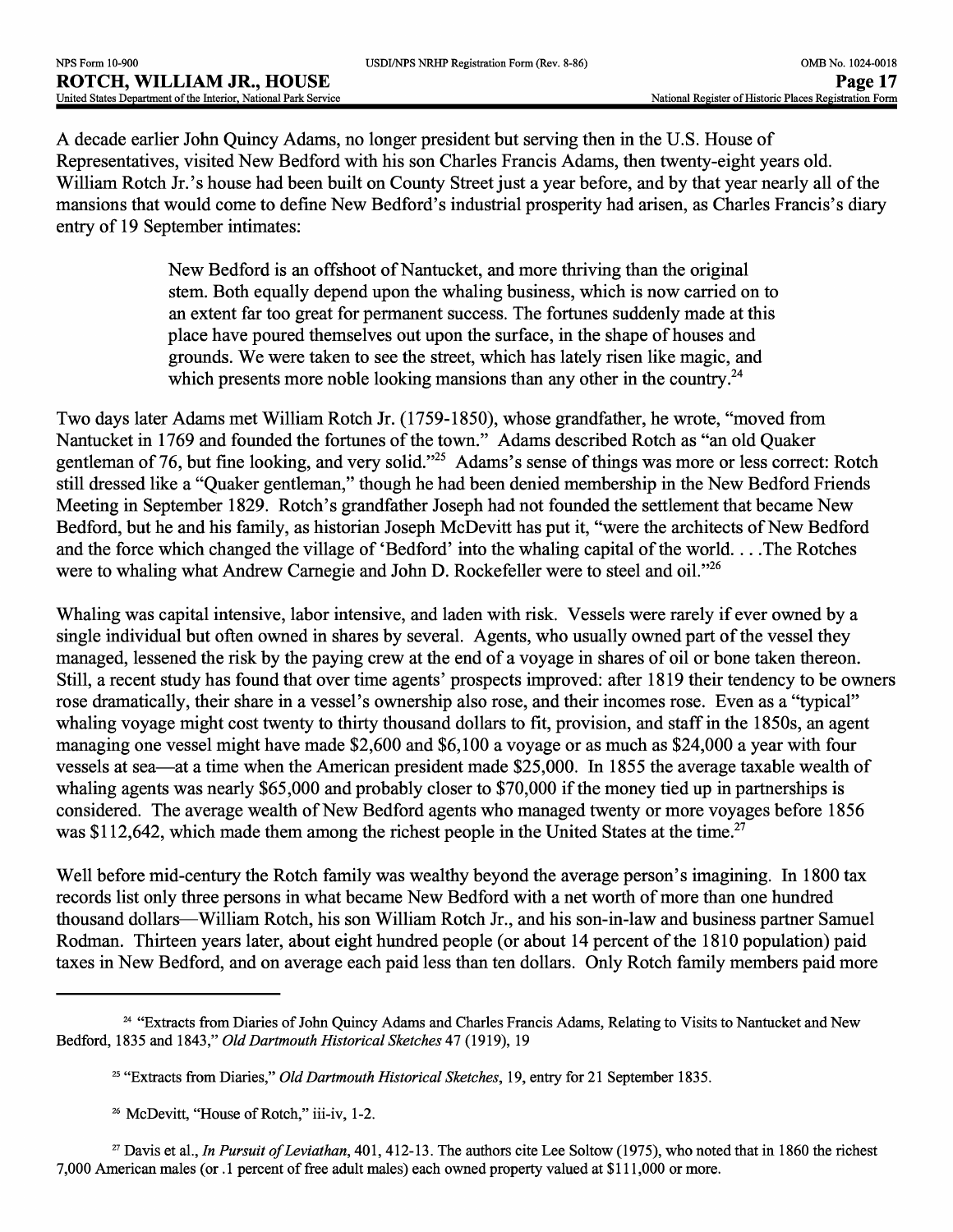A decade earlier John Quincy Adams, no longer president but serving then in the U.S. House of Representatives, visited New Bedford with his son Charles Francis Adams, then twenty-eight years old. William Rotch Jr.'s house had been built on County Street just a year before, and by that year nearly all of the mansions that would come to define New Bedford's industrial prosperity had arisen, as Charles Francis's diary entry of 19 September intimates:

> New Bedford is an offshoot of Nantucket, and more thriving than the original stem. Both equally depend upon the whaling business, which is now carried on to an extent far too great for permanent success. The fortunes suddenly made at this place have poured themselves out upon the surface, in the shape of houses and grounds. We were taken to see the street, which has lately risen like magic, and which presents more noble looking mansions than any other in the country.<sup>24</sup>

Two days later Adams met William Rotch Jr. (1759-1850), whose grandfather, he wrote, "moved from Nantucket in 1769 and founded the fortunes of the town." Adams described Rotch as "an old Quaker gentleman of 76, but fine looking, and very solid."25 Adams's sense of things was more or less correct: Rotch still dressed like a "Quaker gentleman," though he had been denied membership in the New Bedford Friends Meeting in September 1829. Rotch's grandfather Joseph had not founded the settlement that became New Bedford, but he and his family, as historian Joseph McDevitt has put it, "were the architects of New Bedford and the force which changed the village of 'Bedford' into the whaling capital of the world... .The Rotches were to whaling what Andrew Carnegie and John D. Rockefeller were to steel and oil."<sup>26</sup>

Whaling was capital intensive, labor intensive, and laden with risk. Vessels were rarely if ever owned by a single individual but often owned in shares by several. Agents, who usually owned part of the vessel they managed, lessened the risk by the paying crew at the end of a voyage in shares of oil or bone taken thereon. Still, a recent study has found that over time agents' prospects improved: after 1819 their tendency to be owners rose dramatically, their share in a vessel's ownership also rose, and their incomes rose. Even as a "typical" whaling voyage might cost twenty to thirty thousand dollars to fit, provision, and staff in the 1850s, an agent managing one vessel might have made \$2,600 and \$6,100 a voyage or as much as \$24,000 a year with four vessels at sea—at a time when the American president made \$25,000. In 1855 the average taxable wealth of whaling agents was nearly \$65,000 and probably closer to \$70,000 if the money tied up in partnerships is considered. The average wealth of New Bedford agents who managed twenty or more voyages before 1856 was \$112,642, which made them among the richest people in the United States at the time.<sup>27</sup>

Well before mid-century the Rotch family was wealthy beyond the average person's imagining. In 1800 tax records list only three persons in what became New Bedford with a net worth of more than one hundred thousand dollars—William Rotch, his son William Rotch Jr., and his son-in-law and business partner Samuel Rodman. Thirteen years later, about eight hundred people (or about 14 percent of the 1810 population) paid taxes in New Bedford, and on average each paid less than ten dollars. Only Rotch family members paid more

<sup>27</sup> Davis et al., *In Pursuit of Leviathan*, 401, 412-13. The authors cite Lee Soltow (1975), who noted that in 1860 the richest 7,000 American males (or .1 percent of free adult males) each owned property valued at \$111,000 or more.

<sup>&</sup>lt;sup>24</sup> "Extracts from Diaries of John Quincy Adams and Charles Francis Adams, Relating to Visits to Nantucket and New Bedford, 1835 and 1843," *Old Dartmouth Historical Sketches* 47 (1919), 19

<sup>25 &</sup>quot;Extracts from Diaries," *Old Dartmouth Historical Sketches,* 19, entry for 21 September 1835.

<sup>&</sup>lt;sup>26</sup> McDevitt, "House of Rotch," iii-iv, 1-2.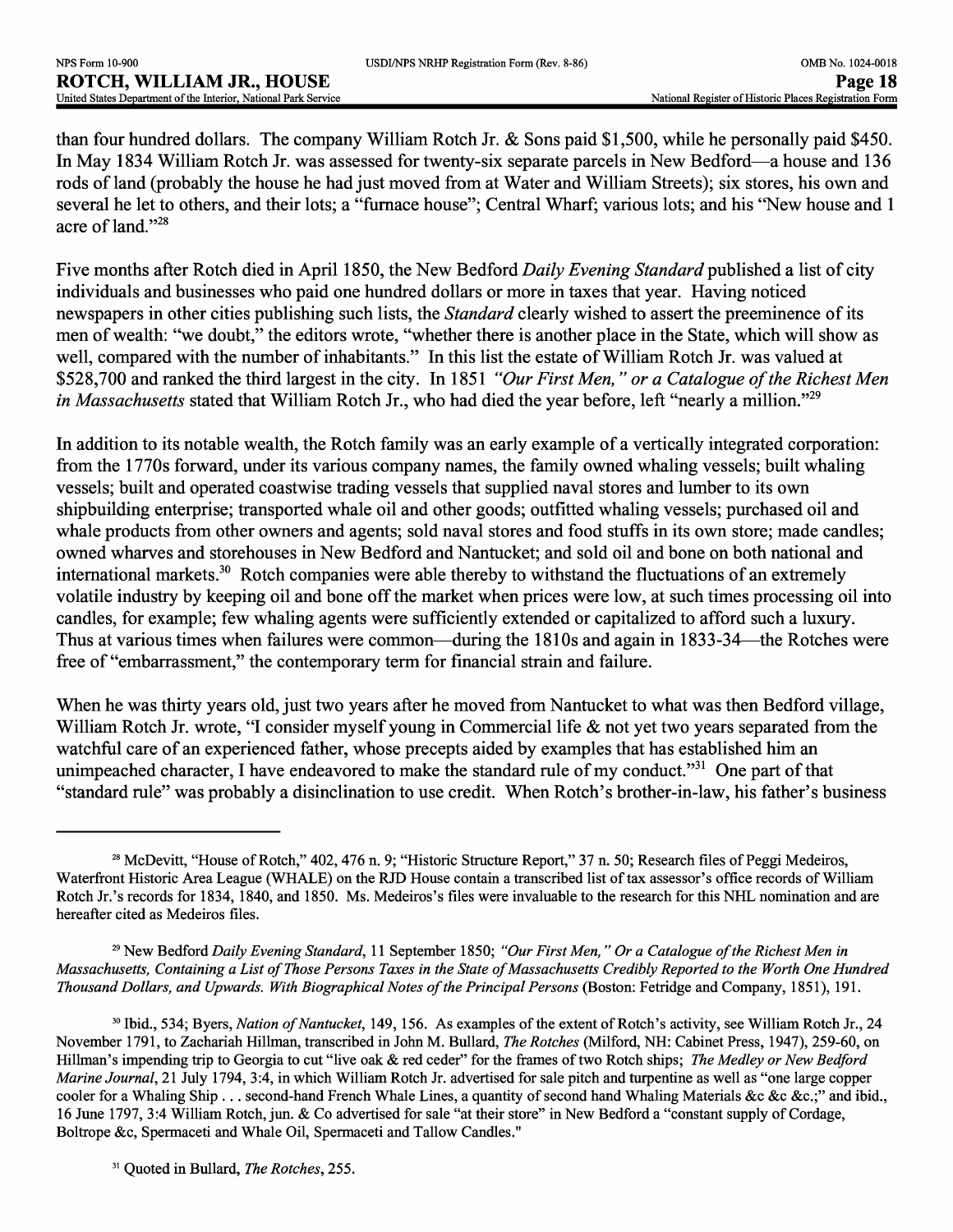than four hundred dollars. The company William Rotch Jr. & Sons paid \$1,500, while he personally paid \$450. In May 1834 William Rotch Jr. was assessed for twenty-six separate parcels in New Bedford—a house and 136 rods of land (probably the house he had just moved from at Water and William Streets); six stores, his own and several he let to others, and their lots; a "furnace house"; Central Wharf; various lots; and his "New house and 1 acre of land."28

Five months after Rotch died in April 1850, the New Bedford *Daily Evening Standard* published a list of city individuals and businesses who paid one hundred dollars or more in taxes that year. Having noticed newspapers in other cities publishing such lists, the *Standard* clearly wished to assert the preeminence of its men of wealth: "we doubt," the editors wrote, "whether there is another place in the State, which will show as well, compared with the number of inhabitants." In this list the estate of William Rotch Jr. was valued at \$528,700 and ranked the third largest in the city. In 1851 *"Our First Men, " or a Catalogue of the Richest Men in Massachusetts* stated that William Rotch Jr., who had died the year before, left "nearly a million."29

In addition to its notable wealth, the Rotch family was an early example of a vertically integrated corporation: from the 1770s forward, under its various company names, the family owned whaling vessels; built whaling vessels; built and operated coastwise trading vessels that supplied naval stores and lumber to its own shipbuilding enterprise; transported whale oil and other goods; outfitted whaling vessels; purchased oil and whale products from other owners and agents; sold naval stores and food stuffs in its own store; made candles; owned wharves and storehouses in New Bedford and Nantucket; and sold oil and bone on both national and international markets.<sup>30</sup> Rotch companies were able thereby to withstand the fluctuations of an extremely volatile industry by keeping oil and bone off the market when prices were low, at such times processing oil into candles, for example; few whaling agents were sufficiently extended or capitalized to afford such a luxury. Thus at various times when failures were common—during the 1810s and again in 1833-34—the Rotches were free of "embarrassment," the contemporary term for financial strain and failure.

When he was thirty years old, just two years after he moved from Nantucket to what was then Bedford village, William Rotch Jr. wrote, "I consider myself young in Commercial life & not yet two years separated from the watchful care of an experienced father, whose precepts aided by examples that has established him an unimpeached character, I have endeavored to make the standard rule of my conduct."<sup>31</sup> One part of that "standard rule" was probably a disinclination to use credit. When Rotch's brother-in-law, his father's business

29 New Bedford *Daily Evening Standard,* 11 September 1850; *"Our First Men, " Or a Catalogue of the Richest Men in Massachusetts, Containing a List of Those Persons Taxes in the State of Massachusetts Credibly Reported to the Worth One Hundred Thousand Dollars, and Upwards. With Biographical Notes of the Principal Persons* (Boston: Fetridge and Company, 1851), 191.

30 Ibid., 534; Byers, *Nation of Nantucket,* 149, 156. As examples of the extent of Rotch's activity, see William Rotch Jr., 24 November 1791, to Zachariah Hillman, transcribed in John M. Bullard, *The Rotches* (Milford, NH: Cabinet Press, 1947), 259-60, on Hillman's impending trip to Georgia to cut "live oak & red ceder" for the frames of two Rotch ships; *The Medley or New Bedford Marine Journal,* 21 July 1794, 3:4, in which William Rotch Jr. advertised for sale pitch and turpentine as well as "one large copper cooler for a Whaling Ship ... second-hand French Whale Lines, a quantity of second hand Whaling Materials &c &c &c.;" and ibid., 16 June 1797, 3:4 William Rotch, jun. & Co advertised for sale "at their store" in New Bedford a "constant supply of Cordage, Boltrope &c, Spermaceti and Whale Oil, Spermaceti and Tallow Candles."

<sup>&</sup>lt;sup>28</sup> McDevitt, "House of Rotch," 402, 476 n. 9; "Historic Structure Report," 37 n. 50; Research files of Peggi Medeiros, Waterfront Historic Area League (WHALE) on the RJD House contain a transcribed list of tax assessor's office records of William Rotch Jr.'s records for 1834, 1840, and 1850. Ms. Medeiros's files were invaluable to the research for this NHL nomination and are hereafter cited as Medeiros files.

<sup>31</sup> Quoted in Bullard, *The Rotches,* 255.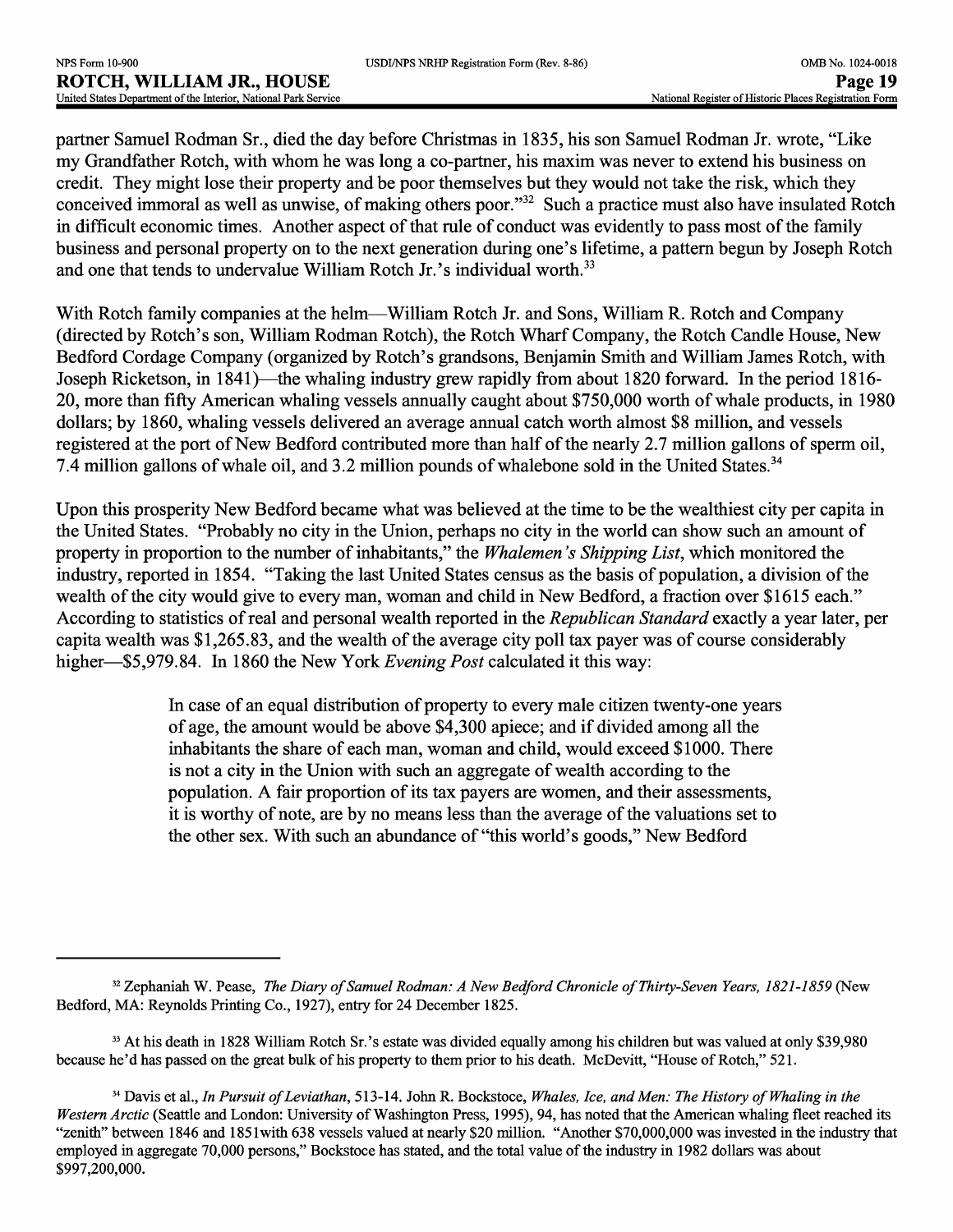partner Samuel Rodman Sr., died the day before Christmas in 1835, his son Samuel Rodman Jr. wrote, "Like my Grandfather Rotch, with whom he was long a co-partner, his maxim was never to extend his business on credit. They might lose their property and be poor themselves but they would not take the risk, which they conceived immoral as well as unwise, of making others poor."<sup>32</sup> Such a practice must also have insulated Rotch in difficult economic times. Another aspect of that rule of conduct was evidently to pass most of the family business and personal property on to the next generation during one's lifetime, a pattern begun by Joseph Rotch and one that tends to undervalue William Rotch Jr.'s individual worth.<sup>33</sup>

With Rotch family companies at the helm—William Rotch Jr. and Sons, William R. Rotch and Company (directed by Rotch's son, William Rodman Rotch), the Rotch Wharf Company, the Rotch Candle House, New Bedford Cordage Company (organized by Rotch's grandsons, Benjamin Smith and William James Rotch, with Joseph Ricketson, in 1841)—the whaling industry grew rapidly from about 1820 forward. In the period 1816-20, more than fifty American whaling vessels annually caught about \$750,000 worth of whale products, in 1980 dollars; by 1860, whaling vessels delivered an average annual catch worth almost \$8 million, and vessels registered at the port of New Bedford contributed more than half of the nearly 2.7 million gallons of sperm oil, 7.4 million gallons of whale oil, and 3.2 million pounds of whalebone sold in the United States.<sup>34</sup>

Upon this prosperity New Bedford became what was believed at the time to be the wealthiest city per capita in the United States. "Probably no city in the Union, perhaps no city in the world can show such an amount of property in proportion to the number of inhabitants," the *Whalemen's Shipping List,* which monitored the industry, reported in 1854. "Taking the last United States census as the basis of population, a division of the wealth of the city would give to every man, woman and child in New Bedford, a fraction over \$1615 each." According to statistics of real and personal wealth reported in the *Republican Standard* exactly a year later, per capita wealth was \$1,265.83, and the wealth of the average city poll tax payer was of course considerably higher \$5,979.84. In 1860 the New York *Evening Post* calculated it this way:

> In case of an equal distribution of property to every male citizen twenty-one years of age, the amount would be above \$4,300 apiece; and if divided among all the inhabitants the share of each man, woman and child, would exceed \$1000. There is not a city in the Union with such an aggregate of wealth according to the population. A fair proportion of its tax payers are women, and their assessments, it is worthy of note, are by no means less than the average of the valuations set to the other sex. With such an abundance of "this world's goods," New Bedford

<sup>32</sup> Zephaniah W. Pease, *The Diary of Samuel Rodman: A New Bedford Chronicle of Thirty-Seven Years, 1821-1859* (New Bedford, MA: Reynolds Printing Co., 1927), entry for 24 December 1825.

<sup>33</sup> At his death in 1828 William Rotch Sr.'s estate was divided equally among his children but was valued at only \$39,980 because he'd has passed on the great bulk of his property to them prior to his death. McDevitt, "House of Rotch," 521.

<sup>34</sup> Davis et al., *In Pursuit of Leviathan,* 513-14. John R. Bockstoce, *Whales, Ice, and Men: The History of Whaling in the Western Arctic* (Seattle and London: University of Washington Press, 1995), 94, has noted that the American whaling fleet reached its "zenith" between 1846 and 1851 with 638 vessels valued at nearly \$20 million. "Another \$70,000,000 was invested in the industry that employed in aggregate 70,000 persons," Bockstoce has stated, and the total value of the industry in 1982 dollars was about \$997,200,000.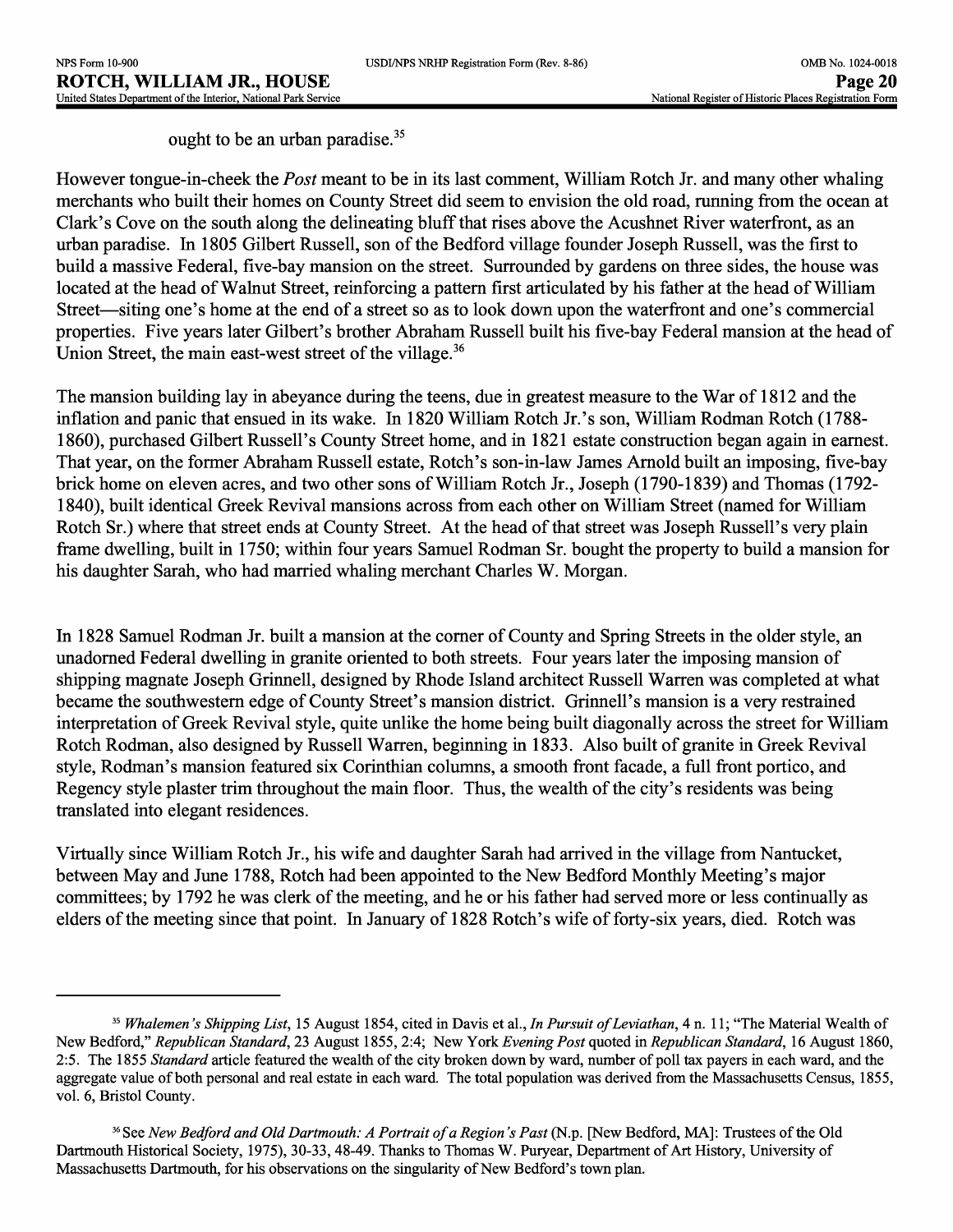ought to be an urban paradise.<sup>35</sup>

However tongue-in-cheek the *Post* meant to be in its last comment, William Rotch Jr. and many other whaling merchants who built their homes on County Street did seem to envision the old road, running from the ocean at Clark's Cove on the south along the delineating bluff that rises above the Acushnet River waterfront, as an urban paradise. In 1805 Gilbert Russell, son of the Bedford village founder Joseph Russell, was the first to build a massive Federal, five-bay mansion on the street. Surrounded by gardens on three sides, the house was located at the head of Walnut Street, reinforcing a pattern first articulated by his father at the head of William Street—siting one's home at the end of a street so as to look down upon the waterfront and one's commercial properties. Five years later Gilbert's brother Abraham Russell built his five-bay Federal mansion at the head of Union Street, the main east-west street of the village.<sup>36</sup>

The mansion building lay in abeyance during the teens, due in greatest measure to the War of 1812 and the inflation and panic that ensued in its wake. In 1820 William Rotch Jr.'s son, William Rodman Rotch (1788- 1860), purchased Gilbert Russell's County Street home, and in 1821 estate construction began again in earnest. That year, on the former Abraham Russell estate, Rotch's son-in-law James Arnold built an imposing, five-bay brick home on eleven acres, and two other sons of William Rotch Jr., Joseph (1790-1839) and Thomas (1792- 1840), built identical Greek Revival mansions across from each other on William Street (named for William Rotch Sr.) where that street ends at County Street. At the head of that street was Joseph Russell's very plain frame dwelling, built in 1750; within four years Samuel Rodman Sr. bought the property to build a mansion for his daughter Sarah, who had married whaling merchant Charles W. Morgan.

In 1828 Samuel Rodman Jr. built a mansion at the corner of County and Spring Streets in the older style, an unadorned Federal dwelling in granite oriented to both streets. Four years later the imposing mansion of shipping magnate Joseph Grinnell, designed by Rhode Island architect Russell Warren was completed at what became the southwestern edge of County Street's mansion district. Grinnell's mansion is a very restrained interpretation of Greek Revival style, quite unlike the home being built diagonally across the street for William Rotch Rodman, also designed by Russell Warren, beginning in 1833. Also built of granite in Greek Revival style, Rodman's mansion featured six Corinthian columns, a smooth front facade, a full front portico, and Regency style plaster trim throughout the main floor. Thus, the wealth of the city's residents was being translated into elegant residences.

Virtually since William Rotch Jr., his wife and daughter Sarah had arrived in the village from Nantucket, between May and June 1788, Rotch had been appointed to the New Bedford Monthly Meeting's major committees; by 1792 he was clerk of the meeting, and he or his father had served more or less continually as elders of the meeting since that point. In January of 1828 Rotch's wife of forty-six years, died. Rotch was

<sup>35</sup>*Whalemen's Shipping List,* 15 August 1854, cited in Davis et al., *In Pursuit of Leviathan,* 4 n. 11; "The Material Wealth of New Bedford," *Republican Standard,* 23 August 1855, 2:4; New York *Evening Post* quoted in *Republican Standard,* 16 August 1860, 2:5. The 1855 *Standard* article featured the wealth of the city broken down by ward, number of poll tax payers in each ward, and the aggregate value of both personal and real estate in each ward. The total population was derived from the Massachusetts Census, 1855, vol. 6, Bristol County.

<sup>36</sup> See *New Bedford and Old Dartmouth: A Portrait of a Region's Past* (N.p. [New Bedford, MA]: Trustees of the Old Dartmouth Historical Society, 1975), 30-33,48-49. Thanks to Thomas W. Puryear, Department of Art History, University of Massachusetts Dartmouth, for his observations on the singularity of New Bedford's town plan.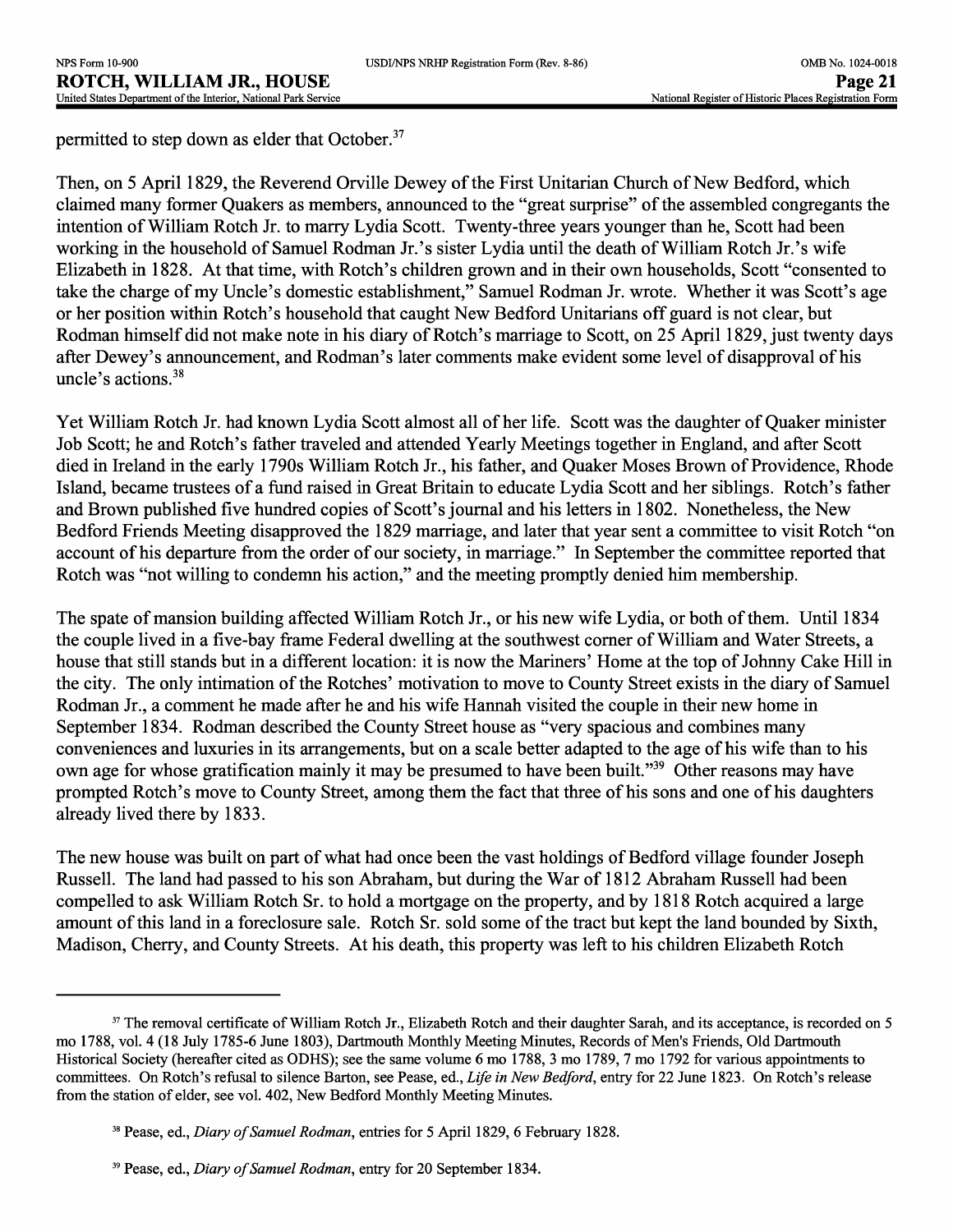permitted to step down as elder that October.<sup>37</sup>

Then, on 5 April 1829, the Reverend Orville Dewey of the First Unitarian Church of New Bedford, which claimed many former Quakers as members, announced to the "great surprise" of the assembled congregants the intention of William Rotch Jr. to marry Lydia Scott. Twenty-three years younger than he, Scott had been working in the household of Samuel Rodman Jr.'s sister Lydia until the death of William Rotch Jr.'s wife Elizabeth in 1828. At that time, with Rotch's children grown and in their own households, Scott "consented to take the charge of my Uncle's domestic establishment," Samuel Rodman Jr. wrote. Whether it was Scott's age or her position within Rotch's household that caught New Bedford Unitarians off guard is not clear, but Rodman himself did not make note in his diary of Rotch's marriage to Scott, on 25 April 1829, just twenty days after Dewey's announcement, and Rodman's later comments make evident some level of disapproval of his uncle's actions.<sup>38</sup>

Yet William Rotch Jr. had known Lydia Scott almost all of her life. Scott was the daughter of Quaker minister Job Scott; he and Rotch's father traveled and attended Yearly Meetings together in England, and after Scott died in Ireland in the early 1790s William Rotch Jr., his father, and Quaker Moses Brown of Providence, Rhode Island, became trustees of a fund raised in Great Britain to educate Lydia Scott and her siblings. Rotch's father and Brown published five hundred copies of Scott's journal and his letters in 1802. Nonetheless, the New Bedford Friends Meeting disapproved the 1829 marriage, and later that year sent a committee to visit Rotch "on account of his departure from the order of our society, in marriage." In September the committee reported that Rotch was "not willing to condemn his action," and the meeting promptly denied him membership.

The spate of mansion building affected William Rotch Jr., or his new wife Lydia, or both of them. Until 1834 the couple lived in a five-bay frame Federal dwelling at the southwest corner of William and Water Streets, a house that still stands but in a different location: it is now the Mariners' Home at the top of Johnny Cake Hill in the city. The only intimation of the Rotches' motivation to move to County Street exists in the diary of Samuel Rodman Jr., a comment he made after he and his wife Hannah visited the couple in their new home in September 1834. Rodman described the County Street house as "very spacious and combines many conveniences and luxuries in its arrangements, but on a scale better adapted to the age of his wife than to his own age for whose gratification mainly it may be presumed to have been built."<sup>39</sup> Other reasons may have prompted Rotch's move to County Street, among them the fact that three of his sons and one of his daughters already lived there by 1833.

The new house was built on part of what had once been the vast holdings of Bedford village founder Joseph Russell. The land had passed to his son Abraham, but during the War of 1812 Abraham Russell had been compelled to ask William Rotch Sr. to hold a mortgage on the property, and by 1818 Rotch acquired a large amount of this land in a foreclosure sale. Rotch Sr. sold some of the tract but kept the land bounded by Sixth, Madison, Cherry, and County Streets. At his death, this property was left to his children Elizabeth Rotch

<sup>&</sup>lt;sup>37</sup> The removal certificate of William Rotch Jr., Elizabeth Rotch and their daughter Sarah, and its acceptance, is recorded on 5 mo 1788, vol. 4 (18 July 1785-6 June 1803), Dartmouth Monthly Meeting Minutes, Records of Men's Friends, Old Dartmouth Historical Society (hereafter cited as ODHS); see the same volume 6 mo 1788, 3 mo 1789, 7 mo 1792 for various appointments to committees. On Rotch's refusal to silence Barton, see Pease, ed., *Life in New Bedford,* entry for 22 June 1823. On Rotch's release from the station of elder, see vol. 402, New Bedford Monthly Meeting Minutes.

<sup>38</sup> Pease, ed., *Diary of Samuel Rodman,* entries for 5 April 1829, 6 February 1828.

<sup>39</sup> Pease, ed., *Diary of Samuel Rodman,* entry for 20 September 1834.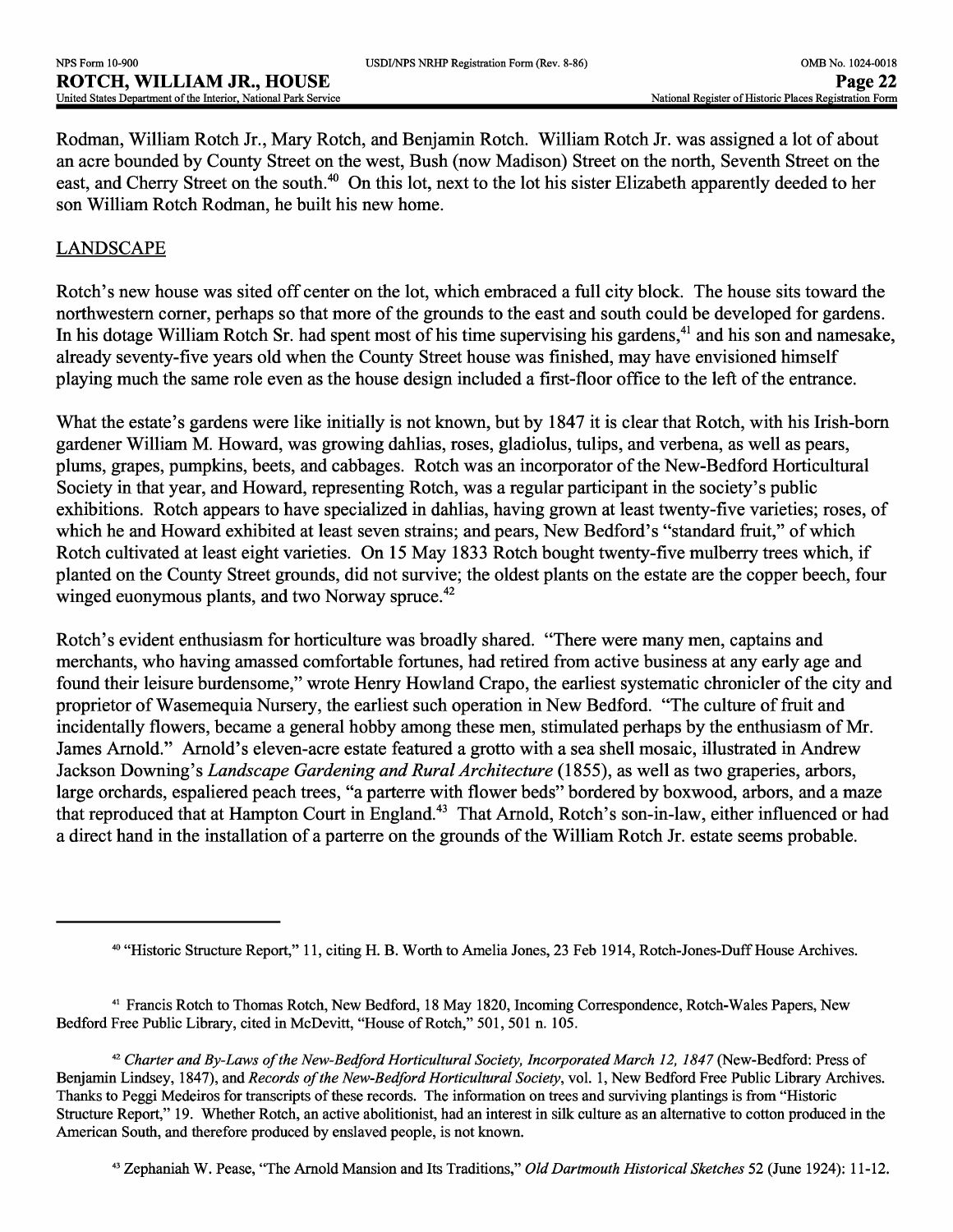Rodman, William Rotch Jr., Mary Rotch, and Benjamin Rotch. William Rotch Jr. was assigned a lot of about an acre bounded by County Street on the west, Bush (now Madison) Street on the north, Seventh Street on the east, and Cherry Street on the south.<sup>40</sup> On this lot, next to the lot his sister Elizabeth apparently deeded to her son William Rotch Rodman, he built his new home.

# **LANDSCAPE**

Rotch's new house was sited off center on the lot, which embraced a full city block. The house sits toward the northwestern corner, perhaps so that more of the grounds to the east and south could be developed for gardens. In his dotage William Rotch Sr. had spent most of his time supervising his gardens,<sup>41</sup> and his son and namesake, already seventy-five years old when the County Street house was finished, may have envisioned himself playing much the same role even as the house design included a first-floor office to the left of the entrance.

What the estate's gardens were like initially is not known, but by 1847 it is clear that Rotch, with his Irish-born gardener William M. Howard, was growing dahlias, roses, gladiolus, tulips, and verbena, as well as pears, plums, grapes, pumpkins, beets, and cabbages. Rotch was an incorporator of the New-Bedford Horticultural Society in that year, and Howard, representing Rotch, was a regular participant in the society's public exhibitions. Rotch appears to have specialized in dahlias, having grown at least twenty-five varieties; roses, of which he and Howard exhibited at least seven strains; and pears, New Bedford's "standard fruit," of which Rotch cultivated at least eight varieties. On 15 May 1833 Rotch bought twenty-five mulberry trees which, if planted on the County Street grounds, did not survive; the oldest plants on the estate are the copper beech, four winged euonymous plants, and two Norway spruce.<sup>42</sup>

Rotch's evident enthusiasm for horticulture was broadly shared. "There were many men, captains and merchants, who having amassed comfortable fortunes, had retired from active business at any early age and found their leisure burdensome," wrote Henry Howland Crapo, the earliest systematic chronicler of the city and proprietor of Wasemequia Nursery, the earliest such operation in New Bedford. "The culture of fruit and incidentally flowers, became a general hobby among these men, stimulated perhaps by the enthusiasm of Mr. James Arnold." Arnold's eleven-acre estate featured a grotto with a sea shell mosaic, illustrated in Andrew Jackson Downing's *Landscape Gardening and Rural Architecture* (1855), as well as two graperies, arbors, large orchards, espaliered peach trees, "a parterre with flower beds" bordered by boxwood, arbors, and a maze that reproduced that at Hampton Court in England.<sup>43</sup> That Arnold, Rotch's son-in-law, either influenced or had a direct hand in the installation of a parterre on the grounds of the William Rotch Jr. estate seems probable.

<sup>42</sup> Charter and By-Laws of the New-Bedford Horticultural Society, Incorporated March 12, 1847 (New-Bedford: Press of Benjamin Lindsey, 1847), and *Records of the New-Bedford Horticultural Society,* vol. 1, New Bedford Free Public Library Archives. Thanks to Peggi Medeiros for transcripts of these records. The information on trees and surviving plantings is from "Historic Structure Report," 19. Whether Rotch, an active abolitionist, had an interest in silk culture as an alternative to cotton produced in the American South, and therefore produced by enslaved people, is not known.

43 Zephaniah W. Pease, "The Arnold Mansion and Its Traditions," *Old Dartmouth Historical Sketches* 52 (June 1924): 11-12.

<sup>40 &</sup>quot;Historic Structure Report," 11, citing H. B. Worth to Amelia Jones, 23 Feb 1914, Rotch-Jones-Duff House Archives.

<sup>41</sup> Francis Rotch to Thomas Rotch, New Bedford, 18 May 1820, Incoming Correspondence, Rotch-Wales Papers, New Bedford Free Public Library, cited in McDevitt, "House of Rotch," 501, 501 n. 105.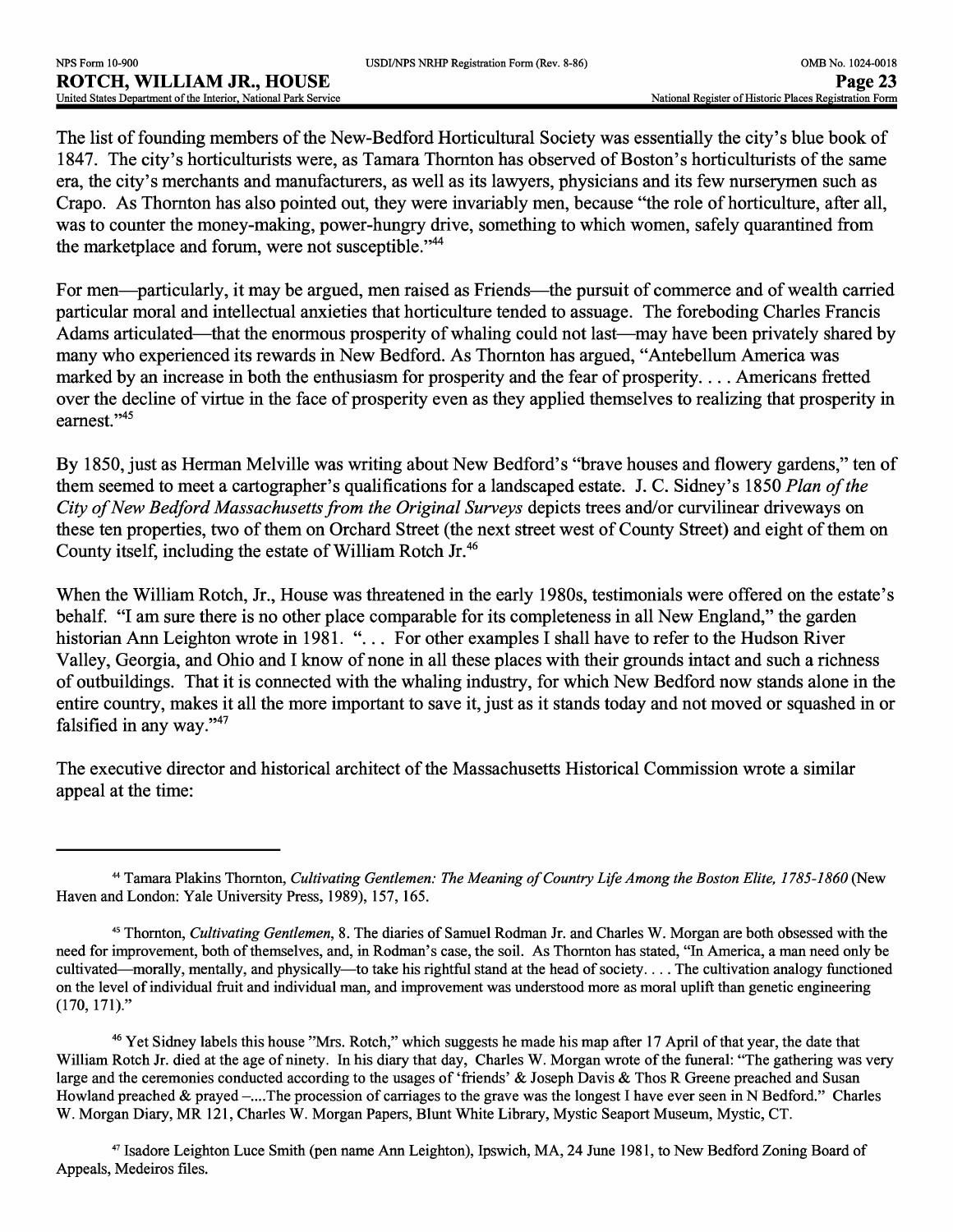The list of founding members of the New-Bedford Horticultural Society was essentially the city's blue book of 1847. The city's horticulturists were, as Tamara Thornton has observed of Boston's horticulturists of the same era, the city's merchants and manufacturers, as well as its lawyers, physicians and its few nurserymen such as Crapo. As Thornton has also pointed out, they were invariably men, because "the role of horticulture, after all, was to counter the money-making, power-hungry drive, something to which women, safely quarantined from the marketplace and forum, were not susceptible."<sup>44</sup>

For men—particularly, it may be argued, men raised as Friends—the pursuit of commerce and of wealth carried particular moral and intellectual anxieties that horticulture tended to assuage. The foreboding Charles Francis Adams articulated—that the enormous prosperity of whaling could not last—may have been privately shared by many who experienced its rewards in New Bedford. As Thornton has argued, "Antebellum America was marked by an increase in both the enthusiasm for prosperity and the fear of prosperity.. .. Americans fretted over the decline of virtue in the face of prosperity even as they applied themselves to realizing that prosperity in earnest."45

By 1850, just as Herman Melville was writing about New Bedford's "brave houses and flowery gardens," ten of them seemed to meet a cartographer's qualifications for a landscaped estate. J. C. Sidney's 1850 *Plan of the City of New Bedford Massachusetts from the Original Surveys* depicts trees and/or curvilinear driveways on these ten properties, two of them on Orchard Street (the next street west of County Street) and eight of them on County itself, including the estate of William Rotch Jr.46

When the William Rotch, Jr., House was threatened in the early 1980s, testimonials were offered on the estate's behalf. "I am sure there is no other place comparable for its completeness in all New England," the garden historian Ann Leighton wrote in 1981. "... For other examples I shall have to refer to the Hudson River Valley, Georgia, and Ohio and I know of none in all these places with their grounds intact and such a richness of outbuildings. That it is connected with the whaling industry, for which New Bedford now stands alone in the entire country, makes it all the more important to save it, just as it stands today and not moved or squashed in or falsified in any way."47

The executive director and historical architect of the Massachusetts Historical Commission wrote a similar appeal at the time:

47 Isadore Leighton Luce Smith (pen name Ann Leighton), Ipswich, MA, 24 June 1981, to New Bedford Zoning Board of Appeals, Medeiros files.

<sup>44</sup> Tamara Plakins Thornton, *Cultivating Gentlemen: The Meaning of Country Life Among the Boston Elite, 1785-1860* (New Haven and London: Yale University Press, 1989), 157, 165.

<sup>45</sup> Thornton, *Cultivating Gentlemen,* 8. The diaries of Samuel Rodman Jr. and Charles W. Morgan are both obsessed with the need for improvement, both of themselves, and, in Rodman's case, the soil. As Thornton has stated, "In America, a man need only be cultivated—morally, mentally, and physically—to take his rightful stand at the head of society.... The cultivation analogy functioned on the level of individual fruit and individual man, and improvement was understood more as moral uplift than genetic engineering  $(170, 171)$ ."

<sup>&</sup>lt;sup>46</sup> Yet Sidney labels this house "Mrs. Rotch," which suggests he made his map after 17 April of that year, the date that William Rotch Jr. died at the age of ninety. In his diary that day, Charles W. Morgan wrote of the funeral: "The gathering was very large and the ceremonies conducted according to the usages of 'friends' & Joseph Davis & Thos R Greene preached and Susan Howland preached & prayed -....The procession of carriages to the grave was the longest I have ever seen in N Bedford." Charles W. Morgan Diary, MR 121, Charles W. Morgan Papers, Blunt White Library, Mystic Seaport Museum, Mystic, CT.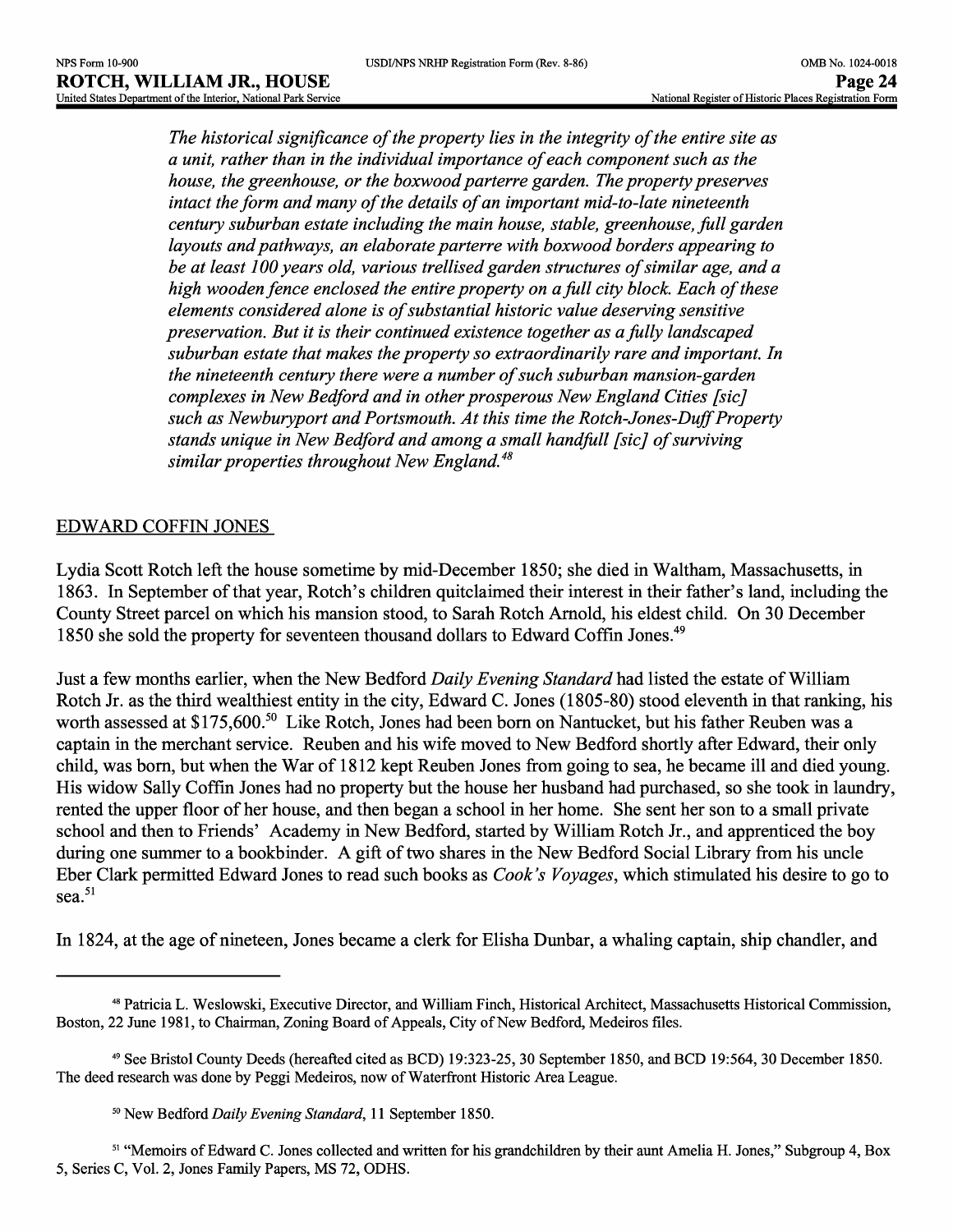*The historical significance of the property lies in the integrity of the entire site as a unit, rather than in the individual importance of each component such as the house, the greenhouse, or the boxwood parterre garden. The property preserves intact the form and many of the details of an important mid-to-late nineteenth century suburban estate including the main house, stable, greenhouse, full garden layouts and pathways, an elaborate parterre with boxwood borders appearing to be at least 100 years old, various trellised garden structures of similar age, and a high wooden fence enclosed the entire property on a full city block. Each of these elements considered alone is of substantial historic value deserving sensitive preservation. But it is their continued existence together as a fully landscaped suburban estate that makes the property so extraordinarily rare and important. In the nineteenth century there were a number of such suburban mansion-garden complexes in New Bedford and in other prosperous New England Cities [sic] such as Newburyport and Portsmouth. At this time the Rotch-Jones-Duff Property stands unique in New Bedford and among a small handfull [sic] of surviving similar properties throughout New England. <sup>48</sup>*

## EDWARD COFFIN JONES

Lydia Scott Rotch left the house sometime by mid-December 1850; she died in Waltham, Massachusetts, in 1863. In September of that year, Rotch's children quitclaimed their interest in their father's land, including the County Street parcel on which his mansion stood, to Sarah Rotch Arnold, his eldest child. On 30 December 1850 she sold the property for seventeen thousand dollars to Edward Coffin Jones.<sup>49</sup>

Just a few months earlier, when the New Bedford *Daily Evening Standard* had listed the estate of William Rotch Jr. as the third wealthiest entity in the city, Edward C. Jones (1805-80) stood eleventh in that ranking, his worth assessed at \$175,600.<sup>50</sup> Like Rotch, Jones had been born on Nantucket, but his father Reuben was a captain in the merchant service. Reuben and his wife moved to New Bedford shortly after Edward, their only child, was born, but when the War of 1812 kept Reuben Jones from going to sea, he became ill and died young. His widow Sally Coffin Jones had no property but the house her husband had purchased, so she took in laundry, rented the upper floor of her house, and then began a school in her home. She sent her son to a small private school and then to Friends' Academy in New Bedford, started by William Rotch Jr., and apprenticed the boy during one summer to a bookbinder. A gift of two shares in the New Bedford Social Library from his uncle Eber Clark permitted Edward Jones to read such books as *Cook's Voyages,* which stimulated his desire to go to  $sea.^{51}$ 

In 1824, at the age of nineteen, Jones became a clerk for Elisha Dunbar, a whaling captain, ship chandler, and

<sup>48</sup> Patricia L. Weslowski, Executive Director, and William Finch, Historical Architect, Massachusetts Historical Commission, Boston, 22 June 1981, to Chairman, Zoning Board of Appeals, City of New Bedford, Medeiros files.

<sup>49</sup> See Bristol County Deeds (hereafted cited as BCD) 19:323-25, 30 September 1850, and BCD 19:564, 30 December 1850. The deed research was done by Peggi Medeiros, now of Waterfront Historic Area League.

<sup>50</sup> New Bedford *Daily Evening Standard,* 11 September 1850.

<sup>51 &</sup>quot;Memoirs of Edward C. Jones collected and written for his grandchildren by their aunt Amelia H. Jones," Subgroup 4, Box 5, Series C, Vol. 2, Jones Family Papers, MS 72, ODHS.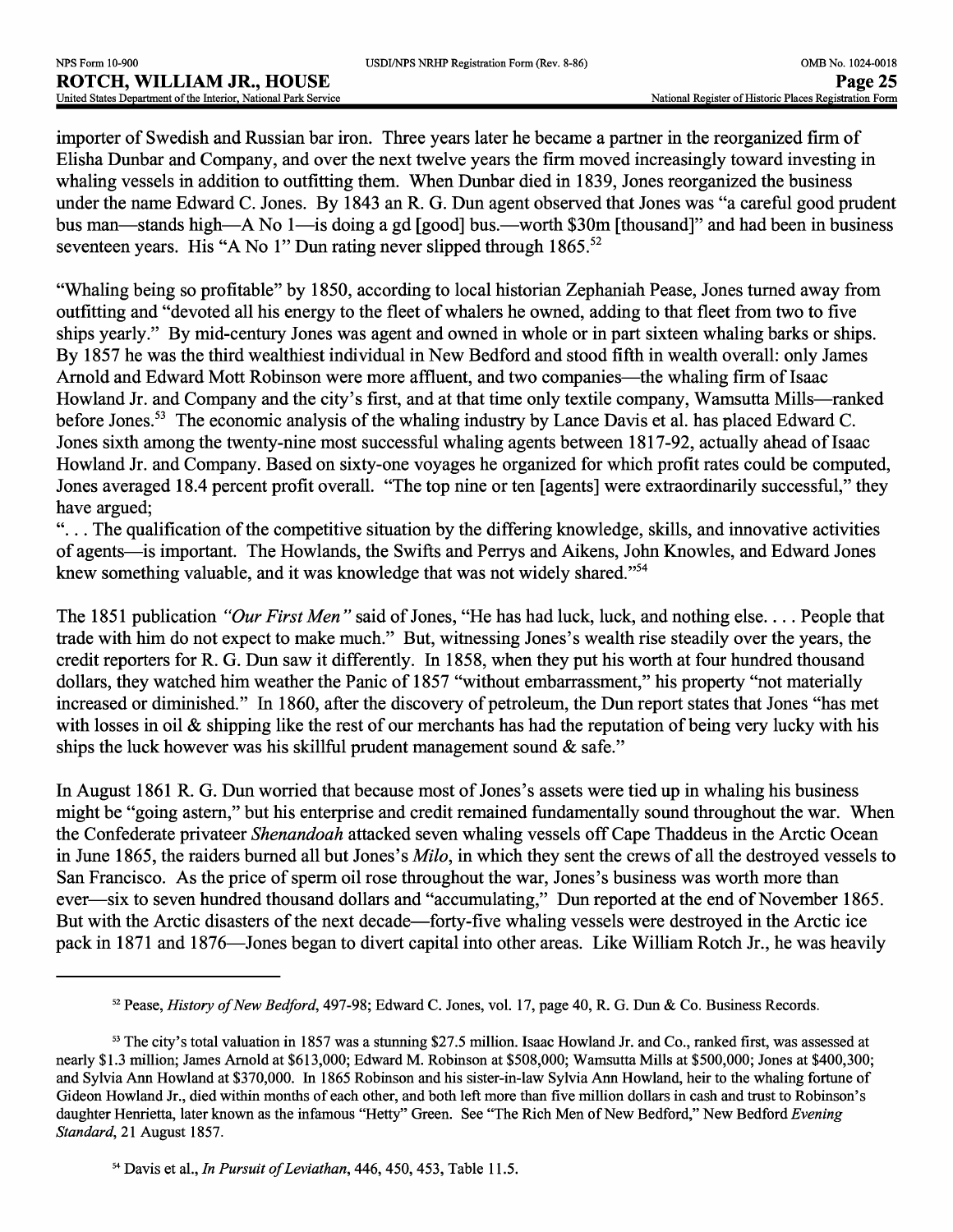importer of Swedish and Russian bar iron. Three years later he became a partner in the reorganized firm of Elisha Dunbar and Company, and over the next twelve years the firm moved increasingly toward investing in whaling vessels in addition to outfitting them. When Dunbar died in 1839, Jones reorganized the business under the name Edward C. Jones. By 1843 an R. G. Dun agent observed that Jones was "a careful good prudent bus man—stands high—A No 1—is doing a gd [good] bus.—worth \$30m [thousand]" and had been in business seventeen years. His "A No 1" Dun rating never slipped through 1865.<sup>52</sup>

"Whaling being so profitable" by 1850, according to local historian Zephaniah Pease, Jones turned away from outfitting and "devoted all his energy to the fleet of whalers he owned, adding to that fleet from two to five ships yearly." By mid-century Jones was agent and owned in whole or in part sixteen whaling barks or ships. By 1857 he was the third wealthiest individual in New Bedford and stood fifth in wealth overall: only James Arnold and Edward Mott Robinson were more affluent, and two companies—the whaling firm of Isaac Howland Jr. and Company and the city's first, and at that time only textile company, Wamsutta Mills—ranked before Jones.<sup>53</sup> The economic analysis of the whaling industry by Lance Davis et al. has placed Edward C. Jones sixth among the twenty-nine most successful whaling agents between 1817-92, actually ahead of Isaac Howland Jr. and Company. Based on sixty-one voyages he organized for which profit rates could be computed, Jones averaged 18.4 percent profit overall. "The top nine or ten [agents] were extraordinarily successful," they have argued;

".. . The qualification of the competitive situation by the differing knowledge, skills, and innovative activities of agents—is important. The Howlands, the Swifts and Perrys and Aikens, John Knowles, and Edward Jones knew something valuable, and it was knowledge that was not widely shared."<sup>54</sup>

The 1851 publication *"Our First Men "* said of Jones, "He has had luck, luck, and nothing else.. .. People that trade with him do not expect to make much." But, witnessing Jones's wealth rise steadily over the years, the credit reporters for R. G. Dun saw it differently. In 1858, when they put his worth at four hundred thousand dollars, they watched him weather the Panic of 1857 "without embarrassment," his property "not materially increased or diminished." In 1860, after the discovery of petroleum, the Dun report states that Jones "has met with losses in oil & shipping like the rest of our merchants has had the reputation of being very lucky with his ships the luck however was his skillful prudent management sound  $\&$  safe."

In August 1861 R. G. Dun worried that because most of Jones's assets were tied up in whaling his business might be "going astern," but his enterprise and credit remained fundamentally sound throughout the war. When the Confederate privateer *Shenandoah* attacked seven whaling vessels off Cape Thaddeus in the Arctic Ocean in June 1865, the raiders burned all but Jones's *Milo,* in which they sent the crews of all the destroyed vessels to San Francisco. As the price of sperm oil rose throughout the war, Jones's business was worth more than ever—six to seven hundred thousand dollars and "accumulating," Dun reported at the end of November 1865. But with the Arctic disasters of the next decade—forty-five whaling vessels were destroyed in the Arctic ice pack in 1871 and 1876—Jones began to divert capital into other areas. Like William Rotch Jr., he was heavily

<sup>52</sup> Pease, *History of New Bedford,* 497-98; Edward C. Jones, vol. 17, page 40, R. G. Dun & Co. Business Records.

<sup>&</sup>lt;sup>53</sup> The city's total valuation in 1857 was a stunning \$27.5 million. Isaac Howland Jr. and Co., ranked first, was assessed at nearly \$1.3 million; James Arnold at \$613,000; Edward M. Robinson at \$508,000; Wamsutta Mills at \$500,000; Jones at \$400,300; and Sylvia Ann Rowland at \$370,000. In 1865 Robinson and his sister-in-law Sylvia Ann Rowland, heir to the whaling fortune of Gideon Rowland Jr., died within months of each other, and both left more than five million dollars in cash and trust to Robinson's daughter Henrietta, later known as the infamous "Hetty" Green. See "The Rich Men of New Bedford," New Bedford *Evening Standard,* 21 August 1857.

<sup>54</sup> Davis et al., *In Pursuit of Leviathan,* 446, 450, 453, Table 11.5.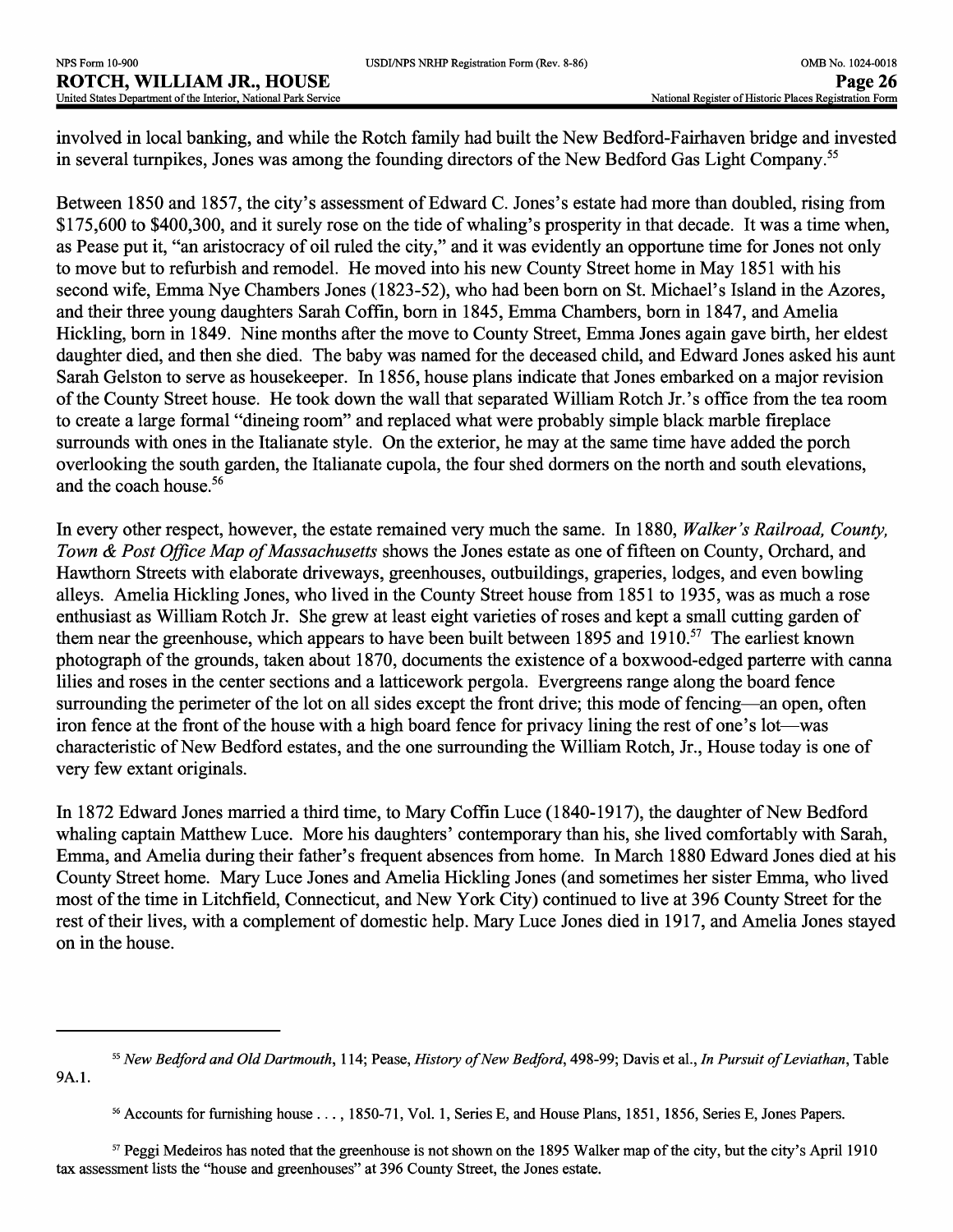involved in local banking, and while the Rotch family had built the New Bedford-Fairhaven bridge and invested in several turnpikes, Jones was among the founding directors of the New Bedford Gas Light Company.<sup>55</sup>

Between 1850 and 1857, the city's assessment of Edward C. Jones's estate had more than doubled, rising from \$175,600 to \$400,300, and it surely rose on the tide of whaling's prosperity in that decade. It was a time when, as Pease put it, "an aristocracy of oil ruled the city," and it was evidently an opportune time for Jones not only to move but to refurbish and remodel. He moved into his new County Street home in May 1851 with his second wife, Emma Nye Chambers Jones (1823-52), who had been born on St. Michael's Island in the Azores, and their three young daughters Sarah Coffin, born in 1845, Emma Chambers, born in 1847, and Amelia Hickling, born in 1849. Nine months after the move to County Street, Emma Jones again gave birth, her eldest daughter died, and then she died. The baby was named for the deceased child, and Edward Jones asked his aunt Sarah Gelston to serve as housekeeper. In 1856, house plans indicate that Jones embarked on a major revision of the County Street house. He took down the wall that separated William Rotch Jr.'s office from the tea room to create a large formal "dineing room" and replaced what were probably simple black marble fireplace surrounds with ones in the Italianate style. On the exterior, he may at the same time have added the porch overlooking the south garden, the Italianate cupola, the four shed dormers on the north and south elevations, and the coach house.<sup>56</sup>

In every other respect, however, the estate remained very much the same. In 1880, *Walker's Railroad, County, Town & Post Office Map of Massachusetts* shows the Jones estate as one of fifteen on County, Orchard, and Hawthorn Streets with elaborate driveways, greenhouses, outbuildings, graperies, lodges, and even bowling alleys. Amelia Hickling Jones, who lived in the County Street house from 1851 to 1935, was as much a rose enthusiast as William Rotch Jr. She grew at least eight varieties of roses and kept a small cutting garden of them near the greenhouse, which appears to have been built between 1895 and 1910.<sup>57</sup> The earliest known photograph of the grounds, taken about 1870, documents the existence of a boxwood-edged parterre with canna lilies and roses in the center sections and a latticework pergola. Evergreens range along the board fence surrounding the perimeter of the lot on all sides except the front drive; this mode of fencing—an open, often iron fence at the front of the house with a high board fence for privacy lining the rest of one's lot—was characteristic of New Bedford estates, and the one surrounding the William Rotch, Jr., House today is one of very few extant originals.

In 1872 Edward Jones married a third time, to Mary Coffin Luce (1840-1917), the daughter of New Bedford whaling captain Matthew Luce. More his daughters' contemporary than his, she lived comfortably with Sarah, Emma, and Amelia during their father's frequent absences from home. In March 1880 Edward Jones died at his County Street home. Mary Luce Jones and Amelia Hickling Jones (and sometimes her sister Emma, who lived most of the time in Litchfield, Connecticut, and New York City) continued to live at 396 County Street for the rest of their lives, with a complement of domestic help. Mary Luce Jones died in 1917, and Amelia Jones stayed on in the house.

57 Peggi Medeiros has noted that the greenhouse is not shown on the 1895 Walker map of the city, but the city's April 1910 tax assessment lists the "house and greenhouses" at 396 County Street, the Jones estate.

<sup>55</sup>*New Bedford and Old Dartmouth,* 114; Pease, *History of New Bedford,* 498-99; Davis et al., *In Pursuit of Leviathan,* Table 9A.1.

<sup>56</sup> Accounts for furnishing house ..., 1850-71, Vol. 1, Series E, and House Plans, 1851, 1856, Series E, Jones Papers.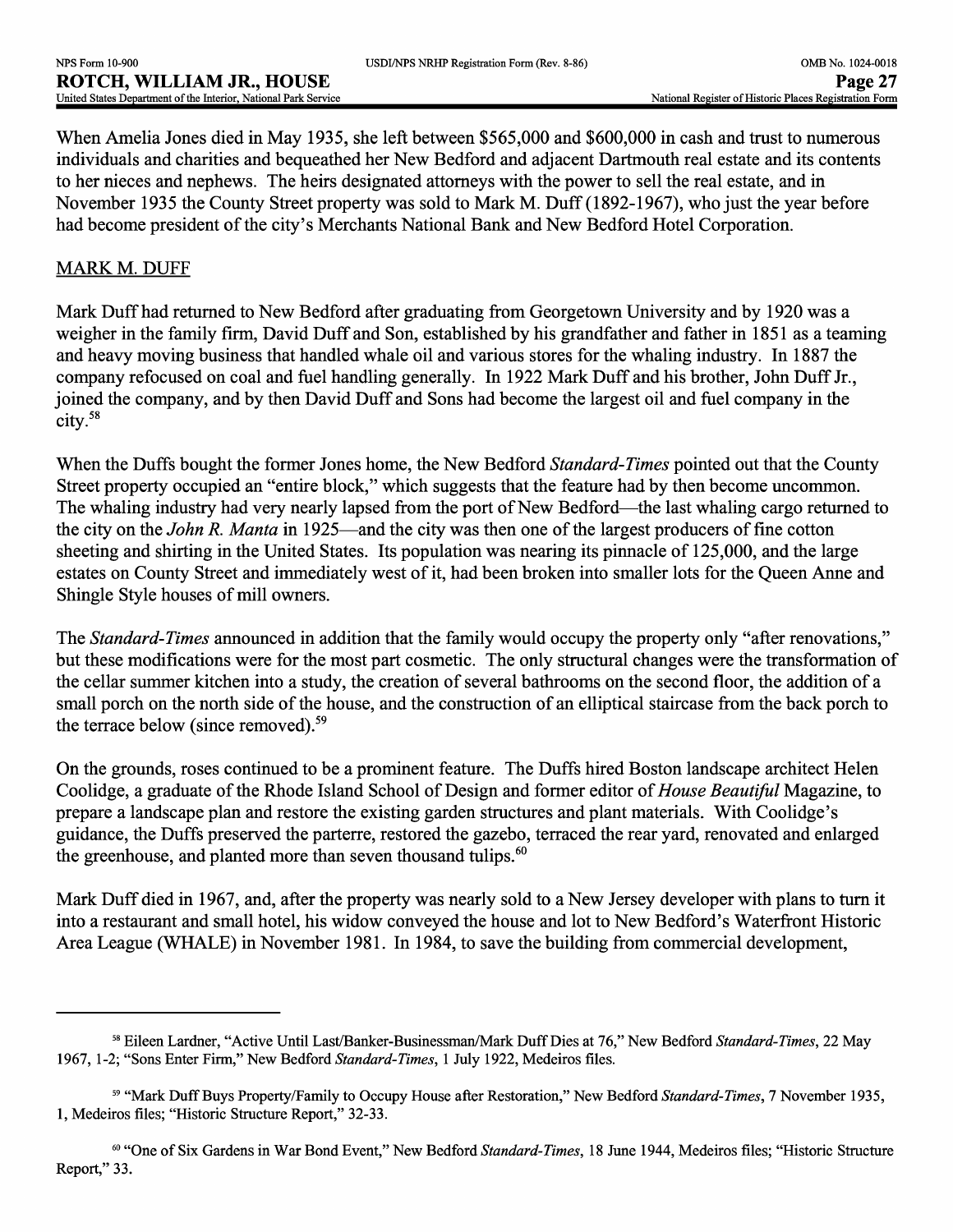When Amelia Jones died in May 1935, she left between \$565,000 and \$600,000 in cash and trust to numerous individuals and charities and bequeathed her New Bedford and adjacent Dartmouth real estate and its contents to her nieces and nephews. The heirs designated attorneys with the power to sell the real estate, and in November 1935 the County Street property was sold to Mark M. Duff (1892-1967), who just the year before had become president of the city's Merchants National Bank and New Bedford Hotel Corporation.

## MARK M. DUFF

Mark Duff had returned to New Bedford after graduating from Georgetown University and by 1920 was a weigher in the family firm, David Duff and Son, established by his grandfather and father in 1851 as a teaming and heavy moving business that handled whale oil and various stores for the whaling industry. In 1887 the company refocused on coal and fuel handling generally. In 1922 Mark Duff and his brother, John Duff Jr., joined the company, and by then David Duff and Sons had become the largest oil and fuel company in the city.58

When the Duffs bought the former Jones home, the New Bedford *Standard-Times* pointed out that the County Street property occupied an "entire block," which suggests that the feature had by then become uncommon. The whaling industry had very nearly lapsed from the port of New Bedford—the last whaling cargo returned to the city on the *John R. Manta* in 1925—and the city was then one of the largest producers of fine cotton sheeting and shirting in the United States. Its population was nearing its pinnacle of 125,000, and the large estates on County Street and immediately west of it, had been broken into smaller lots for the Queen Anne and Shingle Style houses of mill owners.

The *Standard-Times* announced in addition that the family would occupy the property only "after renovations," but these modifications were for the most part cosmetic. The only structural changes were the transformation of the cellar summer kitchen into a study, the creation of several bathrooms on the second floor, the addition of a small porch on the north side of the house, and the construction of an elliptical staircase from the back porch to the terrace below (since removed).<sup>59</sup>

On the grounds, roses continued to be a prominent feature. The Duffs hired Boston landscape architect Helen Coolidge, a graduate of the Rhode Island School of Design and former editor *of House Beautiful* Magazine, to prepare a landscape plan and restore the existing garden structures and plant materials. With Coolidge's guidance, the Duffs preserved the parterre, restored the gazebo, terraced the rear yard, renovated and enlarged the greenhouse, and planted more than seven thousand tulips.<sup>60</sup>

Mark Duff died in 1967, and, after the property was nearly sold to a New Jersey developer with plans to turn it into a restaurant and small hotel, his widow conveyed the house and lot to New Bedford's Waterfront Historic Area League (WHALE) in November 1981. In 1984, to save the building from commercial development,

<sup>58</sup> Eileen Lardner, "Active Until Last/Banker-Businessman/Mark Duff Dies at 76," New Bedford *Standard-Times,* 22 May 1967, 1-2; "Sons Enter Firm," New Bedford *Standard-Times,* 1 July 1922, Medeiros files.

<sup>59 &</sup>quot;Mark Duff Buys Property/Family to Occupy House after Restoration," New Bedford *Standard-Times,* 7 November 1935, 1, Medeiros files; "Historic Structure Report," 32-33.

<sup>60 &</sup>quot;One of Six Gardens in War Bond Event," New Bedford *Standard-Times,* 18 June 1944, Medeiros files; "Historic Structure Report," 33.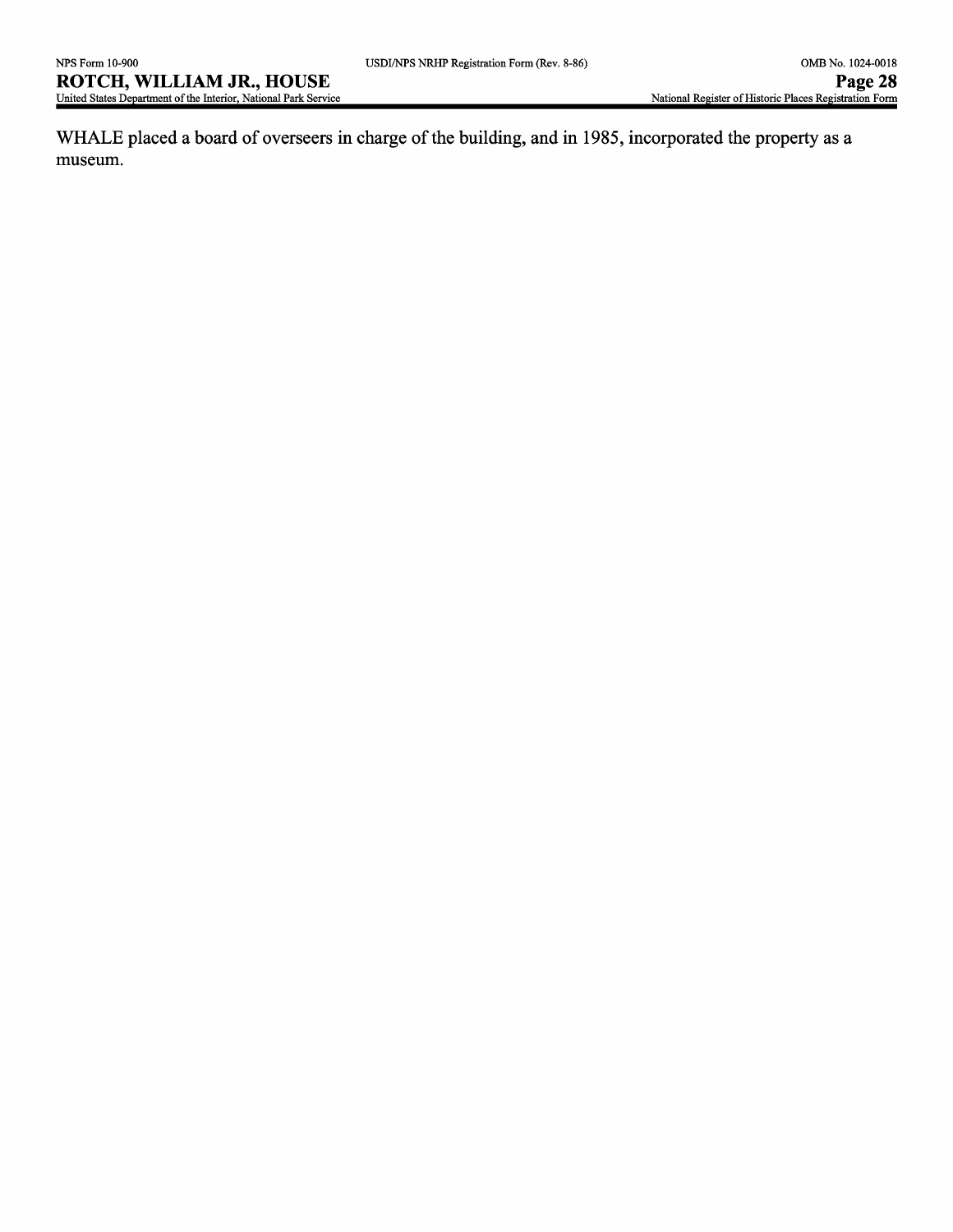WHALE placed a board of overseers in charge of the building, and in 1985, incorporated the property as a museum.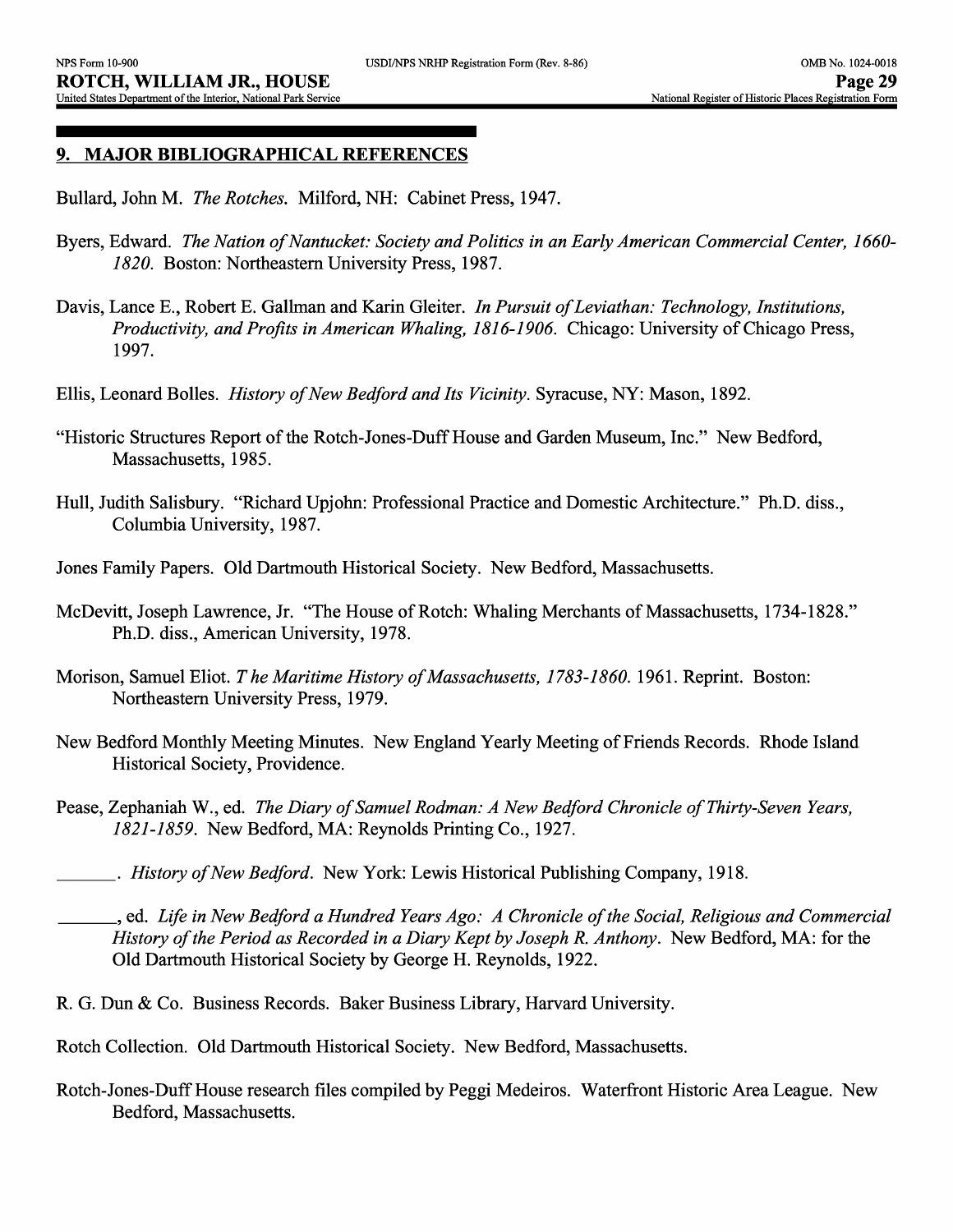## **9. MAJOR BIBLIOGRAPHICAL REFERENCES**

Bullard, John M. *The Rotches.* Milford, NH: Cabinet Press, 1947.

- Byers, Edward. *The Nation of Nantucket: Society and Politics in an Early American Commercial Center, 1660-1820.* Boston: Northeastern University Press, 1987.
- Davis, Lance E., Robert E. Gallman and Karin Gleiter. *In Pursuit of Leviathan: Technology, Institutions, Productivity, and Profits in American Whaling, 1816-1906.* Chicago: University of Chicago Press, 1997.
- Ellis, Leonard Bolles. *History of New Bedford and Its Vicinity.* Syracuse, NY: Mason, 1892.
- "Historic Structures Report of the Rotch-Jones-Duff House and Garden Museum, Inc." New Bedford, Massachusetts, 1985.
- Hull, Judith Salisbury. "Richard Upjohn: Professional Practice and Domestic Architecture." Ph.D. diss., Columbia University, 1987.
- Jones Family Papers. Old Dartmouth Historical Society. New Bedford, Massachusetts.
- McDevitt, Joseph Lawrence, Jr. "The House of Rotch: Whaling Merchants of Massachusetts, 1734-1828." Ph.D. diss., American University, 1978.
- Morison, Samuel Eliot. *The Maritime History of Massachusetts, 1783-1860.* 1961. Reprint. Boston: Northeastern University Press, 1979.
- New Bedford Monthly Meeting Minutes. New England Yearly Meeting of Friends Records. Rhode Island Historical Society, Providence.
- Pease, Zephaniah W., ed. *The Diary of Samuel Rodman: A New Bedford Chronicle of Thirty-Seven Years, 1821-1859.* New Bedford, MA: Reynolds Printing Co., 1927.
- \_\_\_\_. *History of New Bedford.* New York: Lewis Historical Publishing Company, 1918.
- \_\_\_\_, ed. *Life in New Bedford a Hundred Years Ago: A Chronicle of the Social, Religious and Commercial*  History of the Period as Recorded in a Diary Kept by Joseph R. Anthony. New Bedford, MA: for the Old Dartmouth Historical Society by George H. Reynolds, 1922.
- R. G. Dun & Co. Business Records. Baker Business Library, Harvard University.
- Rotch Collection. Old Dartmouth Historical Society. New Bedford, Massachusetts.
- Rotch-Jones-Duff House research files compiled by Peggi Medeiros. Waterfront Historic Area League. New Bedford, Massachusetts.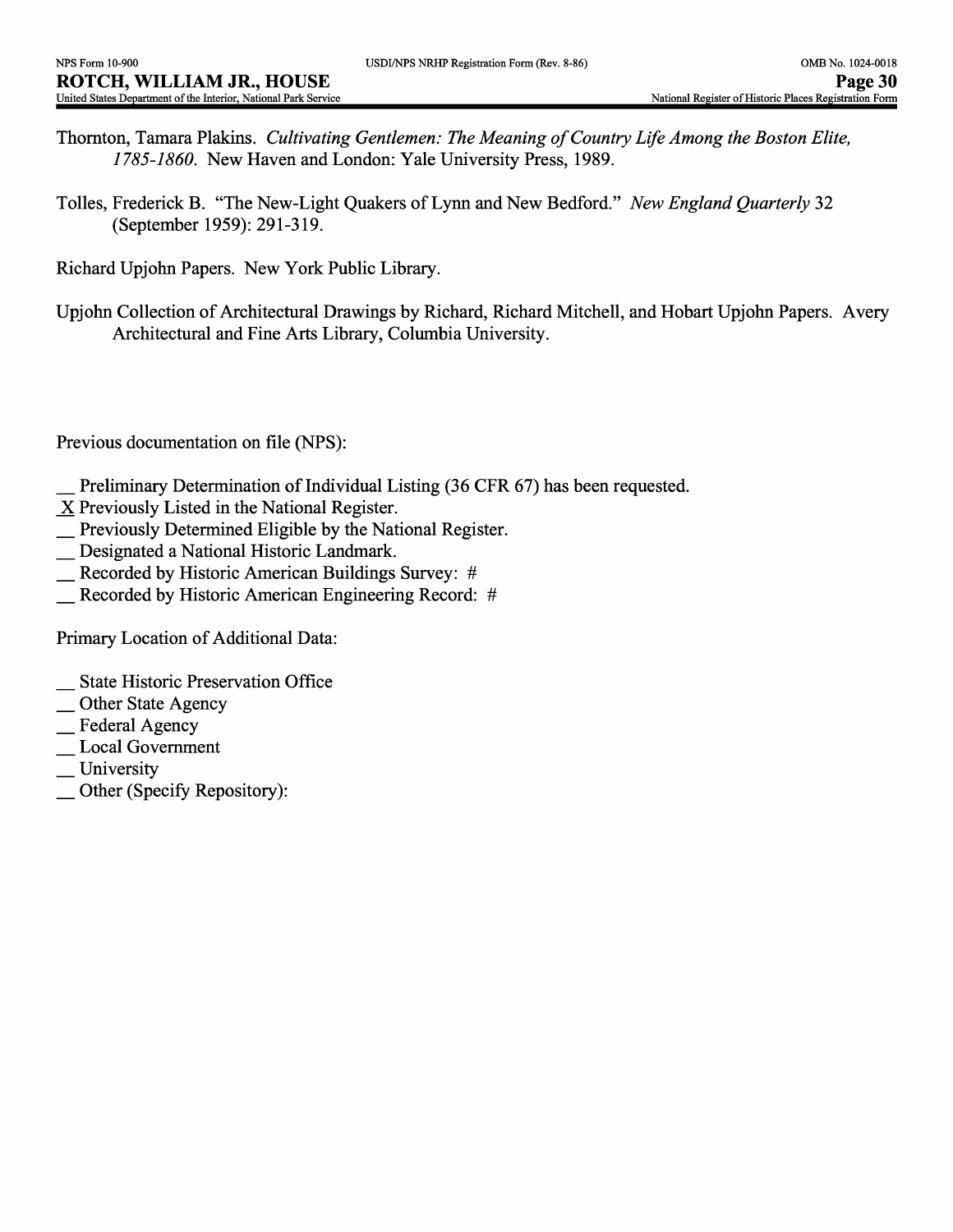- Thornton, Tamara Plakins. *Cultivating Gentlemen: The Meaning of Country Life Among the Boston Elite, 1785-1860.* New Haven and London: Yale University Press, 1989.
- Tolles, Frederick B. "The New-Light Quakers of Lynn and New Bedford." *New England Quarterly* 32 (September 1959): 291-319.

Richard Upjohn Papers. New York Public Library.

Upjohn Collection of Architectural Drawings by Richard, Richard Mitchell, and Hobart Upjohn Papers. Avery Architectural and Fine Arts Library, Columbia University.

Previous documentation on file (NPS):

Preliminary Determination of Individual Listing (36 CFR 67) has been requested.

- X Previously Listed in the National Register.
- \_ Previously Determined Eligible by the National Register.
- \_ Designated a National Historic Landmark.
- \_ Recorded by Historic American Buildings Survey: *#*
- **Recorded by Historic American Engineering Record: #**

Primary Location of Additional Data:

- \_ State Historic Preservation Office
- \_ Other State Agency
- \_Federal Agency
- \_ Local Government
- \_University
- \_ Other (Specify Repository):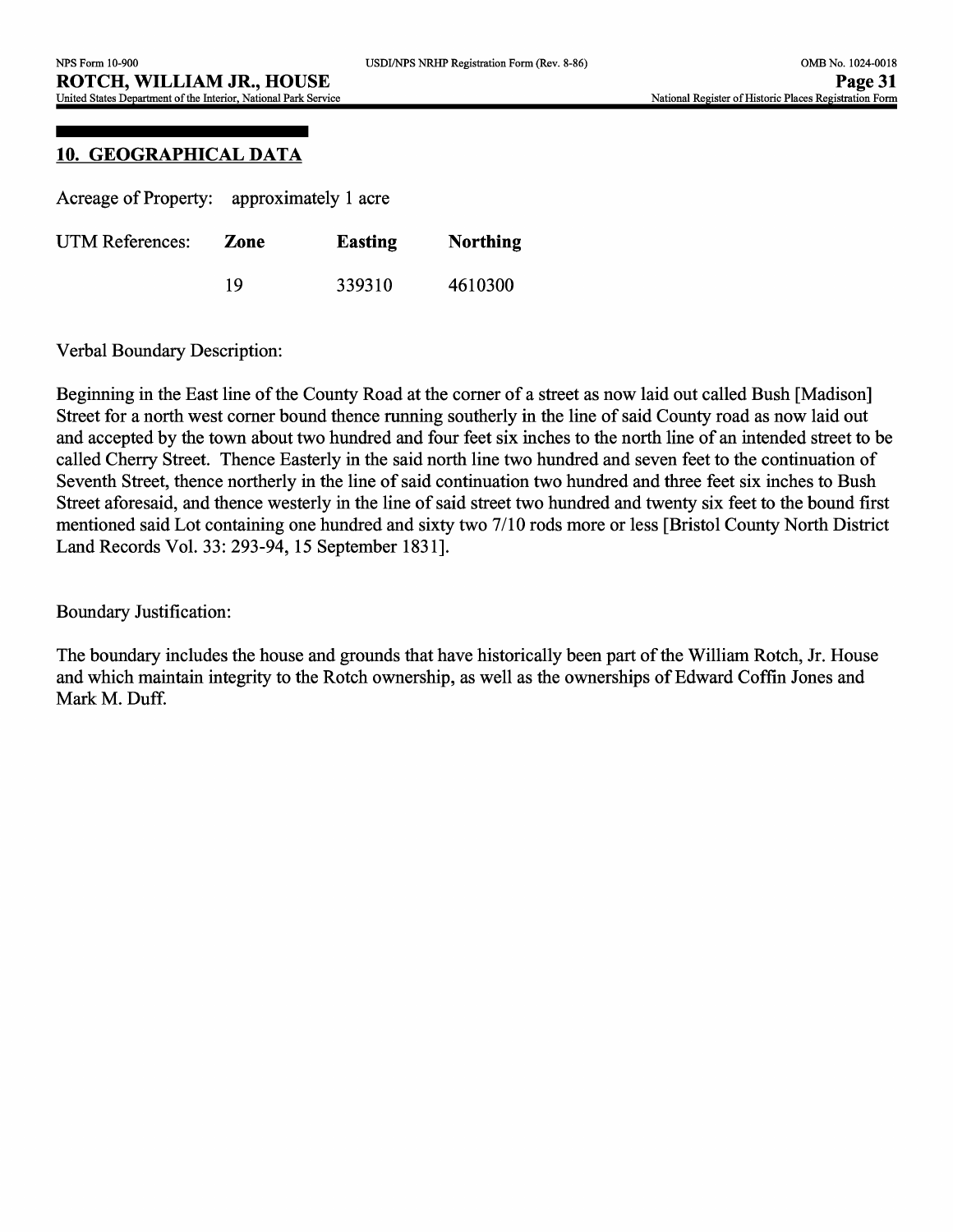# **10. GEOGRAPHICAL DATA**

|                 | Acreage of Property: approximately 1 acre |                |                 |
|-----------------|-------------------------------------------|----------------|-----------------|
| UTM References: | Zone                                      | <b>Easting</b> | <b>Northing</b> |
|                 | 19                                        | 339310         | 4610300         |

Verbal Boundary Description:

Beginning in the East line of the County Road at the corner of a street as now laid out called Bush [Madison] Street for a north west corner bound thence running southerly in the line of said County road as now laid out and accepted by the town about two hundred and four feet six inches to the north line of an intended street to be called Cherry Street. Thence Easterly in the said north line two hundred and seven feet to the continuation of Seventh Street, thence northerly in the line of said continuation two hundred and three feet six inches to Bush Street aforesaid, and thence westerly in the line of said street two hundred and twenty six feet to the bound first mentioned said Lot containing one hundred and sixty two 7/10 rods more or less [Bristol County North District Land Records Vol. 33: 293-94, 15 September 1831].

Boundary Justification:

The boundary includes the house and grounds that have historically been part of the William Rotch, Jr. House and which maintain integrity to the Rotch ownership, as well as the ownerships of Edward Coffin Jones and Mark M. Duff.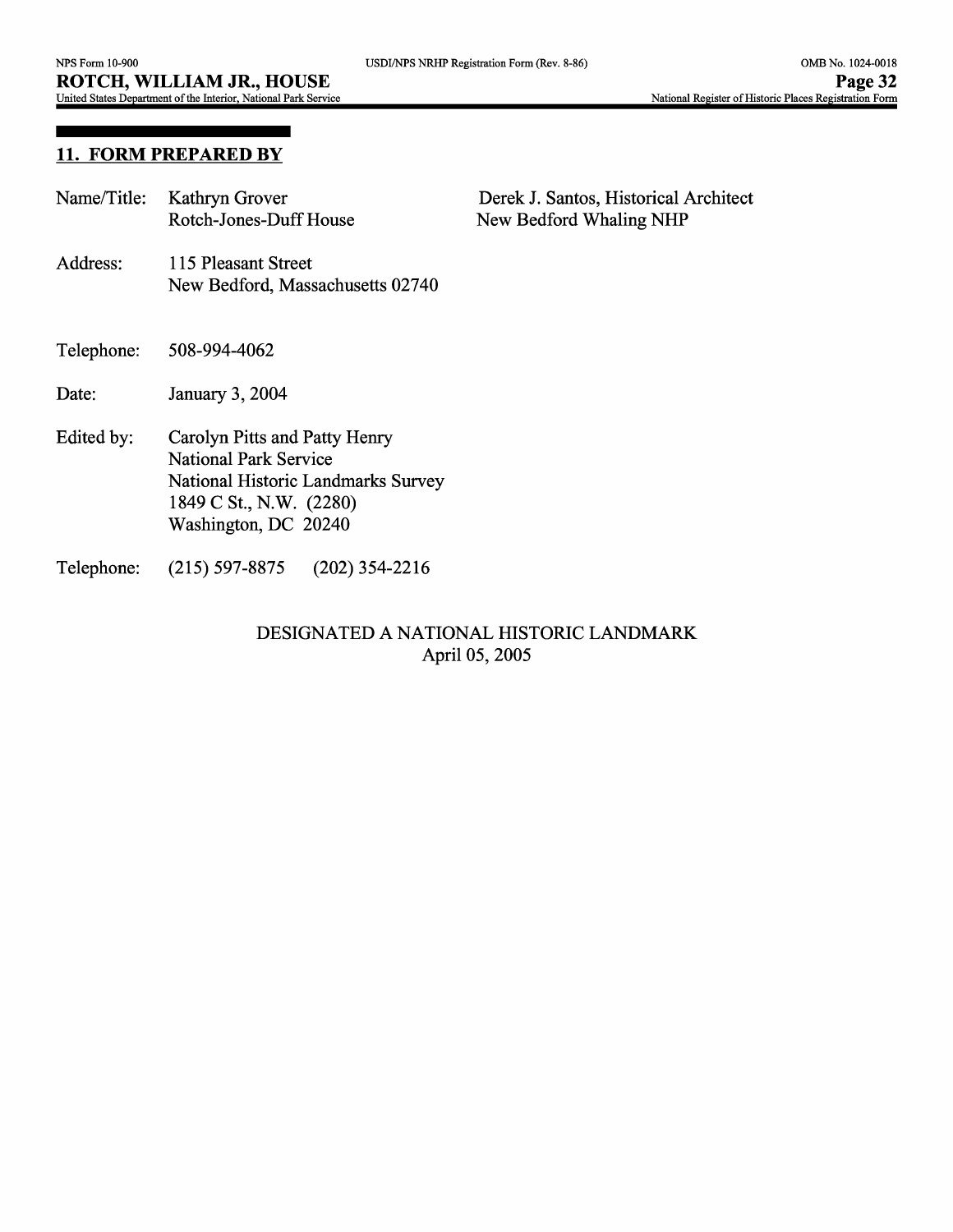#### **11. FORM PREPARED BY**

| Name/Title: Kathryn Grover |
|----------------------------|
| Rotch-Jones-Duff House     |

Derek J. Santos, Historical Architect New Bedford Whaling NHP

- Address: 115 Pleasant Street New Bedford, Massachusetts 02740
- Telephone: 508-994-4062
- Date: January 3, 2004
- Edited by: Carolyn Pitts and Patty Henry National Park Service National Historic Landmarks Survey 1849 C St., N.W. (2280) Washington, DC 20240
- Telephone: (215) 597-8875 (202) 354-2216

### DESIGNATED A NATIONAL HISTORIC LANDMARK April 05, 2005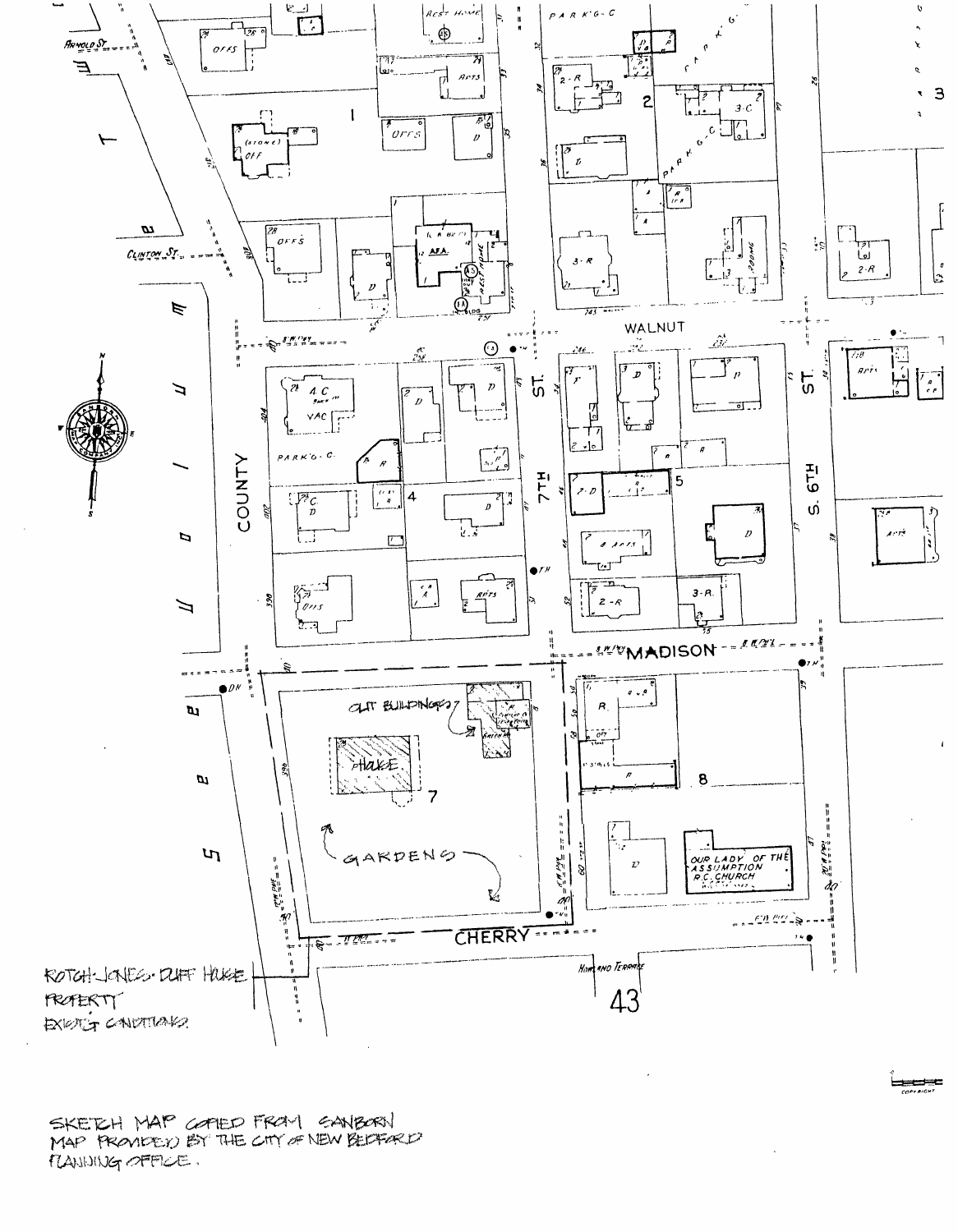

HAP 1  $\frac{1}{1}$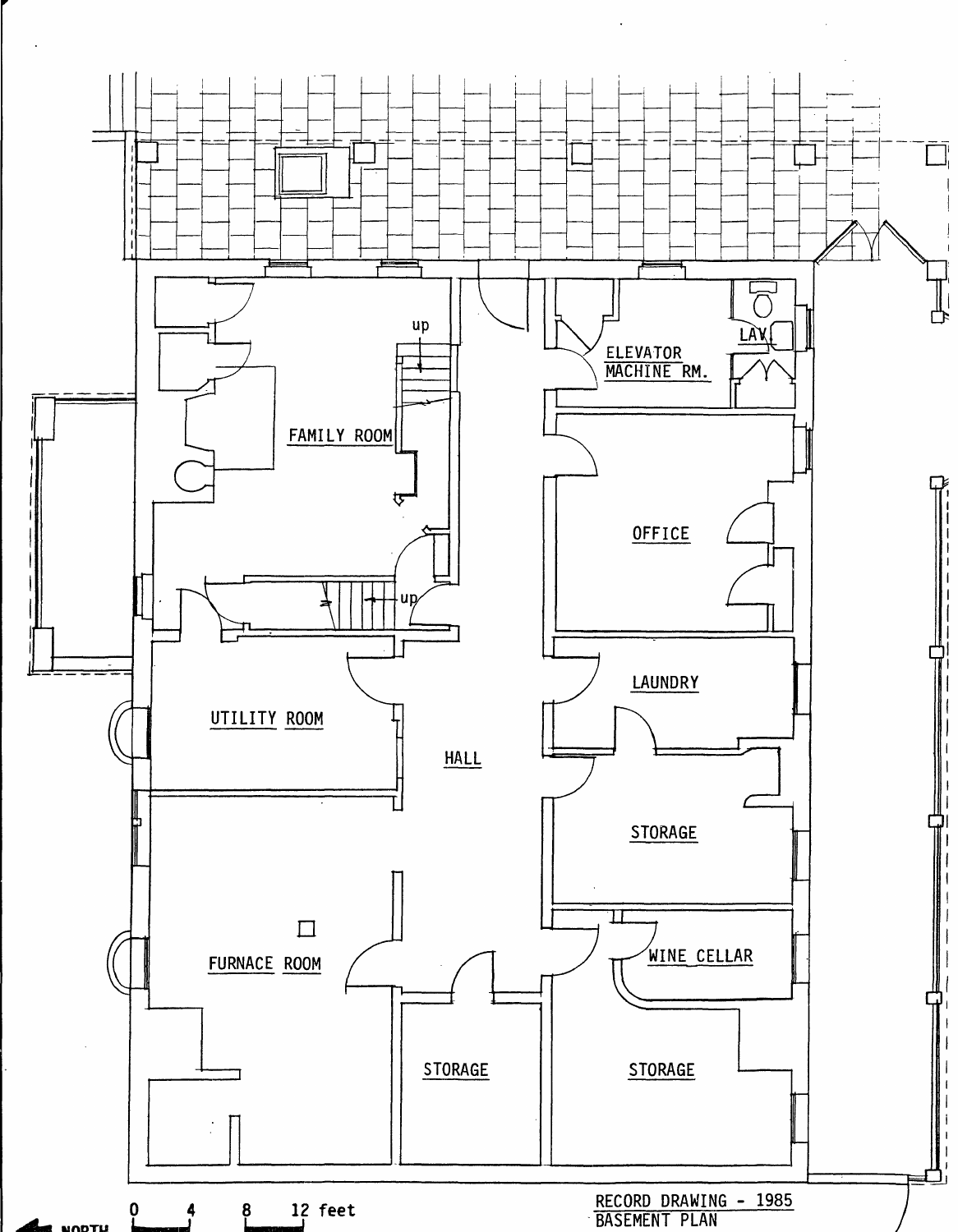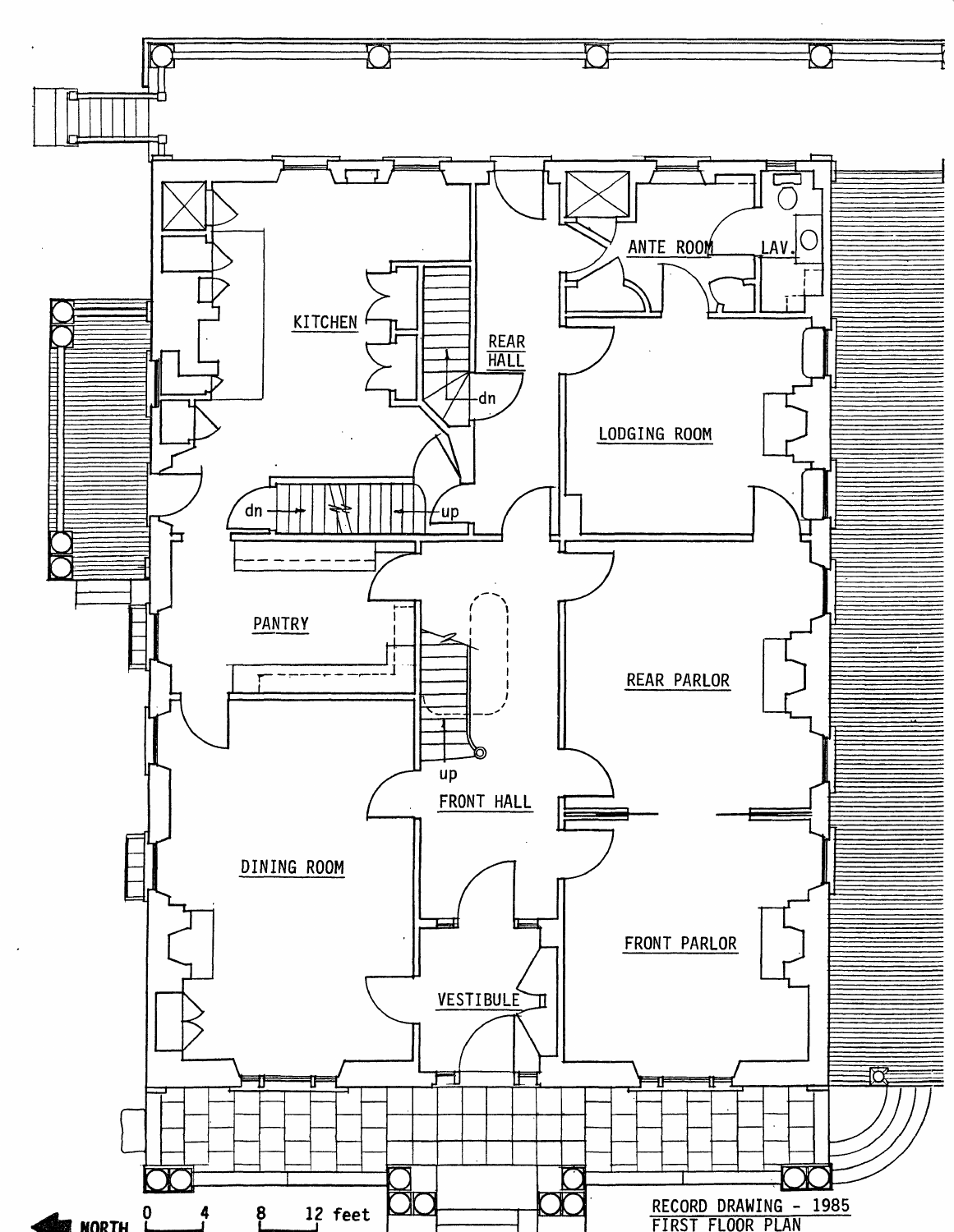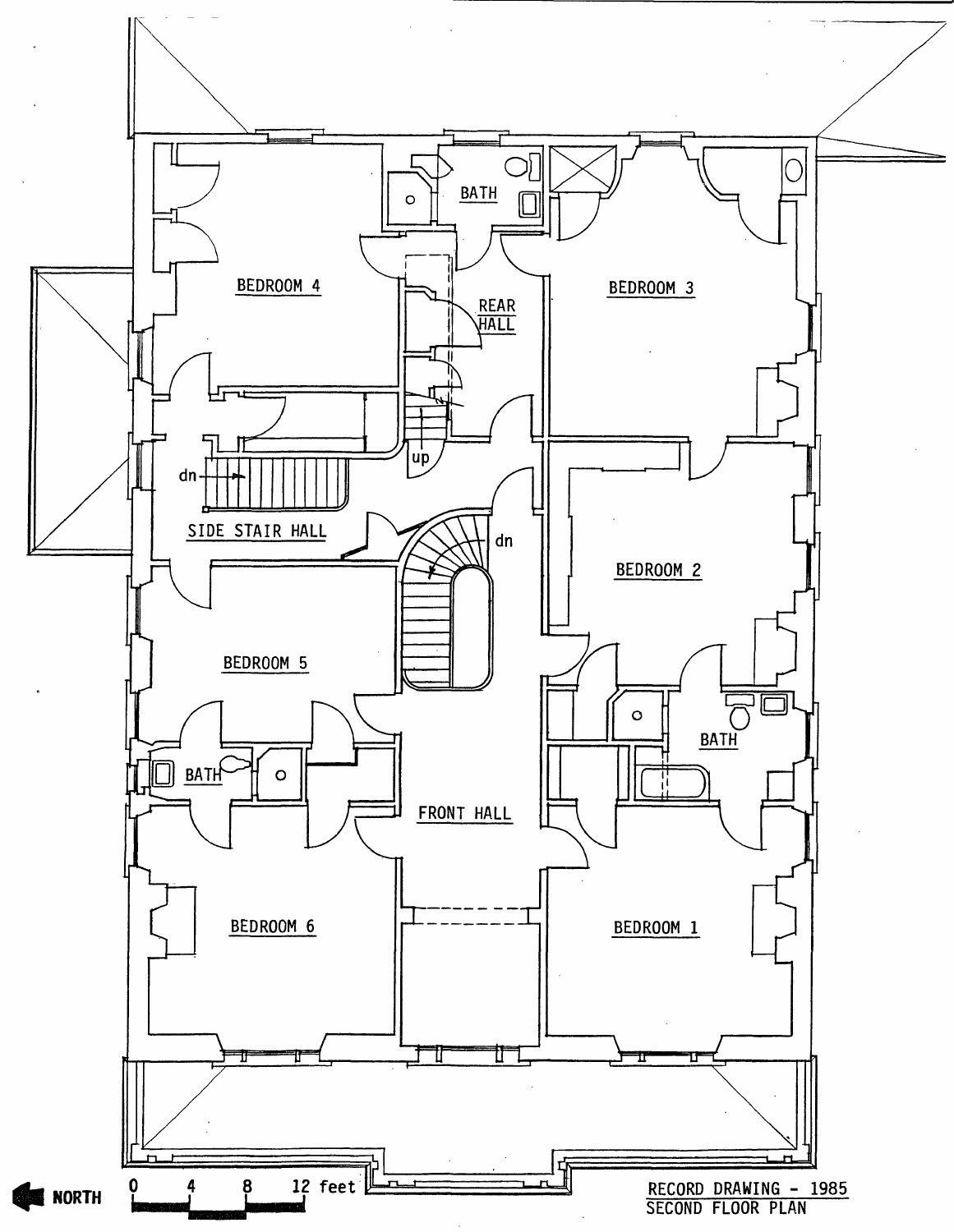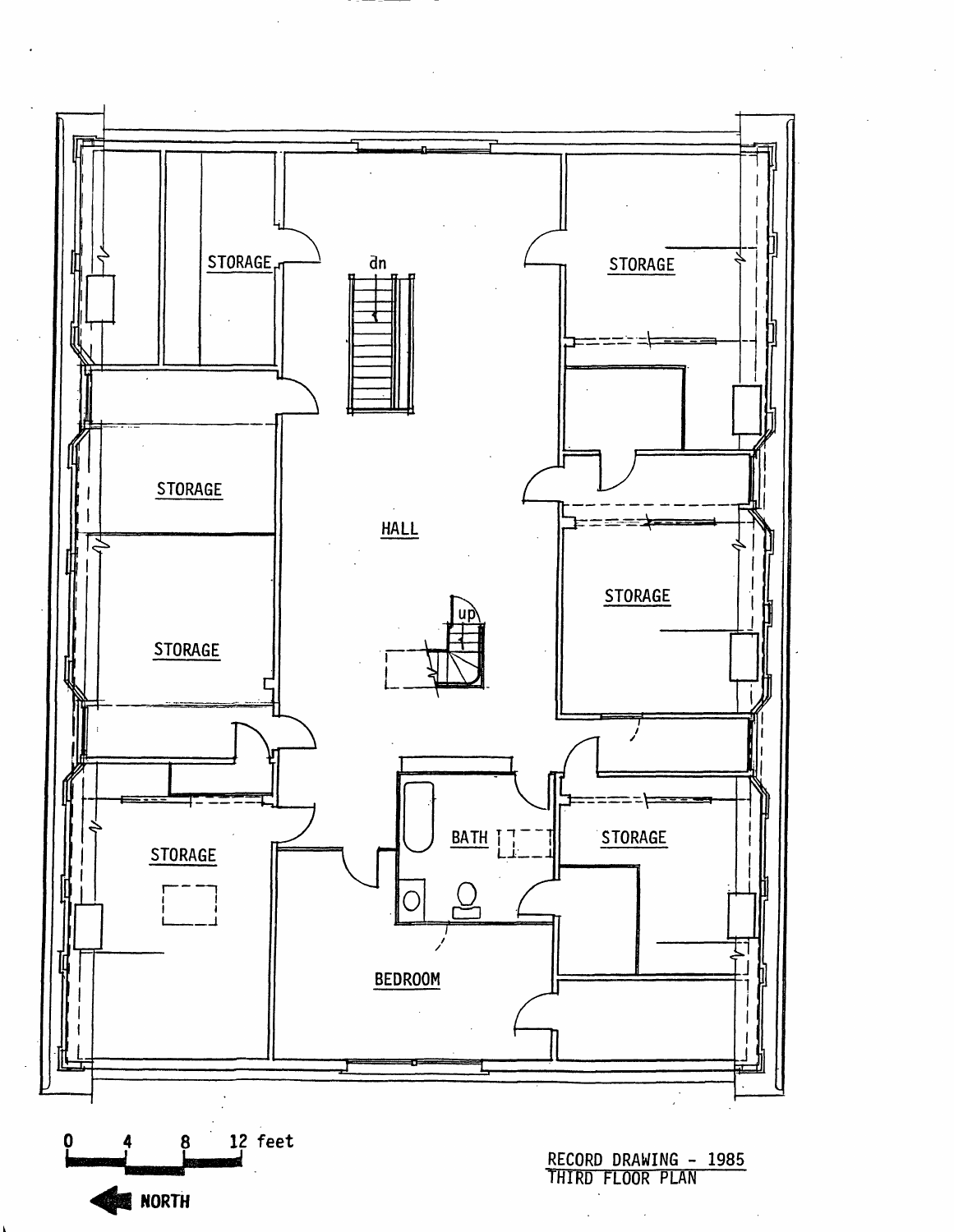